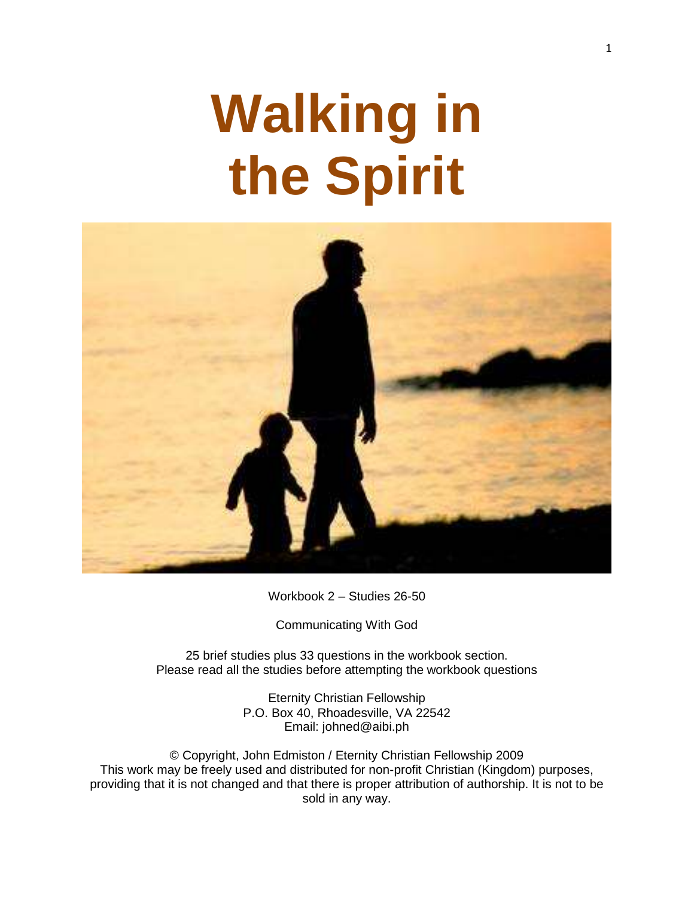# **Walking in the Spirit**



Workbook 2 – Studies 26-50

Communicating With God

25 brief studies plus 33 questions in the workbook section. Please read all the studies before attempting the workbook questions

> Eternity Christian Fellowship P.O. Box 40, Rhoadesville, VA 22542 Email: johned@aibi.ph

© Copyright, John Edmiston / Eternity Christian Fellowship 2009 This work may be freely used and distributed for non-profit Christian (Kingdom) purposes, providing that it is not changed and that there is proper attribution of authorship. It is not to be sold in any way.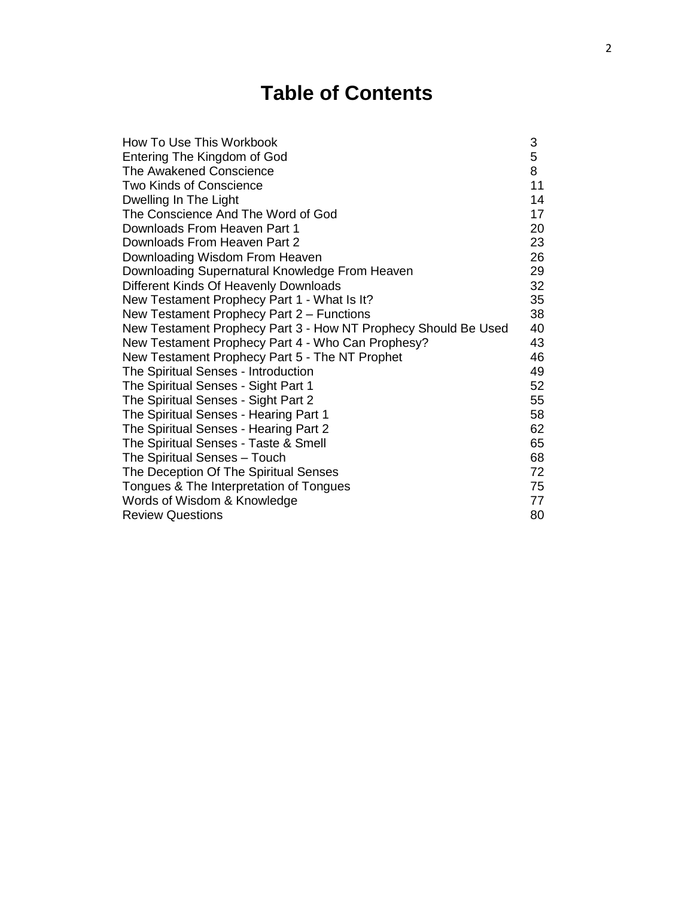## **Table of Contents**

| How To Use This Workbook                                       | 3  |
|----------------------------------------------------------------|----|
| Entering The Kingdom of God                                    | 5  |
| The Awakened Conscience                                        | 8  |
| <b>Two Kinds of Conscience</b>                                 | 11 |
| Dwelling In The Light                                          | 14 |
| The Conscience And The Word of God                             | 17 |
| Downloads From Heaven Part 1                                   | 20 |
| Downloads From Heaven Part 2                                   | 23 |
| Downloading Wisdom From Heaven                                 | 26 |
| Downloading Supernatural Knowledge From Heaven                 | 29 |
| Different Kinds Of Heavenly Downloads                          | 32 |
| New Testament Prophecy Part 1 - What Is It?                    | 35 |
| New Testament Prophecy Part 2 – Functions                      | 38 |
| New Testament Prophecy Part 3 - How NT Prophecy Should Be Used | 40 |
| New Testament Prophecy Part 4 - Who Can Prophesy?              | 43 |
| New Testament Prophecy Part 5 - The NT Prophet                 | 46 |
| The Spiritual Senses - Introduction                            | 49 |
| The Spiritual Senses - Sight Part 1                            | 52 |
| The Spiritual Senses - Sight Part 2                            | 55 |
| The Spiritual Senses - Hearing Part 1                          | 58 |
| The Spiritual Senses - Hearing Part 2                          | 62 |
| The Spiritual Senses - Taste & Smell                           | 65 |
| The Spiritual Senses - Touch                                   | 68 |
| The Deception Of The Spiritual Senses                          | 72 |
| Tongues & The Interpretation of Tongues                        | 75 |
| Words of Wisdom & Knowledge                                    | 77 |
| <b>Review Questions</b>                                        | 80 |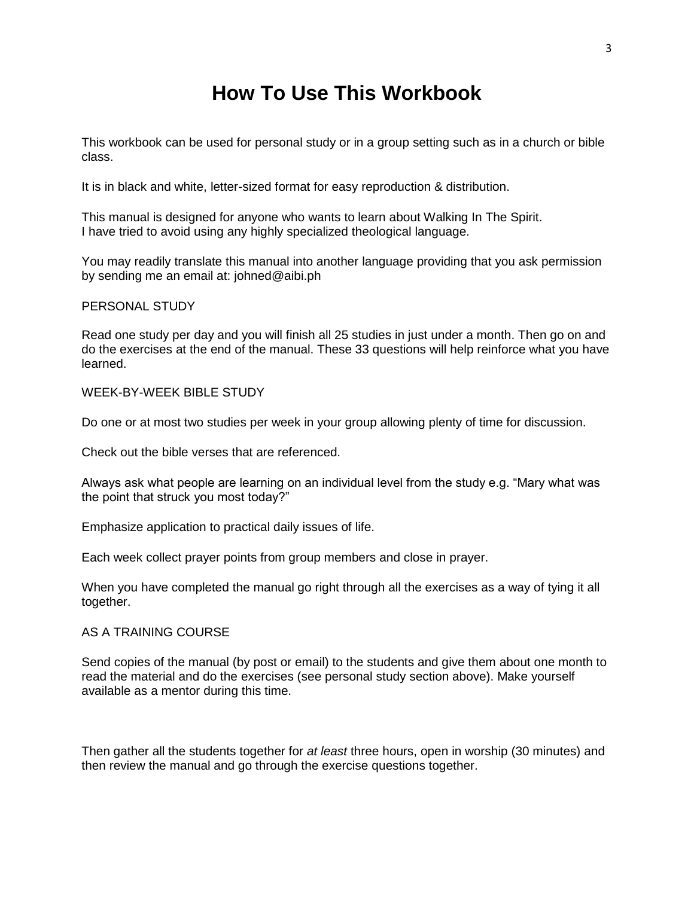#### **How To Use This Workbook**

This workbook can be used for personal study or in a group setting such as in a church or bible class.

It is in black and white, letter-sized format for easy reproduction & distribution.

This manual is designed for anyone who wants to learn about Walking In The Spirit. I have tried to avoid using any highly specialized theological language.

You may readily translate this manual into another language providing that you ask permission by sending me an email at: johned@aibi.ph

#### PERSONAL STUDY

Read one study per day and you will finish all 25 studies in just under a month. Then go on and do the exercises at the end of the manual. These 33 questions will help reinforce what you have learned.

#### WEEK-BY-WEEK BIBLE STUDY

Do one or at most two studies per week in your group allowing plenty of time for discussion.

Check out the bible verses that are referenced.

Always ask what people are learning on an individual level from the study e.g. "Mary what was the point that struck you most today?"

Emphasize application to practical daily issues of life.

Each week collect prayer points from group members and close in prayer.

When you have completed the manual go right through all the exercises as a way of tying it all together.

#### AS A TRAINING COURSE

Send copies of the manual (by post or email) to the students and give them about one month to read the material and do the exercises (see personal study section above). Make yourself available as a mentor during this time.

Then gather all the students together for *at least* three hours, open in worship (30 minutes) and then review the manual and go through the exercise questions together.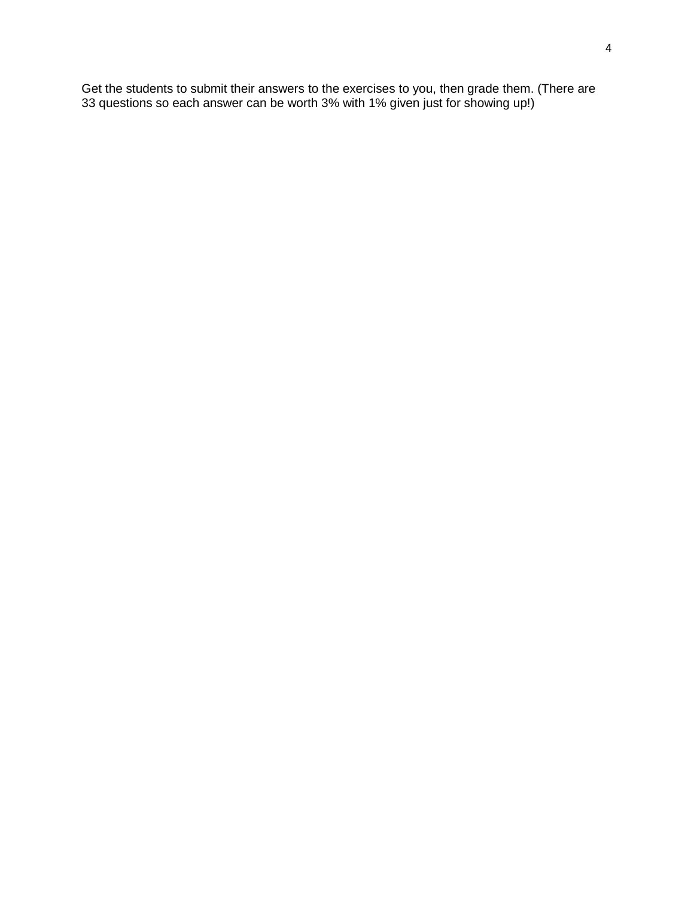Get the students to submit their answers to the exercises to you, then grade them. (There are 33 questions so each answer can be worth 3% with 1% given just for showing up!)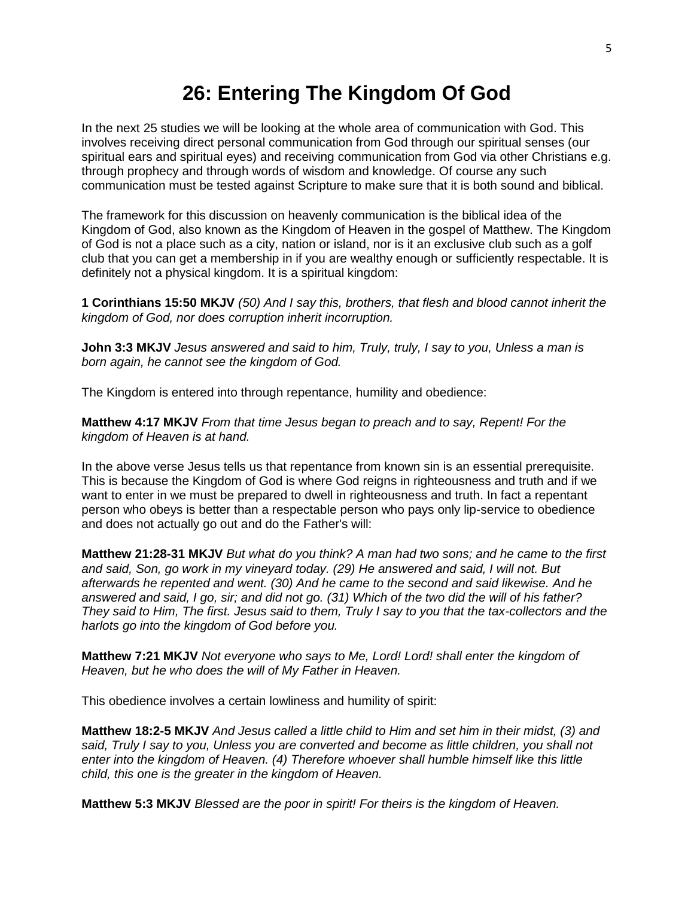#### **26: Entering The Kingdom Of God**

In the next 25 studies we will be looking at the whole area of communication with God. This involves receiving direct personal communication from God through our spiritual senses (our spiritual ears and spiritual eyes) and receiving communication from God via other Christians e.g. through prophecy and through words of wisdom and knowledge. Of course any such communication must be tested against Scripture to make sure that it is both sound and biblical.

The framework for this discussion on heavenly communication is the biblical idea of the Kingdom of God, also known as the Kingdom of Heaven in the gospel of Matthew. The Kingdom of God is not a place such as a city, nation or island, nor is it an exclusive club such as a golf club that you can get a membership in if you are wealthy enough or sufficiently respectable. It is definitely not a physical kingdom. It is a spiritual kingdom:

**1 Corinthians 15:50 MKJV** *(50) And I say this, brothers, that flesh and blood cannot inherit the kingdom of God, nor does corruption inherit incorruption.*

**John 3:3 MKJV** *Jesus answered and said to him, Truly, truly, I say to you, Unless a man is born again, he cannot see the kingdom of God.*

The Kingdom is entered into through repentance, humility and obedience:

**Matthew 4:17 MKJV** *From that time Jesus began to preach and to say, Repent! For the kingdom of Heaven is at hand.*

In the above verse Jesus tells us that repentance from known sin is an essential prerequisite. This is because the Kingdom of God is where God reigns in righteousness and truth and if we want to enter in we must be prepared to dwell in righteousness and truth. In fact a repentant person who obeys is better than a respectable person who pays only lip-service to obedience and does not actually go out and do the Father's will:

**Matthew 21:28-31 MKJV** *But what do you think? A man had two sons; and he came to the first and said, Son, go work in my vineyard today. (29) He answered and said, I will not. But afterwards he repented and went. (30) And he came to the second and said likewise. And he answered and said, I go, sir; and did not go. (31) Which of the two did the will of his father? They said to Him, The first. Jesus said to them, Truly I say to you that the tax-collectors and the harlots go into the kingdom of God before you.*

**Matthew 7:21 MKJV** *Not everyone who says to Me, Lord! Lord! shall enter the kingdom of Heaven, but he who does the will of My Father in Heaven.*

This obedience involves a certain lowliness and humility of spirit:

**Matthew 18:2-5 MKJV** *And Jesus called a little child to Him and set him in their midst, (3) and said, Truly I say to you, Unless you are converted and become as little children, you shall not enter into the kingdom of Heaven. (4) Therefore whoever shall humble himself like this little child, this one is the greater in the kingdom of Heaven.* 

**Matthew 5:3 MKJV** *Blessed are the poor in spirit! For theirs is the kingdom of Heaven.*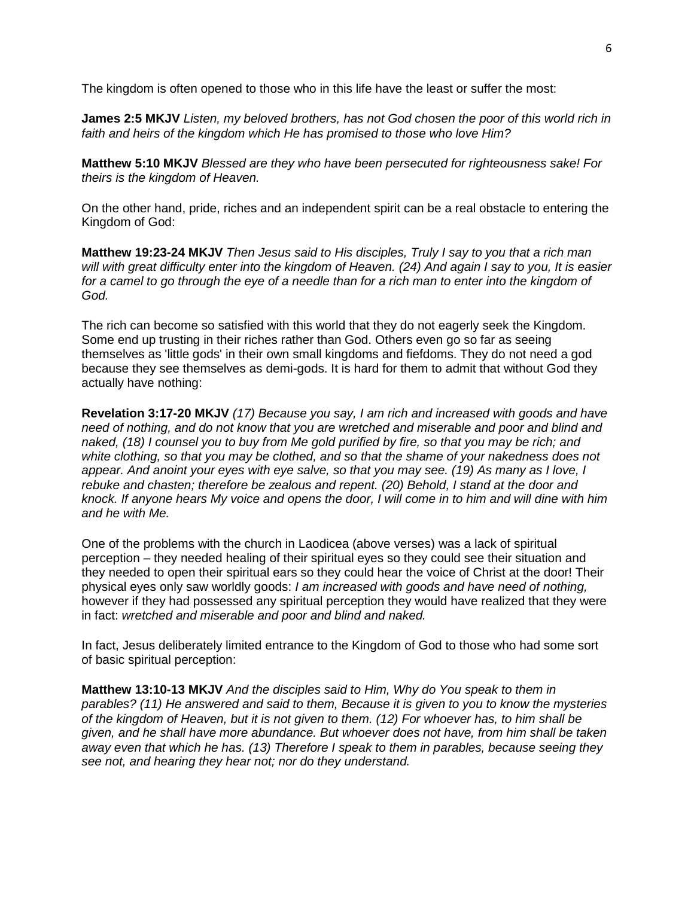The kingdom is often opened to those who in this life have the least or suffer the most:

**James 2:5 MKJV** *Listen, my beloved brothers, has not God chosen the poor of this world rich in faith and heirs of the kingdom which He has promised to those who love Him?*

**Matthew 5:10 MKJV** *Blessed are they who have been persecuted for righteousness sake! For theirs is the kingdom of Heaven.*

On the other hand, pride, riches and an independent spirit can be a real obstacle to entering the Kingdom of God:

**Matthew 19:23-24 MKJV** *Then Jesus said to His disciples, Truly I say to you that a rich man will with great difficulty enter into the kingdom of Heaven. (24) And again I say to you, It is easier*  for a camel to go through the eye of a needle than for a rich man to enter into the kingdom of *God.*

The rich can become so satisfied with this world that they do not eagerly seek the Kingdom. Some end up trusting in their riches rather than God. Others even go so far as seeing themselves as 'little gods' in their own small kingdoms and fiefdoms. They do not need a god because they see themselves as demi-gods. It is hard for them to admit that without God they actually have nothing:

**Revelation 3:17-20 MKJV** *(17) Because you say, I am rich and increased with goods and have need of nothing, and do not know that you are wretched and miserable and poor and blind and naked, (18) I counsel you to buy from Me gold purified by fire, so that you may be rich; and white clothing, so that you may be clothed, and so that the shame of your nakedness does not appear. And anoint your eyes with eye salve, so that you may see. (19) As many as I love, I rebuke and chasten; therefore be zealous and repent. (20) Behold, I stand at the door and knock. If anyone hears My voice and opens the door, I will come in to him and will dine with him and he with Me.*

One of the problems with the church in Laodicea (above verses) was a lack of spiritual perception – they needed healing of their spiritual eyes so they could see their situation and they needed to open their spiritual ears so they could hear the voice of Christ at the door! Their physical eyes only saw worldly goods: *I am increased with goods and have need of nothing,*  however if they had possessed any spiritual perception they would have realized that they were in fact: *wretched and miserable and poor and blind and naked.*

In fact, Jesus deliberately limited entrance to the Kingdom of God to those who had some sort of basic spiritual perception:

**Matthew 13:10-13 MKJV** *And the disciples said to Him, Why do You speak to them in parables? (11) He answered and said to them, Because it is given to you to know the mysteries of the kingdom of Heaven, but it is not given to them. (12) For whoever has, to him shall be given, and he shall have more abundance. But whoever does not have, from him shall be taken away even that which he has. (13) Therefore I speak to them in parables, because seeing they see not, and hearing they hear not; nor do they understand.*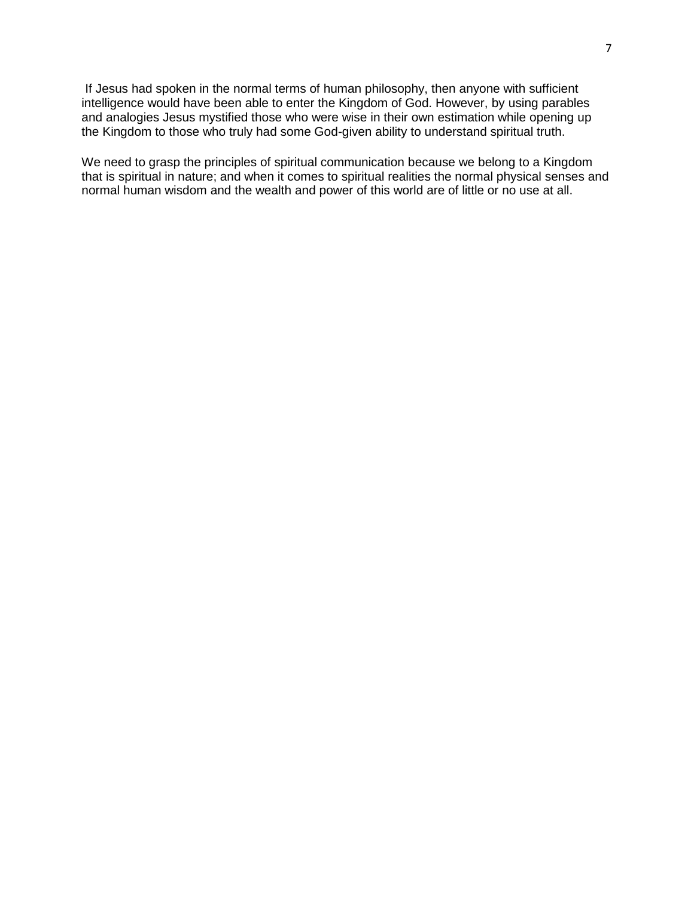If Jesus had spoken in the normal terms of human philosophy, then anyone with sufficient intelligence would have been able to enter the Kingdom of God. However, by using parables and analogies Jesus mystified those who were wise in their own estimation while opening up the Kingdom to those who truly had some God-given ability to understand spiritual truth.

We need to grasp the principles of spiritual communication because we belong to a Kingdom that is spiritual in nature; and when it comes to spiritual realities the normal physical senses and normal human wisdom and the wealth and power of this world are of little or no use at all.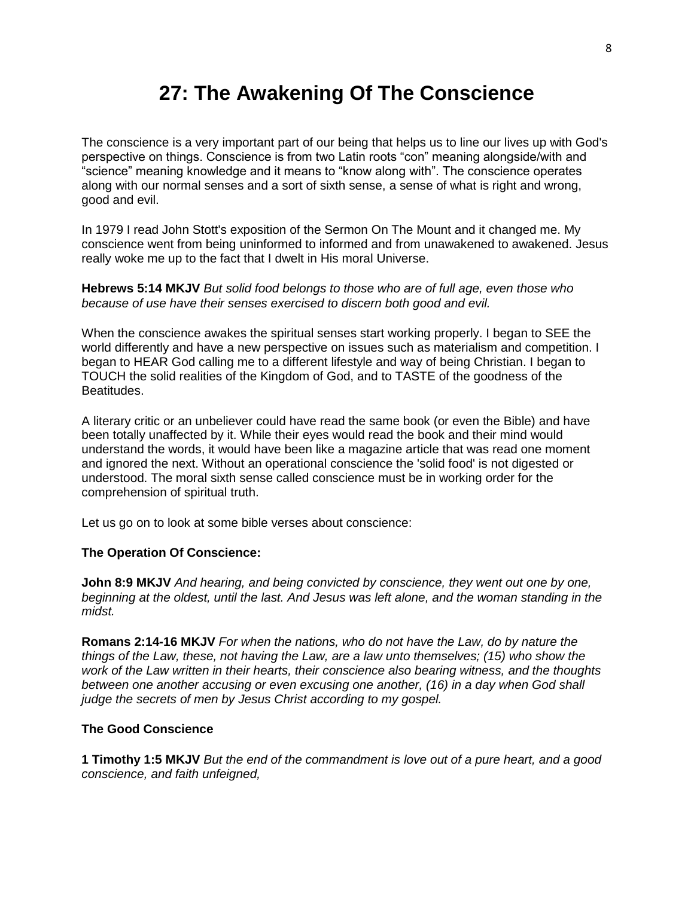## **27: The Awakening Of The Conscience**

The conscience is a very important part of our being that helps us to line our lives up with God's perspective on things. Conscience is from two Latin roots "con" meaning alongside/with and "science" meaning knowledge and it means to "know along with". The conscience operates along with our normal senses and a sort of sixth sense, a sense of what is right and wrong, good and evil.

In 1979 I read John Stott's exposition of the Sermon On The Mount and it changed me. My conscience went from being uninformed to informed and from unawakened to awakened. Jesus really woke me up to the fact that I dwelt in His moral Universe.

**Hebrews 5:14 MKJV** *But solid food belongs to those who are of full age, even those who because of use have their senses exercised to discern both good and evil.*

When the conscience awakes the spiritual senses start working properly. I began to SEE the world differently and have a new perspective on issues such as materialism and competition. I began to HEAR God calling me to a different lifestyle and way of being Christian. I began to TOUCH the solid realities of the Kingdom of God, and to TASTE of the goodness of the Beatitudes.

A literary critic or an unbeliever could have read the same book (or even the Bible) and have been totally unaffected by it. While their eyes would read the book and their mind would understand the words, it would have been like a magazine article that was read one moment and ignored the next. Without an operational conscience the 'solid food' is not digested or understood. The moral sixth sense called conscience must be in working order for the comprehension of spiritual truth.

Let us go on to look at some bible verses about conscience:

#### **The Operation Of Conscience:**

**John 8:9 MKJV** *And hearing, and being convicted by conscience, they went out one by one, beginning at the oldest, until the last. And Jesus was left alone, and the woman standing in the midst.*

**Romans 2:14-16 MKJV** *For when the nations, who do not have the Law, do by nature the things of the Law, these, not having the Law, are a law unto themselves; (15) who show the work of the Law written in their hearts, their conscience also bearing witness, and the thoughts between one another accusing or even excusing one another, (16) in a day when God shall judge the secrets of men by Jesus Christ according to my gospel.*

#### **The Good Conscience**

**1 Timothy 1:5 MKJV** *But the end of the commandment is love out of a pure heart, and a good conscience, and faith unfeigned,*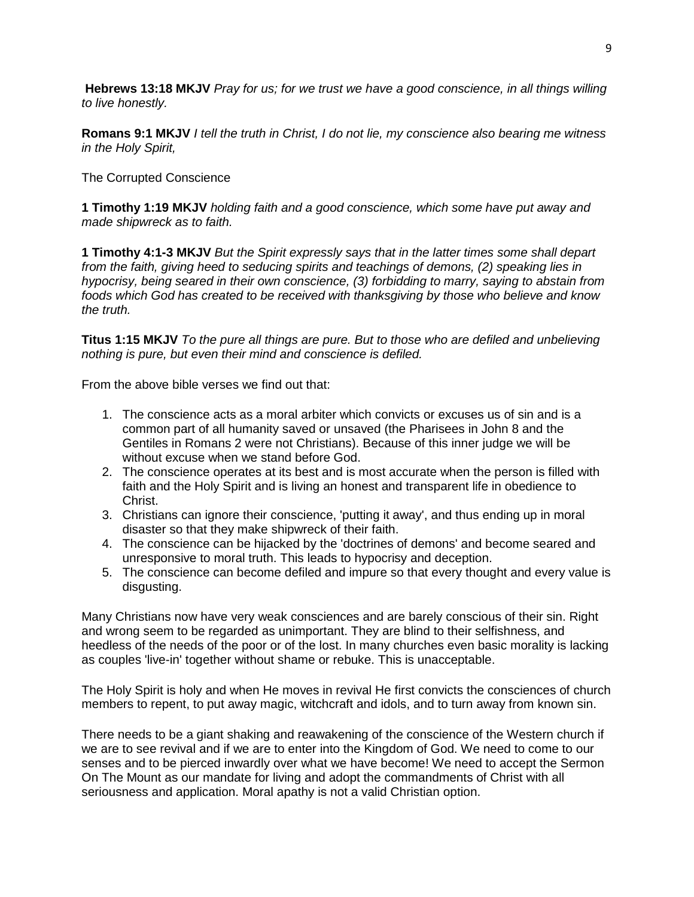**Hebrews 13:18 MKJV** *Pray for us; for we trust we have a good conscience, in all things willing to live honestly.*

**Romans 9:1 MKJV** *I tell the truth in Christ, I do not lie, my conscience also bearing me witness in the Holy Spirit,*

The Corrupted Conscience

**1 Timothy 1:19 MKJV** *holding faith and a good conscience, which some have put away and made shipwreck as to faith.*

**1 Timothy 4:1-3 MKJV** *But the Spirit expressly says that in the latter times some shall depart from the faith, giving heed to seducing spirits and teachings of demons, (2) speaking lies in hypocrisy, being seared in their own conscience, (3) forbidding to marry, saying to abstain from foods which God has created to be received with thanksgiving by those who believe and know the truth.*

**Titus 1:15 MKJV** *To the pure all things are pure. But to those who are defiled and unbelieving nothing is pure, but even their mind and conscience is defiled.*

From the above bible verses we find out that:

- 1. The conscience acts as a moral arbiter which convicts or excuses us of sin and is a common part of all humanity saved or unsaved (the Pharisees in John 8 and the Gentiles in Romans 2 were not Christians). Because of this inner judge we will be without excuse when we stand before God.
- 2. The conscience operates at its best and is most accurate when the person is filled with faith and the Holy Spirit and is living an honest and transparent life in obedience to Christ.
- 3. Christians can ignore their conscience, 'putting it away', and thus ending up in moral disaster so that they make shipwreck of their faith.
- 4. The conscience can be hijacked by the 'doctrines of demons' and become seared and unresponsive to moral truth. This leads to hypocrisy and deception.
- 5. The conscience can become defiled and impure so that every thought and every value is disgusting.

Many Christians now have very weak consciences and are barely conscious of their sin. Right and wrong seem to be regarded as unimportant. They are blind to their selfishness, and heedless of the needs of the poor or of the lost. In many churches even basic morality is lacking as couples 'live-in' together without shame or rebuke. This is unacceptable.

The Holy Spirit is holy and when He moves in revival He first convicts the consciences of church members to repent, to put away magic, witchcraft and idols, and to turn away from known sin.

There needs to be a giant shaking and reawakening of the conscience of the Western church if we are to see revival and if we are to enter into the Kingdom of God. We need to come to our senses and to be pierced inwardly over what we have become! We need to accept the Sermon On The Mount as our mandate for living and adopt the commandments of Christ with all seriousness and application. Moral apathy is not a valid Christian option.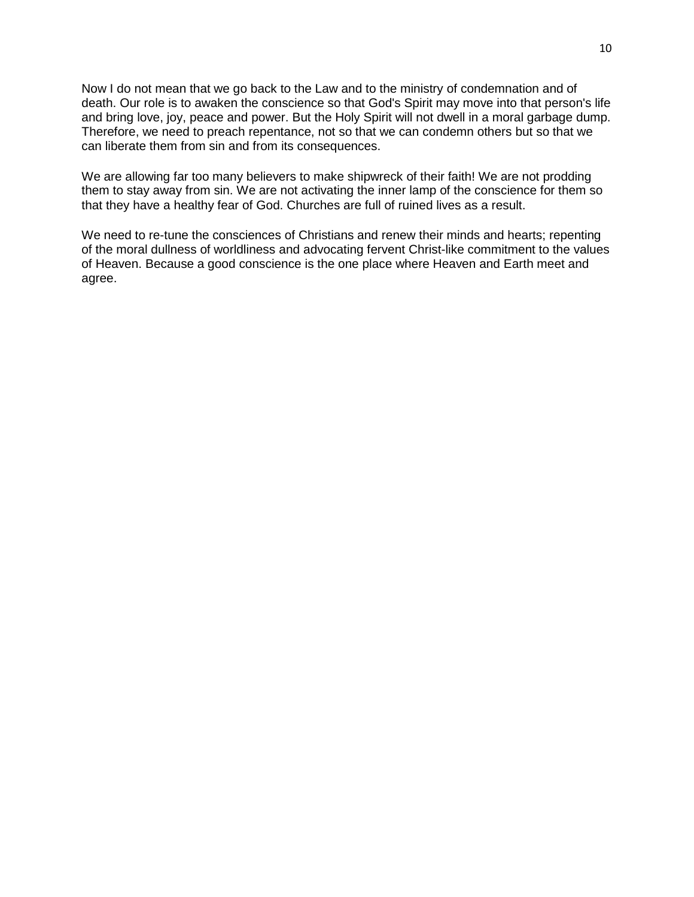Now I do not mean that we go back to the Law and to the ministry of condemnation and of death. Our role is to awaken the conscience so that God's Spirit may move into that person's life and bring love, joy, peace and power. But the Holy Spirit will not dwell in a moral garbage dump. Therefore, we need to preach repentance, not so that we can condemn others but so that we can liberate them from sin and from its consequences.

We are allowing far too many believers to make shipwreck of their faith! We are not prodding them to stay away from sin. We are not activating the inner lamp of the conscience for them so that they have a healthy fear of God. Churches are full of ruined lives as a result.

We need to re-tune the consciences of Christians and renew their minds and hearts; repenting of the moral dullness of worldliness and advocating fervent Christ-like commitment to the values of Heaven. Because a good conscience is the one place where Heaven and Earth meet and agree.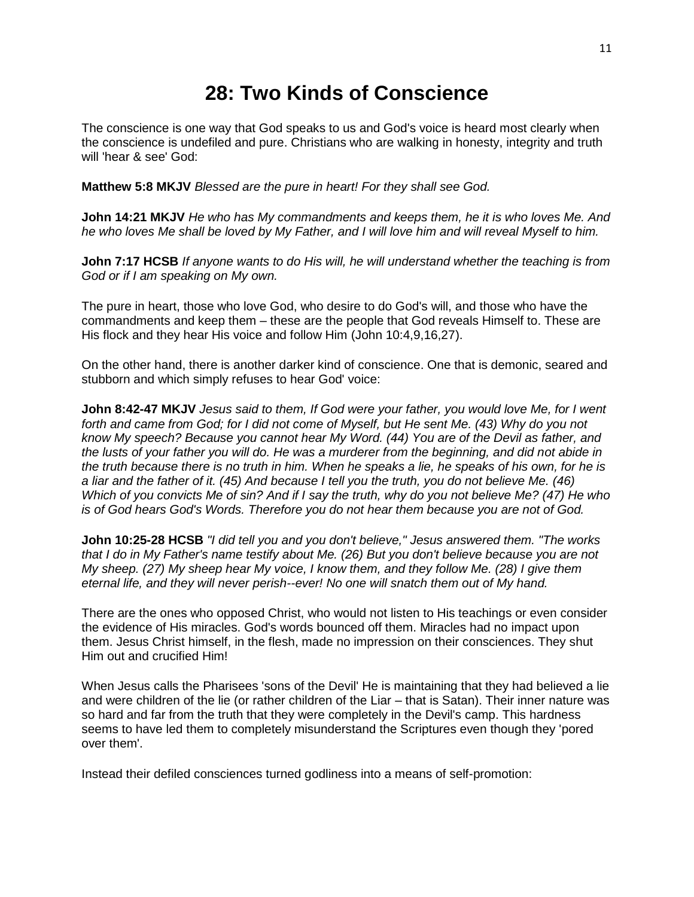## **28: Two Kinds of Conscience**

The conscience is one way that God speaks to us and God's voice is heard most clearly when the conscience is undefiled and pure. Christians who are walking in honesty, integrity and truth will 'hear & see' God:

**Matthew 5:8 MKJV** *Blessed are the pure in heart! For they shall see God.*

**John 14:21 MKJV** *He who has My commandments and keeps them, he it is who loves Me. And he who loves Me shall be loved by My Father, and I will love him and will reveal Myself to him.*

**John 7:17 HCSB** *If anyone wants to do His will, he will understand whether the teaching is from God or if I am speaking on My own.*

The pure in heart, those who love God, who desire to do God's will, and those who have the commandments and keep them – these are the people that God reveals Himself to. These are His flock and they hear His voice and follow Him (John 10:4,9,16,27).

On the other hand, there is another darker kind of conscience. One that is demonic, seared and stubborn and which simply refuses to hear God' voice:

**John 8:42-47 MKJV** *Jesus said to them, If God were your father, you would love Me, for I went forth and came from God; for I did not come of Myself, but He sent Me. (43) Why do you not know My speech? Because you cannot hear My Word. (44) You are of the Devil as father, and the lusts of your father you will do. He was a murderer from the beginning, and did not abide in the truth because there is no truth in him. When he speaks a lie, he speaks of his own, for he is a liar and the father of it. (45) And because I tell you the truth, you do not believe Me. (46) Which of you convicts Me of sin? And if I say the truth, why do you not believe Me? (47) He who is of God hears God's Words. Therefore you do not hear them because you are not of God.*

**John 10:25-28 HCSB** *"I did tell you and you don't believe," Jesus answered them. "The works that I do in My Father's name testify about Me. (26) But you don't believe because you are not My sheep. (27) My sheep hear My voice, I know them, and they follow Me. (28) I give them eternal life, and they will never perish--ever! No one will snatch them out of My hand.*

There are the ones who opposed Christ, who would not listen to His teachings or even consider the evidence of His miracles. God's words bounced off them. Miracles had no impact upon them. Jesus Christ himself, in the flesh, made no impression on their consciences. They shut Him out and crucified Him!

When Jesus calls the Pharisees 'sons of the Devil' He is maintaining that they had believed a lie and were children of the lie (or rather children of the Liar – that is Satan). Their inner nature was so hard and far from the truth that they were completely in the Devil's camp. This hardness seems to have led them to completely misunderstand the Scriptures even though they 'pored over them'.

Instead their defiled consciences turned godliness into a means of self-promotion: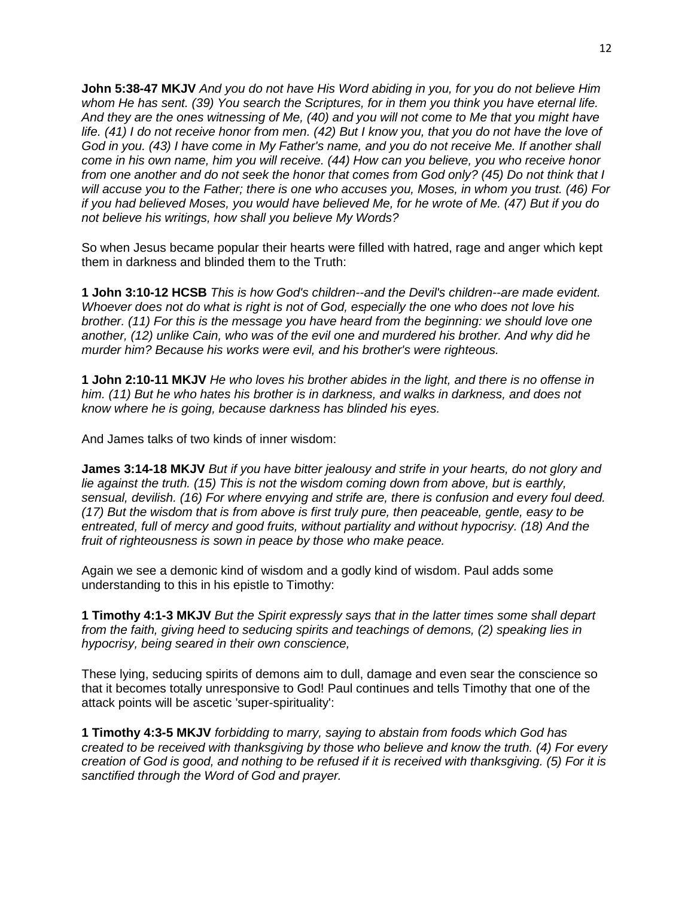**John 5:38-47 MKJV** *And you do not have His Word abiding in you, for you do not believe Him whom He has sent. (39) You search the Scriptures, for in them you think you have eternal life. And they are the ones witnessing of Me, (40) and you will not come to Me that you might have life. (41) I do not receive honor from men. (42) But I know you, that you do not have the love of God in you. (43) I have come in My Father's name, and you do not receive Me. If another shall come in his own name, him you will receive. (44) How can you believe, you who receive honor from one another and do not seek the honor that comes from God only? (45) Do not think that I will accuse you to the Father; there is one who accuses you, Moses, in whom you trust. (46) For if you had believed Moses, you would have believed Me, for he wrote of Me. (47) But if you do not believe his writings, how shall you believe My Words?*

So when Jesus became popular their hearts were filled with hatred, rage and anger which kept them in darkness and blinded them to the Truth:

**1 John 3:10-12 HCSB** *This is how God's children--and the Devil's children--are made evident. Whoever does not do what is right is not of God, especially the one who does not love his brother. (11) For this is the message you have heard from the beginning: we should love one another, (12) unlike Cain, who was of the evil one and murdered his brother. And why did he murder him? Because his works were evil, and his brother's were righteous.*

**1 John 2:10-11 MKJV** *He who loves his brother abides in the light, and there is no offense in him. (11) But he who hates his brother is in darkness, and walks in darkness, and does not know where he is going, because darkness has blinded his eyes.*

And James talks of two kinds of inner wisdom:

**James 3:14-18 MKJV** *But if you have bitter jealousy and strife in your hearts, do not glory and lie against the truth. (15) This is not the wisdom coming down from above, but is earthly, sensual, devilish. (16) For where envying and strife are, there is confusion and every foul deed. (17) But the wisdom that is from above is first truly pure, then peaceable, gentle, easy to be entreated, full of mercy and good fruits, without partiality and without hypocrisy. (18) And the fruit of righteousness is sown in peace by those who make peace.*

Again we see a demonic kind of wisdom and a godly kind of wisdom. Paul adds some understanding to this in his epistle to Timothy:

**1 Timothy 4:1-3 MKJV** *But the Spirit expressly says that in the latter times some shall depart from the faith, giving heed to seducing spirits and teachings of demons, (2) speaking lies in hypocrisy, being seared in their own conscience,* 

These lying, seducing spirits of demons aim to dull, damage and even sear the conscience so that it becomes totally unresponsive to God! Paul continues and tells Timothy that one of the attack points will be ascetic 'super-spirituality':

**1 Timothy 4:3-5 MKJV** *forbidding to marry, saying to abstain from foods which God has created to be received with thanksgiving by those who believe and know the truth. (4) For every creation of God is good, and nothing to be refused if it is received with thanksgiving. (5) For it is sanctified through the Word of God and prayer.*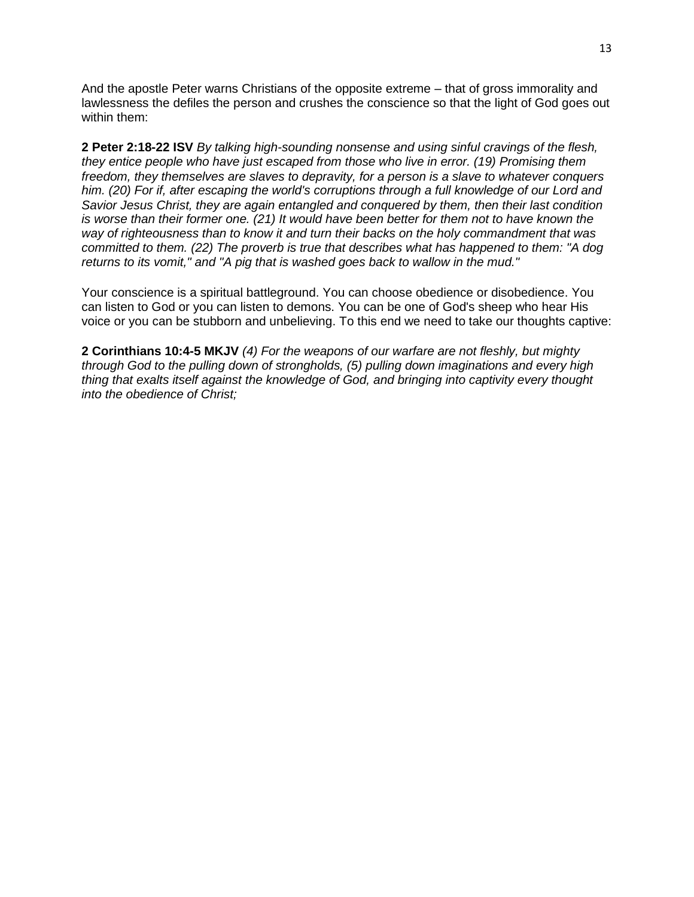And the apostle Peter warns Christians of the opposite extreme – that of gross immorality and lawlessness the defiles the person and crushes the conscience so that the light of God goes out within them:

**2 Peter 2:18-22 ISV** *By talking high-sounding nonsense and using sinful cravings of the flesh, they entice people who have just escaped from those who live in error. (19) Promising them freedom, they themselves are slaves to depravity, for a person is a slave to whatever conquers him. (20) For if, after escaping the world's corruptions through a full knowledge of our Lord and Savior Jesus Christ, they are again entangled and conquered by them, then their last condition is worse than their former one. (21) It would have been better for them not to have known the way of righteousness than to know it and turn their backs on the holy commandment that was committed to them. (22) The proverb is true that describes what has happened to them: "A dog returns to its vomit," and "A pig that is washed goes back to wallow in the mud."*

Your conscience is a spiritual battleground. You can choose obedience or disobedience. You can listen to God or you can listen to demons. You can be one of God's sheep who hear His voice or you can be stubborn and unbelieving. To this end we need to take our thoughts captive:

**2 Corinthians 10:4-5 MKJV** *(4) For the weapons of our warfare are not fleshly, but mighty through God to the pulling down of strongholds, (5) pulling down imaginations and every high thing that exalts itself against the knowledge of God, and bringing into captivity every thought into the obedience of Christ;*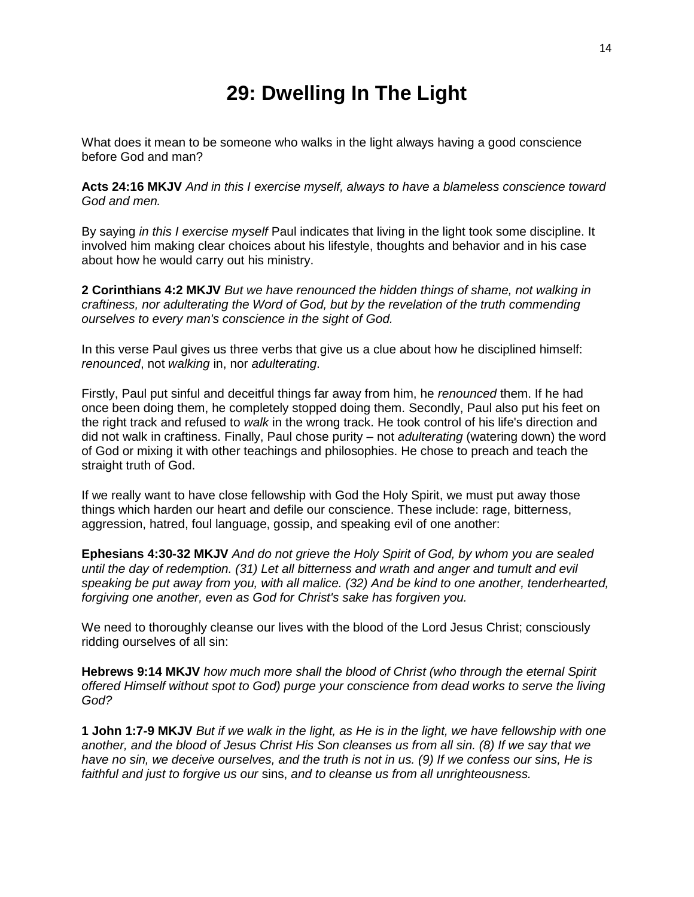## **29: Dwelling In The Light**

What does it mean to be someone who walks in the light always having a good conscience before God and man?

**Acts 24:16 MKJV** *And in this I exercise myself, always to have a blameless conscience toward God and men.*

By saying *in this I exercise myself* Paul indicates that living in the light took some discipline. It involved him making clear choices about his lifestyle, thoughts and behavior and in his case about how he would carry out his ministry.

**2 Corinthians 4:2 MKJV** *But we have renounced the hidden things of shame, not walking in craftiness, nor adulterating the Word of God, but by the revelation of the truth commending ourselves to every man's conscience in the sight of God.*

In this verse Paul gives us three verbs that give us a clue about how he disciplined himself: *renounced*, not *walking* in, nor *adulterating*.

Firstly, Paul put sinful and deceitful things far away from him, he *renounced* them. If he had once been doing them, he completely stopped doing them. Secondly, Paul also put his feet on the right track and refused to *walk* in the wrong track. He took control of his life's direction and did not walk in craftiness. Finally, Paul chose purity – not *adulterating* (watering down) the word of God or mixing it with other teachings and philosophies. He chose to preach and teach the straight truth of God.

If we really want to have close fellowship with God the Holy Spirit, we must put away those things which harden our heart and defile our conscience. These include: rage, bitterness, aggression, hatred, foul language, gossip, and speaking evil of one another:

**Ephesians 4:30-32 MKJV** *And do not grieve the Holy Spirit of God, by whom you are sealed until the day of redemption. (31) Let all bitterness and wrath and anger and tumult and evil speaking be put away from you, with all malice. (32) And be kind to one another, tenderhearted, forgiving one another, even as God for Christ's sake has forgiven you.*

We need to thoroughly cleanse our lives with the blood of the Lord Jesus Christ; consciously ridding ourselves of all sin:

**Hebrews 9:14 MKJV** *how much more shall the blood of Christ (who through the eternal Spirit offered Himself without spot to God) purge your conscience from dead works to serve the living God?*

**1 John 1:7-9 MKJV** *But if we walk in the light, as He is in the light, we have fellowship with one another, and the blood of Jesus Christ His Son cleanses us from all sin. (8) If we say that we have no sin, we deceive ourselves, and the truth is not in us. (9) If we confess our sins, He is faithful and just to forgive us our* sins, *and to cleanse us from all unrighteousness.*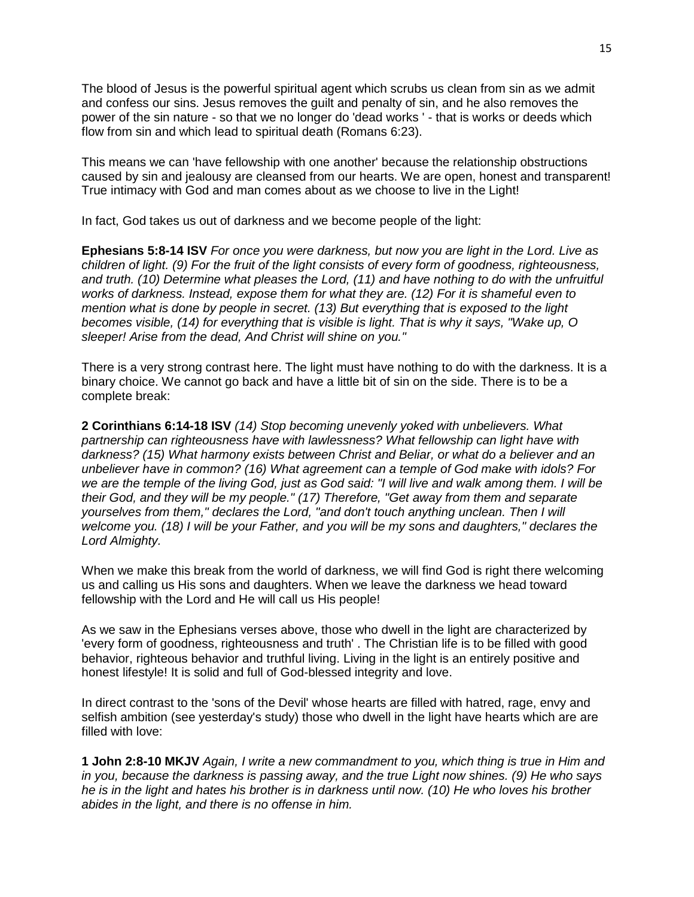The blood of Jesus is the powerful spiritual agent which scrubs us clean from sin as we admit and confess our sins. Jesus removes the guilt and penalty of sin, and he also removes the power of the sin nature - so that we no longer do 'dead works ' - that is works or deeds which flow from sin and which lead to spiritual death (Romans 6:23).

This means we can 'have fellowship with one another' because the relationship obstructions caused by sin and jealousy are cleansed from our hearts. We are open, honest and transparent! True intimacy with God and man comes about as we choose to live in the Light!

In fact, God takes us out of darkness and we become people of the light:

**Ephesians 5:8-14 ISV** *For once you were darkness, but now you are light in the Lord. Live as children of light. (9) For the fruit of the light consists of every form of goodness, righteousness, and truth. (10) Determine what pleases the Lord, (11) and have nothing to do with the unfruitful works of darkness. Instead, expose them for what they are. (12) For it is shameful even to mention what is done by people in secret. (13) But everything that is exposed to the light becomes visible, (14) for everything that is visible is light. That is why it says, "Wake up, O sleeper! Arise from the dead, And Christ will shine on you.''*

There is a very strong contrast here. The light must have nothing to do with the darkness. It is a binary choice. We cannot go back and have a little bit of sin on the side. There is to be a complete break:

**2 Corinthians 6:14-18 ISV** *(14) Stop becoming unevenly yoked with unbelievers. What partnership can righteousness have with lawlessness? What fellowship can light have with darkness? (15) What harmony exists between Christ and Beliar, or what do a believer and an unbeliever have in common? (16) What agreement can a temple of God make with idols? For we are the temple of the living God, just as God said: "I will live and walk among them. I will be their God, and they will be my people." (17) Therefore, "Get away from them and separate yourselves from them," declares the Lord, "and don't touch anything unclean. Then I will welcome you. (18) I will be your Father, and you will be my sons and daughters," declares the Lord Almighty.*

When we make this break from the world of darkness, we will find God is right there welcoming us and calling us His sons and daughters. When we leave the darkness we head toward fellowship with the Lord and He will call us His people!

As we saw in the Ephesians verses above, those who dwell in the light are characterized by 'every form of goodness, righteousness and truth' . The Christian life is to be filled with good behavior, righteous behavior and truthful living. Living in the light is an entirely positive and honest lifestyle! It is solid and full of God-blessed integrity and love.

In direct contrast to the 'sons of the Devil' whose hearts are filled with hatred, rage, envy and selfish ambition (see yesterday's study) those who dwell in the light have hearts which are are filled with love:

**1 John 2:8-10 MKJV** *Again, I write a new commandment to you, which thing is true in Him and in you, because the darkness is passing away, and the true Light now shines. (9) He who says he is in the light and hates his brother is in darkness until now. (10) He who loves his brother abides in the light, and there is no offense in him.*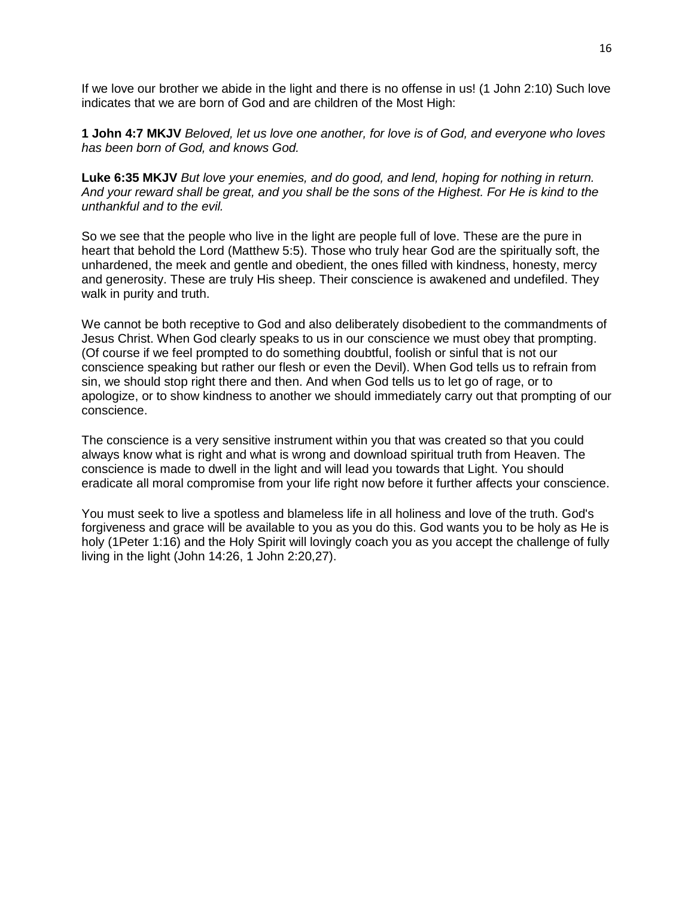If we love our brother we abide in the light and there is no offense in us! (1 John 2:10) Such love indicates that we are born of God and are children of the Most High:

**1 John 4:7 MKJV** *Beloved, let us love one another, for love is of God, and everyone who loves has been born of God, and knows God.* 

**Luke 6:35 MKJV** *But love your enemies, and do good, and lend, hoping for nothing in return. And your reward shall be great, and you shall be the sons of the Highest. For He is kind to the unthankful and to the evil.*

So we see that the people who live in the light are people full of love. These are the pure in heart that behold the Lord (Matthew 5:5). Those who truly hear God are the spiritually soft, the unhardened, the meek and gentle and obedient, the ones filled with kindness, honesty, mercy and generosity. These are truly His sheep. Their conscience is awakened and undefiled. They walk in purity and truth.

We cannot be both receptive to God and also deliberately disobedient to the commandments of Jesus Christ. When God clearly speaks to us in our conscience we must obey that prompting. (Of course if we feel prompted to do something doubtful, foolish or sinful that is not our conscience speaking but rather our flesh or even the Devil). When God tells us to refrain from sin, we should stop right there and then. And when God tells us to let go of rage, or to apologize, or to show kindness to another we should immediately carry out that prompting of our conscience.

The conscience is a very sensitive instrument within you that was created so that you could always know what is right and what is wrong and download spiritual truth from Heaven. The conscience is made to dwell in the light and will lead you towards that Light. You should eradicate all moral compromise from your life right now before it further affects your conscience.

You must seek to live a spotless and blameless life in all holiness and love of the truth. God's forgiveness and grace will be available to you as you do this. God wants you to be holy as He is holy (1Peter 1:16) and the Holy Spirit will lovingly coach you as you accept the challenge of fully living in the light (John 14:26, 1 John 2:20,27).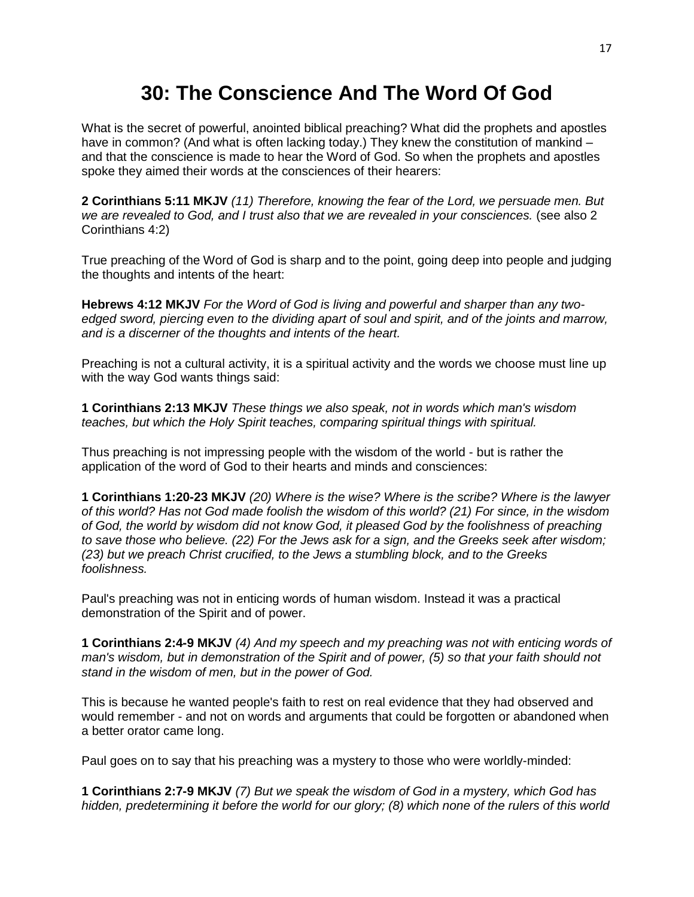#### **30: The Conscience And The Word Of God**

What is the secret of powerful, anointed biblical preaching? What did the prophets and apostles have in common? (And what is often lacking today.) They knew the constitution of mankind – and that the conscience is made to hear the Word of God. So when the prophets and apostles spoke they aimed their words at the consciences of their hearers:

**2 Corinthians 5:11 MKJV** *(11) Therefore, knowing the fear of the Lord, we persuade men. But we are revealed to God, and I trust also that we are revealed in your consciences.* (see also 2 Corinthians 4:2)

True preaching of the Word of God is sharp and to the point, going deep into people and judging the thoughts and intents of the heart:

**Hebrews 4:12 MKJV** *For the Word of God is living and powerful and sharper than any twoedged sword, piercing even to the dividing apart of soul and spirit, and of the joints and marrow, and is a discerner of the thoughts and intents of the heart.*

Preaching is not a cultural activity, it is a spiritual activity and the words we choose must line up with the way God wants things said:

**1 Corinthians 2:13 MKJV** *These things we also speak, not in words which man's wisdom teaches, but which the Holy Spirit teaches, comparing spiritual things with spiritual.*

Thus preaching is not impressing people with the wisdom of the world - but is rather the application of the word of God to their hearts and minds and consciences:

**1 Corinthians 1:20-23 MKJV** *(20) Where is the wise? Where is the scribe? Where is the lawyer of this world? Has not God made foolish the wisdom of this world? (21) For since, in the wisdom of God, the world by wisdom did not know God, it pleased God by the foolishness of preaching to save those who believe. (22) For the Jews ask for a sign, and the Greeks seek after wisdom; (23) but we preach Christ crucified, to the Jews a stumbling block, and to the Greeks foolishness.*

Paul's preaching was not in enticing words of human wisdom. Instead it was a practical demonstration of the Spirit and of power.

**1 Corinthians 2:4-9 MKJV** *(4) And my speech and my preaching was not with enticing words of man's wisdom, but in demonstration of the Spirit and of power, (5) so that your faith should not stand in the wisdom of men, but in the power of God.* 

This is because he wanted people's faith to rest on real evidence that they had observed and would remember - and not on words and arguments that could be forgotten or abandoned when a better orator came long.

Paul goes on to say that his preaching was a mystery to those who were worldly-minded:

**1 Corinthians 2:7-9 MKJV** *(7) But we speak the wisdom of God in a mystery, which God has hidden, predetermining it before the world for our glory; (8) which none of the rulers of this world*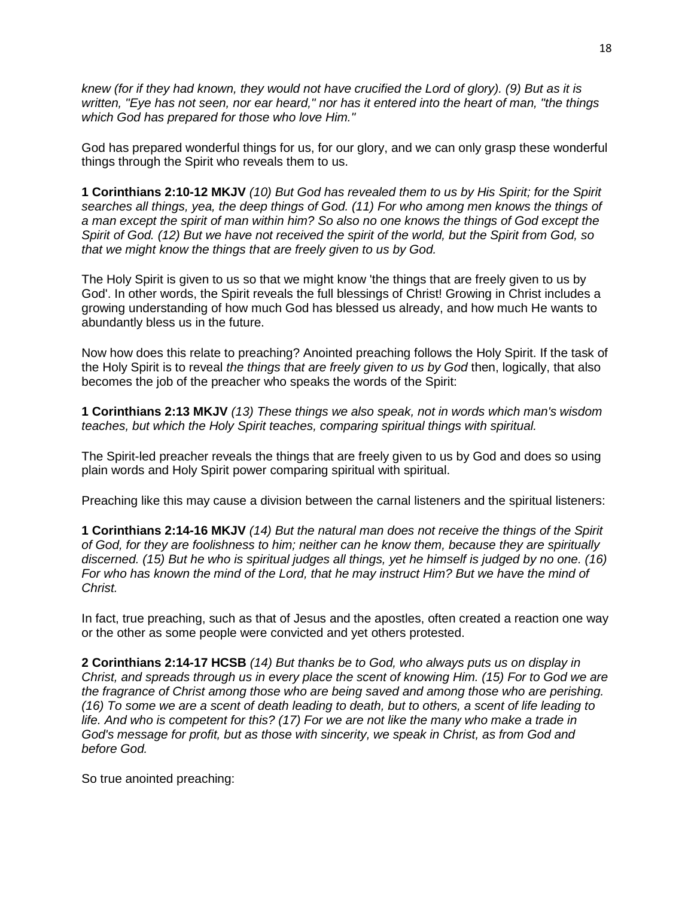*knew (for if they had known, they would not have crucified the Lord of glory). (9) But as it is written, "Eye has not seen, nor ear heard," nor has it entered into the heart of man, "the things which God has prepared for those who love Him."*

God has prepared wonderful things for us, for our glory, and we can only grasp these wonderful things through the Spirit who reveals them to us.

**1 Corinthians 2:10-12 MKJV** (10) But God has revealed them to us by His Spirit; for the Spirit *searches all things, yea, the deep things of God. (11) For who among men knows the things of a man except the spirit of man within him? So also no one knows the things of God except the Spirit of God. (12) But we have not received the spirit of the world, but the Spirit from God, so that we might know the things that are freely given to us by God.*

The Holy Spirit is given to us so that we might know 'the things that are freely given to us by God'. In other words, the Spirit reveals the full blessings of Christ! Growing in Christ includes a growing understanding of how much God has blessed us already, and how much He wants to abundantly bless us in the future.

Now how does this relate to preaching? Anointed preaching follows the Holy Spirit. If the task of the Holy Spirit is to reveal *the things that are freely given to us by God* then, logically, that also becomes the job of the preacher who speaks the words of the Spirit:

**1 Corinthians 2:13 MKJV** *(13) These things we also speak, not in words which man's wisdom teaches, but which the Holy Spirit teaches, comparing spiritual things with spiritual.*

The Spirit-led preacher reveals the things that are freely given to us by God and does so using plain words and Holy Spirit power comparing spiritual with spiritual.

Preaching like this may cause a division between the carnal listeners and the spiritual listeners:

**1 Corinthians 2:14-16 MKJV** *(14) But the natural man does not receive the things of the Spirit of God, for they are foolishness to him; neither can he know them, because they are spiritually discerned. (15) But he who is spiritual judges all things, yet he himself is judged by no one. (16) For who has known the mind of the Lord, that he may instruct Him? But we have the mind of Christ.*

In fact, true preaching, such as that of Jesus and the apostles, often created a reaction one way or the other as some people were convicted and yet others protested.

**2 Corinthians 2:14-17 HCSB** *(14) But thanks be to God, who always puts us on display in Christ, and spreads through us in every place the scent of knowing Him. (15) For to God we are the fragrance of Christ among those who are being saved and among those who are perishing. (16) To some we are a scent of death leading to death, but to others, a scent of life leading to life. And who is competent for this? (17) For we are not like the many who make a trade in God's message for profit, but as those with sincerity, we speak in Christ, as from God and before God.*

So true anointed preaching: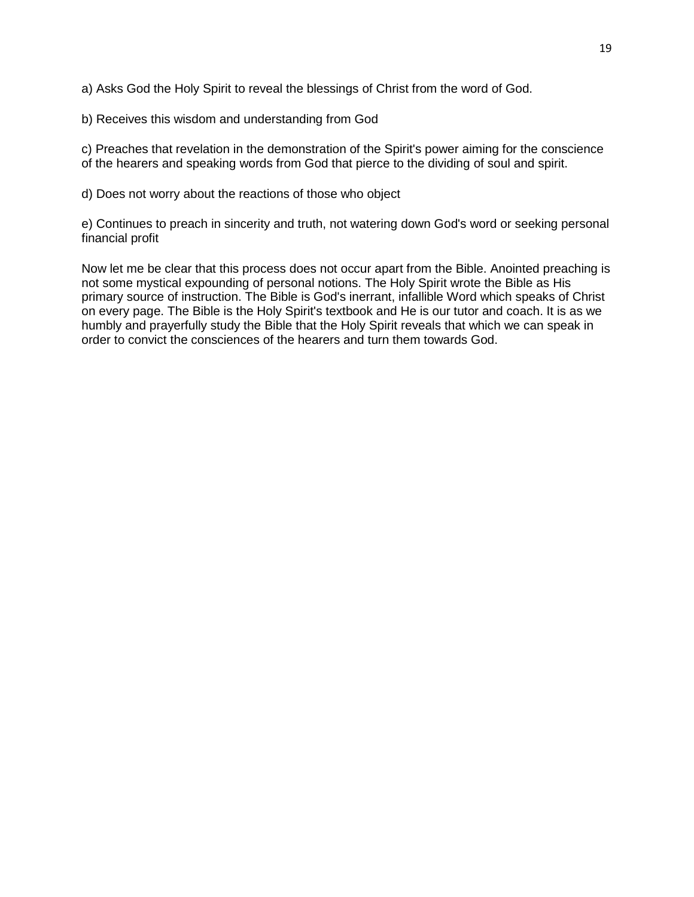a) Asks God the Holy Spirit to reveal the blessings of Christ from the word of God.

b) Receives this wisdom and understanding from God

c) Preaches that revelation in the demonstration of the Spirit's power aiming for the conscience of the hearers and speaking words from God that pierce to the dividing of soul and spirit.

d) Does not worry about the reactions of those who object

e) Continues to preach in sincerity and truth, not watering down God's word or seeking personal financial profit

Now let me be clear that this process does not occur apart from the Bible. Anointed preaching is not some mystical expounding of personal notions. The Holy Spirit wrote the Bible as His primary source of instruction. The Bible is God's inerrant, infallible Word which speaks of Christ on every page. The Bible is the Holy Spirit's textbook and He is our tutor and coach. It is as we humbly and prayerfully study the Bible that the Holy Spirit reveals that which we can speak in order to convict the consciences of the hearers and turn them towards God.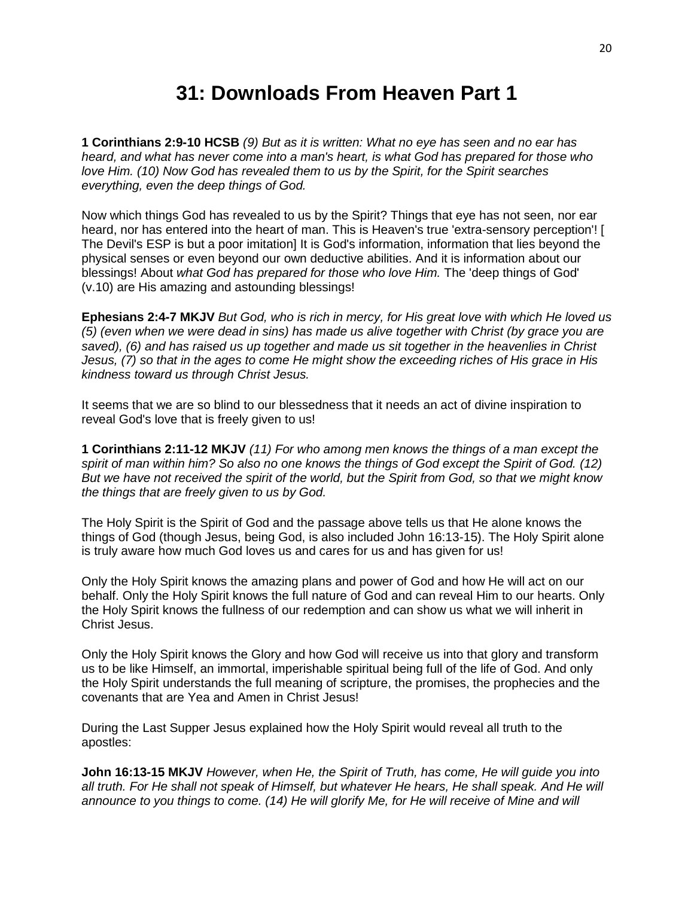#### **31: Downloads From Heaven Part 1**

**1 Corinthians 2:9-10 HCSB** *(9) But as it is written: What no eye has seen and no ear has heard, and what has never come into a man's heart, is what God has prepared for those who love Him. (10) Now God has revealed them to us by the Spirit, for the Spirit searches everything, even the deep things of God.* 

Now which things God has revealed to us by the Spirit? Things that eye has not seen, nor ear heard, nor has entered into the heart of man. This is Heaven's true 'extra-sensory perception'! [ The Devil's ESP is but a poor imitation] It is God's information, information that lies beyond the physical senses or even beyond our own deductive abilities. And it is information about our blessings! About *what God has prepared for those who love Him.* The 'deep things of God' (v.10) are His amazing and astounding blessings!

**Ephesians 2:4-7 MKJV** *But God, who is rich in mercy, for His great love with which He loved us (5) (even when we were dead in sins) has made us alive together with Christ (by grace you are saved), (6) and has raised us up together and made us sit together in the heavenlies in Christ Jesus, (7) so that in the ages to come He might show the exceeding riches of His grace in His kindness toward us through Christ Jesus.*

It seems that we are so blind to our blessedness that it needs an act of divine inspiration to reveal God's love that is freely given to us!

**1 Corinthians 2:11-12 MKJV** *(11) For who among men knows the things of a man except the spirit of man within him? So also no one knows the things of God except the Spirit of God. (12) But we have not received the spirit of the world, but the Spirit from God, so that we might know the things that are freely given to us by God.*

The Holy Spirit is the Spirit of God and the passage above tells us that He alone knows the things of God (though Jesus, being God, is also included John 16:13-15). The Holy Spirit alone is truly aware how much God loves us and cares for us and has given for us!

Only the Holy Spirit knows the amazing plans and power of God and how He will act on our behalf. Only the Holy Spirit knows the full nature of God and can reveal Him to our hearts. Only the Holy Spirit knows the fullness of our redemption and can show us what we will inherit in Christ Jesus.

Only the Holy Spirit knows the Glory and how God will receive us into that glory and transform us to be like Himself, an immortal, imperishable spiritual being full of the life of God. And only the Holy Spirit understands the full meaning of scripture, the promises, the prophecies and the covenants that are Yea and Amen in Christ Jesus!

During the Last Supper Jesus explained how the Holy Spirit would reveal all truth to the apostles:

**John 16:13-15 MKJV** *However, when He, the Spirit of Truth, has come, He will guide you into*  all truth. For He shall not speak of Himself, but whatever He hears, He shall speak. And He will announce to you things to come. (14) He will glorify Me, for He will receive of Mine and will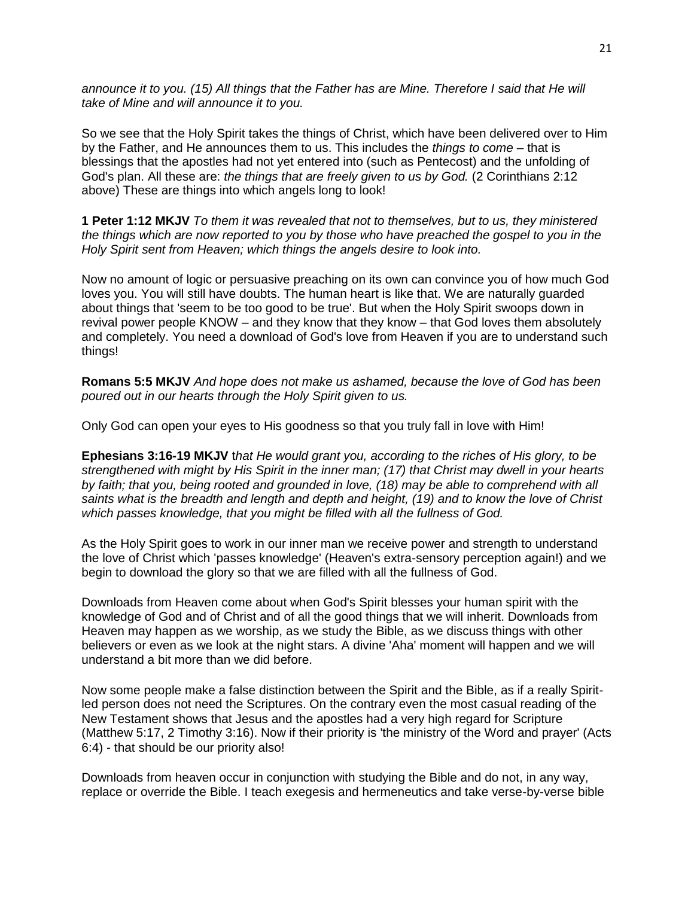announce it to you. (15) All things that the Father has are Mine. Therefore I said that He will *take of Mine and will announce it to you.*

So we see that the Holy Spirit takes the things of Christ, which have been delivered over to Him by the Father, and He announces them to us. This includes the *things to come –* that is blessings that the apostles had not yet entered into (such as Pentecost) and the unfolding of God's plan. All these are: *the things that are freely given to us by God.* (2 Corinthians 2:12 above) These are things into which angels long to look!

**1 Peter 1:12 MKJV** *To them it was revealed that not to themselves, but to us, they ministered the things which are now reported to you by those who have preached the gospel to you in the Holy Spirit sent from Heaven; which things the angels desire to look into.*

Now no amount of logic or persuasive preaching on its own can convince you of how much God loves you. You will still have doubts. The human heart is like that. We are naturally guarded about things that 'seem to be too good to be true'. But when the Holy Spirit swoops down in revival power people KNOW – and they know that they know – that God loves them absolutely and completely. You need a download of God's love from Heaven if you are to understand such things!

**Romans 5:5 MKJV** *And hope does not make us ashamed, because the love of God has been poured out in our hearts through the Holy Spirit given to us.*

Only God can open your eyes to His goodness so that you truly fall in love with Him!

**Ephesians 3:16-19 MKJV** t*hat He would grant you, according to the riches of His glory, to be strengthened with might by His Spirit in the inner man; (17) that Christ may dwell in your hearts by faith; that you, being rooted and grounded in love, (18) may be able to comprehend with all saints what is the breadth and length and depth and height, (19) and to know the love of Christ which passes knowledge, that you might be filled with all the fullness of God.*

As the Holy Spirit goes to work in our inner man we receive power and strength to understand the love of Christ which 'passes knowledge' (Heaven's extra-sensory perception again!) and we begin to download the glory so that we are filled with all the fullness of God.

Downloads from Heaven come about when God's Spirit blesses your human spirit with the knowledge of God and of Christ and of all the good things that we will inherit. Downloads from Heaven may happen as we worship, as we study the Bible, as we discuss things with other believers or even as we look at the night stars. A divine 'Aha' moment will happen and we will understand a bit more than we did before.

Now some people make a false distinction between the Spirit and the Bible, as if a really Spiritled person does not need the Scriptures. On the contrary even the most casual reading of the New Testament shows that Jesus and the apostles had a very high regard for Scripture (Matthew 5:17, 2 Timothy 3:16). Now if their priority is 'the ministry of the Word and prayer' (Acts 6:4) - that should be our priority also!

Downloads from heaven occur in conjunction with studying the Bible and do not, in any way, replace or override the Bible. I teach exegesis and hermeneutics and take verse-by-verse bible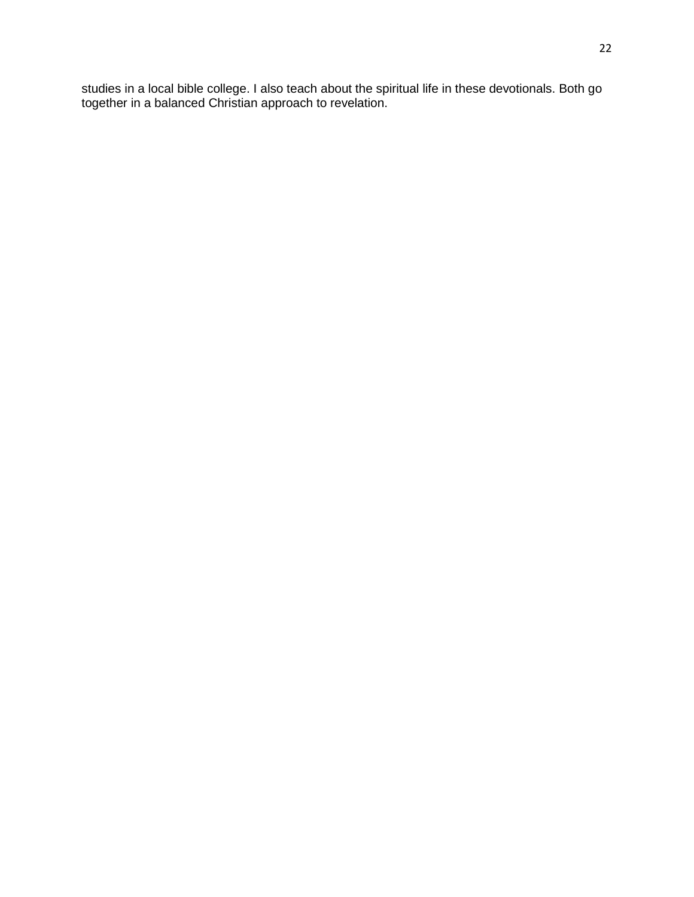studies in a local bible college. I also teach about the spiritual life in these devotionals. Both go together in a balanced Christian approach to revelation.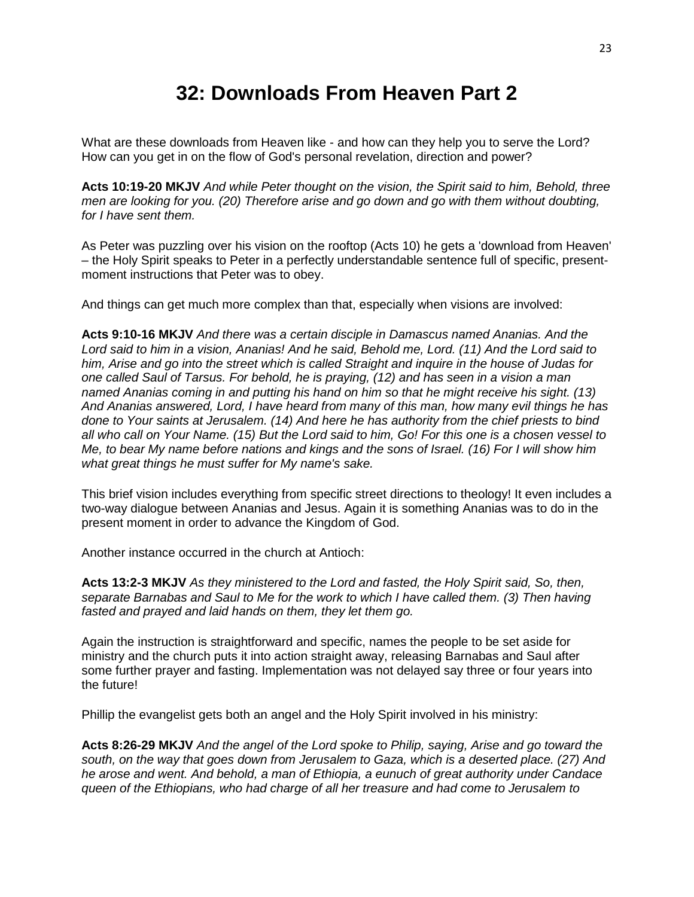#### **32: Downloads From Heaven Part 2**

What are these downloads from Heaven like - and how can they help you to serve the Lord? How can you get in on the flow of God's personal revelation, direction and power?

**Acts 10:19-20 MKJV** *And while Peter thought on the vision, the Spirit said to him, Behold, three men are looking for you. (20) Therefore arise and go down and go with them without doubting, for I have sent them.*

As Peter was puzzling over his vision on the rooftop (Acts 10) he gets a 'download from Heaven' – the Holy Spirit speaks to Peter in a perfectly understandable sentence full of specific, presentmoment instructions that Peter was to obey.

And things can get much more complex than that, especially when visions are involved:

**Acts 9:10-16 MKJV** *And there was a certain disciple in Damascus named Ananias. And the Lord said to him in a vision, Ananias! And he said, Behold me, Lord. (11) And the Lord said to him, Arise and go into the street which is called Straight and inquire in the house of Judas for one called Saul of Tarsus. For behold, he is praying, (12) and has seen in a vision a man named Ananias coming in and putting his hand on him so that he might receive his sight. (13) And Ananias answered, Lord, I have heard from many of this man, how many evil things he has done to Your saints at Jerusalem. (14) And here he has authority from the chief priests to bind all who call on Your Name. (15) But the Lord said to him, Go! For this one is a chosen vessel to Me, to bear My name before nations and kings and the sons of Israel. (16) For I will show him what great things he must suffer for My name's sake.*

This brief vision includes everything from specific street directions to theology! It even includes a two-way dialogue between Ananias and Jesus. Again it is something Ananias was to do in the present moment in order to advance the Kingdom of God.

Another instance occurred in the church at Antioch:

**Acts 13:2-3 MKJV** *As they ministered to the Lord and fasted, the Holy Spirit said, So, then, separate Barnabas and Saul to Me for the work to which I have called them. (3) Then having fasted and prayed and laid hands on them, they let them go.*

Again the instruction is straightforward and specific, names the people to be set aside for ministry and the church puts it into action straight away, releasing Barnabas and Saul after some further prayer and fasting. Implementation was not delayed say three or four years into the future!

Phillip the evangelist gets both an angel and the Holy Spirit involved in his ministry:

**Acts 8:26-29 MKJV** *And the angel of the Lord spoke to Philip, saying, Arise and go toward the south, on the way that goes down from Jerusalem to Gaza, which is a deserted place. (27) And he arose and went. And behold, a man of Ethiopia, a eunuch of great authority under Candace queen of the Ethiopians, who had charge of all her treasure and had come to Jerusalem to*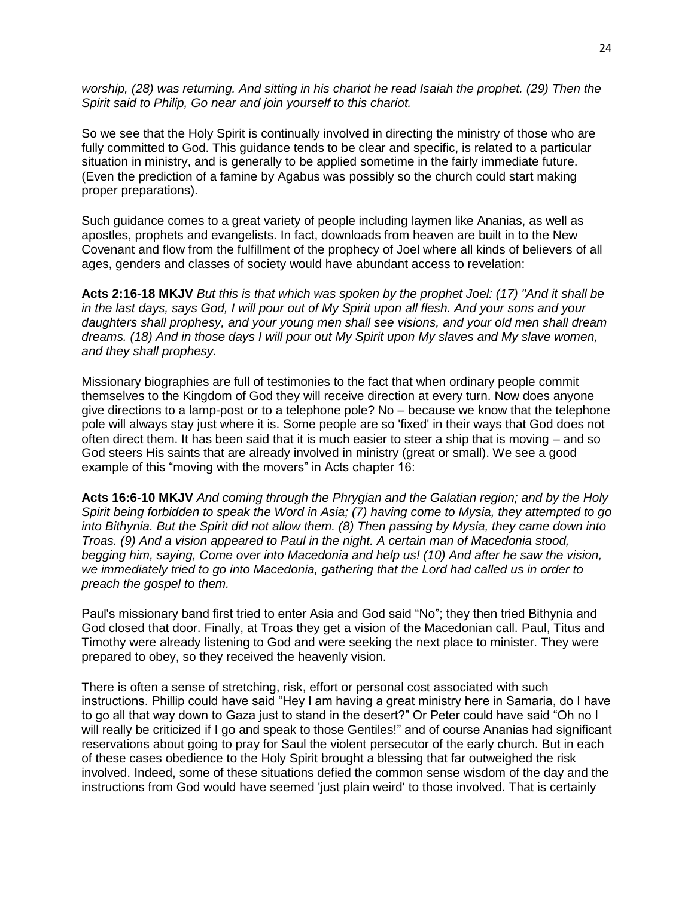*worship, (28) was returning. And sitting in his chariot he read Isaiah the prophet. (29) Then the Spirit said to Philip, Go near and join yourself to this chariot.*

So we see that the Holy Spirit is continually involved in directing the ministry of those who are fully committed to God. This guidance tends to be clear and specific, is related to a particular situation in ministry, and is generally to be applied sometime in the fairly immediate future. (Even the prediction of a famine by Agabus was possibly so the church could start making proper preparations).

Such guidance comes to a great variety of people including laymen like Ananias, as well as apostles, prophets and evangelists. In fact, downloads from heaven are built in to the New Covenant and flow from the fulfillment of the prophecy of Joel where all kinds of believers of all ages, genders and classes of society would have abundant access to revelation:

**Acts 2:16-18 MKJV** *But this is that which was spoken by the prophet Joel: (17) "And it shall be in the last days, says God, I will pour out of My Spirit upon all flesh. And your sons and your daughters shall prophesy, and your young men shall see visions, and your old men shall dream dreams. (18) And in those days I will pour out My Spirit upon My slaves and My slave women, and they shall prophesy.*

Missionary biographies are full of testimonies to the fact that when ordinary people commit themselves to the Kingdom of God they will receive direction at every turn. Now does anyone give directions to a lamp-post or to a telephone pole? No – because we know that the telephone pole will always stay just where it is. Some people are so 'fixed' in their ways that God does not often direct them. It has been said that it is much easier to steer a ship that is moving – and so God steers His saints that are already involved in ministry (great or small). We see a good example of this "moving with the movers" in Acts chapter 16:

**Acts 16:6-10 MKJV** *And coming through the Phrygian and the Galatian region; and by the Holy Spirit being forbidden to speak the Word in Asia; (7) having come to Mysia, they attempted to go into Bithynia. But the Spirit did not allow them. (8) Then passing by Mysia, they came down into Troas. (9) And a vision appeared to Paul in the night. A certain man of Macedonia stood, begging him, saying, Come over into Macedonia and help us! (10) And after he saw the vision, we immediately tried to go into Macedonia, gathering that the Lord had called us in order to preach the gospel to them.*

Paul's missionary band first tried to enter Asia and God said "No"; they then tried Bithynia and God closed that door. Finally, at Troas they get a vision of the Macedonian call. Paul, Titus and Timothy were already listening to God and were seeking the next place to minister. They were prepared to obey, so they received the heavenly vision.

There is often a sense of stretching, risk, effort or personal cost associated with such instructions. Phillip could have said "Hey I am having a great ministry here in Samaria, do I have to go all that way down to Gaza just to stand in the desert?" Or Peter could have said "Oh no I will really be criticized if I go and speak to those Gentiles!" and of course Ananias had significant reservations about going to pray for Saul the violent persecutor of the early church. But in each of these cases obedience to the Holy Spirit brought a blessing that far outweighed the risk involved. Indeed, some of these situations defied the common sense wisdom of the day and the instructions from God would have seemed 'just plain weird' to those involved. That is certainly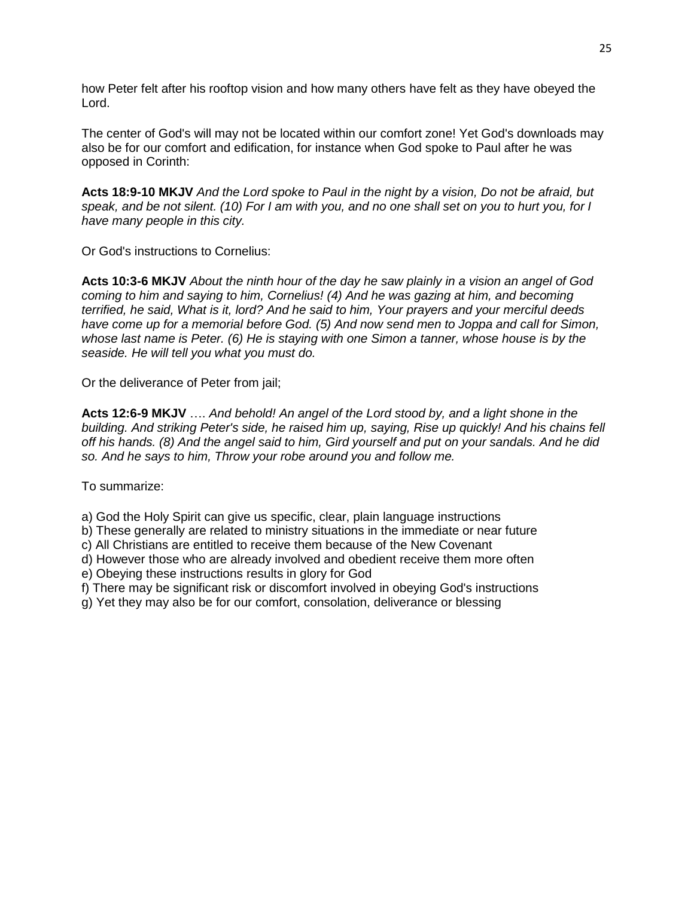how Peter felt after his rooftop vision and how many others have felt as they have obeyed the Lord.

The center of God's will may not be located within our comfort zone! Yet God's downloads may also be for our comfort and edification, for instance when God spoke to Paul after he was opposed in Corinth:

**Acts 18:9-10 MKJV** *And the Lord spoke to Paul in the night by a vision, Do not be afraid, but speak, and be not silent. (10) For I am with you, and no one shall set on you to hurt you, for I have many people in this city.*

Or God's instructions to Cornelius:

**Acts 10:3-6 MKJV** *About the ninth hour of the day he saw plainly in a vision an angel of God coming to him and saying to him, Cornelius! (4) And he was gazing at him, and becoming terrified, he said, What is it, lord? And he said to him, Your prayers and your merciful deeds have come up for a memorial before God. (5) And now send men to Joppa and call for Simon, whose last name is Peter. (6) He is staying with one Simon a tanner, whose house is by the seaside. He will tell you what you must do.*

Or the deliverance of Peter from jail;

**Acts 12:6-9 MKJV** …. *And behold! An angel of the Lord stood by, and a light shone in the building. And striking Peter's side, he raised him up, saying, Rise up quickly! And his chains fell off his hands. (8) And the angel said to him, Gird yourself and put on your sandals. And he did so. And he says to him, Throw your robe around you and follow me.* 

To summarize:

a) God the Holy Spirit can give us specific, clear, plain language instructions

b) These generally are related to ministry situations in the immediate or near future

c) All Christians are entitled to receive them because of the New Covenant

d) However those who are already involved and obedient receive them more often

e) Obeying these instructions results in glory for God

f) There may be significant risk or discomfort involved in obeying God's instructions

g) Yet they may also be for our comfort, consolation, deliverance or blessing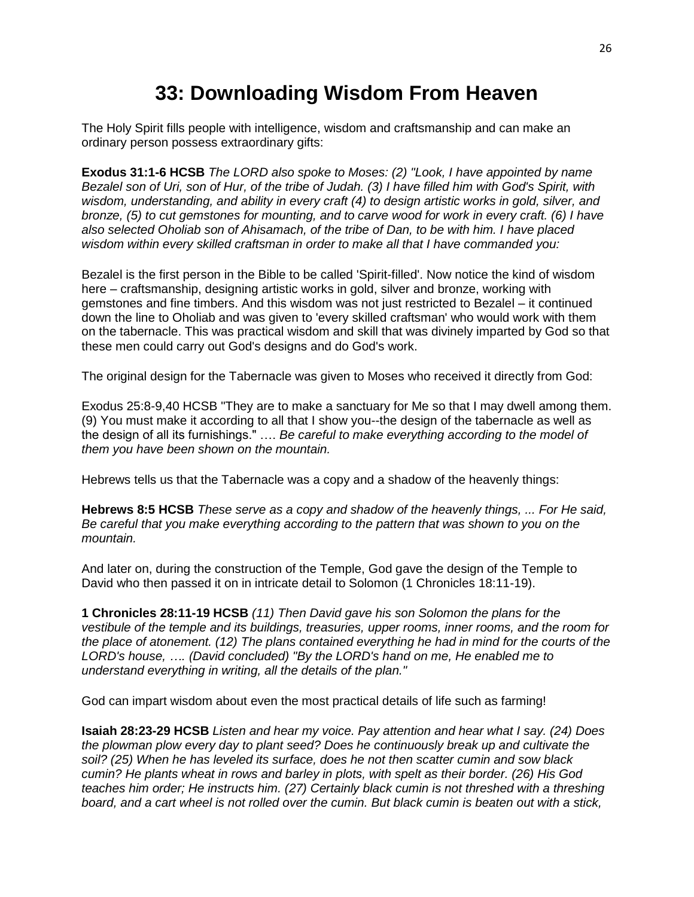## **33: Downloading Wisdom From Heaven**

The Holy Spirit fills people with intelligence, wisdom and craftsmanship and can make an ordinary person possess extraordinary gifts:

**Exodus 31:1-6 HCSB** *The LORD also spoke to Moses: (2) "Look, I have appointed by name Bezalel son of Uri, son of Hur, of the tribe of Judah. (3) I have filled him with God's Spirit, with wisdom, understanding, and ability in every craft (4) to design artistic works in gold, silver, and bronze, (5) to cut gemstones for mounting, and to carve wood for work in every craft. (6) I have also selected Oholiab son of Ahisamach, of the tribe of Dan, to be with him. I have placed wisdom within every skilled craftsman in order to make all that I have commanded you:*

Bezalel is the first person in the Bible to be called 'Spirit-filled'. Now notice the kind of wisdom here – craftsmanship, designing artistic works in gold, silver and bronze, working with gemstones and fine timbers. And this wisdom was not just restricted to Bezalel – it continued down the line to Oholiab and was given to 'every skilled craftsman' who would work with them on the tabernacle. This was practical wisdom and skill that was divinely imparted by God so that these men could carry out God's designs and do God's work.

The original design for the Tabernacle was given to Moses who received it directly from God:

Exodus 25:8-9,40 HCSB "They are to make a sanctuary for Me so that I may dwell among them. (9) You must make it according to all that I show you--the design of the tabernacle as well as the design of all its furnishings." …. *Be careful to make everything according to the model of them you have been shown on the mountain.*

Hebrews tells us that the Tabernacle was a copy and a shadow of the heavenly things:

**Hebrews 8:5 HCSB** *These serve as a copy and shadow of the heavenly things, ... For He said, Be careful that you make everything according to the pattern that was shown to you on the mountain.*

And later on, during the construction of the Temple, God gave the design of the Temple to David who then passed it on in intricate detail to Solomon (1 Chronicles 18:11-19).

**1 Chronicles 28:11-19 HCSB** *(11) Then David gave his son Solomon the plans for the vestibule of the temple and its buildings, treasuries, upper rooms, inner rooms, and the room for the place of atonement. (12) The plans contained everything he had in mind for the courts of the LORD's house, …. (David concluded) "By the LORD's hand on me, He enabled me to understand everything in writing, all the details of the plan."*

God can impart wisdom about even the most practical details of life such as farming!

**Isaiah 28:23-29 HCSB** *Listen and hear my voice. Pay attention and hear what I say. (24) Does the plowman plow every day to plant seed? Does he continuously break up and cultivate the soil? (25) When he has leveled its surface, does he not then scatter cumin and sow black cumin? He plants wheat in rows and barley in plots, with spelt as their border. (26) His God teaches him order; He instructs him. (27) Certainly black cumin is not threshed with a threshing board, and a cart wheel is not rolled over the cumin. But black cumin is beaten out with a stick,*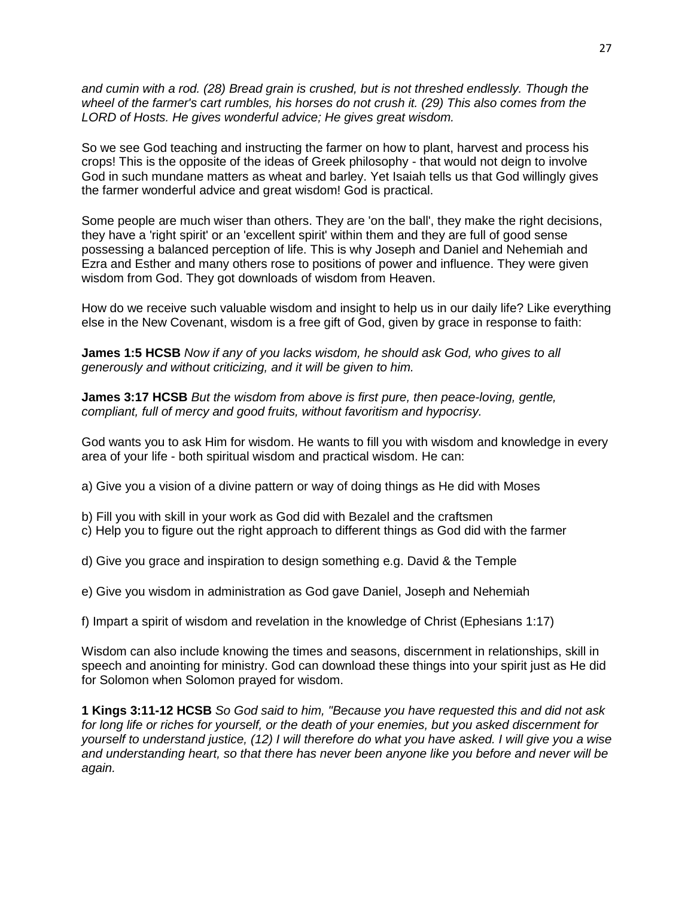*and cumin with a rod. (28) Bread grain is crushed, but is not threshed endlessly. Though the wheel of the farmer's cart rumbles, his horses do not crush it. (29) This also comes from the LORD of Hosts. He gives wonderful advice; He gives great wisdom.*

So we see God teaching and instructing the farmer on how to plant, harvest and process his crops! This is the opposite of the ideas of Greek philosophy - that would not deign to involve God in such mundane matters as wheat and barley. Yet Isaiah tells us that God willingly gives the farmer wonderful advice and great wisdom! God is practical.

Some people are much wiser than others. They are 'on the ball', they make the right decisions, they have a 'right spirit' or an 'excellent spirit' within them and they are full of good sense possessing a balanced perception of life. This is why Joseph and Daniel and Nehemiah and Ezra and Esther and many others rose to positions of power and influence. They were given wisdom from God. They got downloads of wisdom from Heaven.

How do we receive such valuable wisdom and insight to help us in our daily life? Like everything else in the New Covenant, wisdom is a free gift of God, given by grace in response to faith:

**James 1:5 HCSB** *Now if any of you lacks wisdom, he should ask God, who gives to all generously and without criticizing, and it will be given to him.*

**James 3:17 HCSB** *But the wisdom from above is first pure, then peace-loving, gentle, compliant, full of mercy and good fruits, without favoritism and hypocrisy.*

God wants you to ask Him for wisdom. He wants to fill you with wisdom and knowledge in every area of your life - both spiritual wisdom and practical wisdom. He can:

a) Give you a vision of a divine pattern or way of doing things as He did with Moses

b) Fill you with skill in your work as God did with Bezalel and the craftsmen

c) Help you to figure out the right approach to different things as God did with the farmer

d) Give you grace and inspiration to design something e.g. David & the Temple

e) Give you wisdom in administration as God gave Daniel, Joseph and Nehemiah

f) Impart a spirit of wisdom and revelation in the knowledge of Christ (Ephesians 1:17)

Wisdom can also include knowing the times and seasons, discernment in relationships, skill in speech and anointing for ministry. God can download these things into your spirit just as He did for Solomon when Solomon prayed for wisdom.

**1 Kings 3:11-12 HCSB** *So God said to him, "Because you have requested this and did not ask for long life or riches for yourself, or the death of your enemies, but you asked discernment for yourself to understand justice, (12) I will therefore do what you have asked. I will give you a wise and understanding heart, so that there has never been anyone like you before and never will be again.*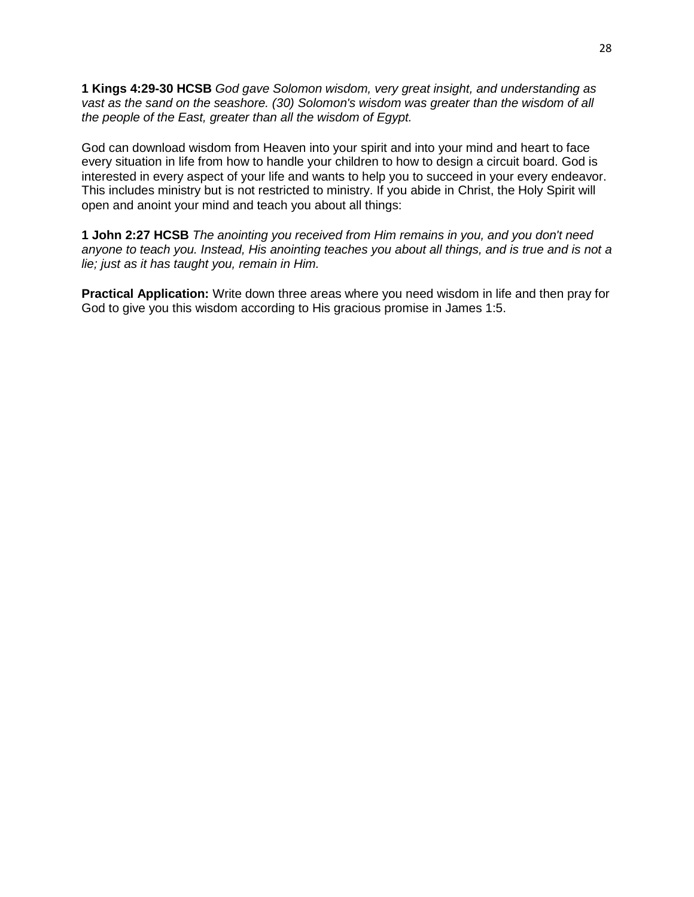**1 Kings 4:29-30 HCSB** *God gave Solomon wisdom, very great insight, and understanding as vast as the sand on the seashore. (30) Solomon's wisdom was greater than the wisdom of all the people of the East, greater than all the wisdom of Egypt.* 

God can download wisdom from Heaven into your spirit and into your mind and heart to face every situation in life from how to handle your children to how to design a circuit board. God is interested in every aspect of your life and wants to help you to succeed in your every endeavor. This includes ministry but is not restricted to ministry. If you abide in Christ, the Holy Spirit will open and anoint your mind and teach you about all things:

**1 John 2:27 HCSB** *The anointing you received from Him remains in you, and you don't need anyone to teach you. Instead, His anointing teaches you about all things, and is true and is not a lie; just as it has taught you, remain in Him.*

**Practical Application:** Write down three areas where you need wisdom in life and then pray for God to give you this wisdom according to His gracious promise in James 1:5.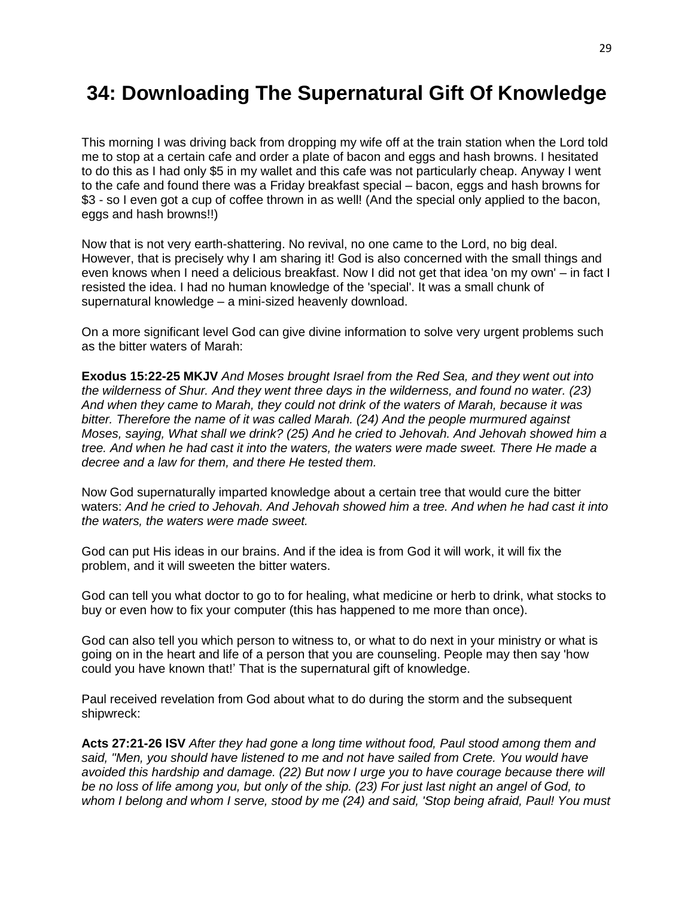## **34: Downloading The Supernatural Gift Of Knowledge**

This morning I was driving back from dropping my wife off at the train station when the Lord told me to stop at a certain cafe and order a plate of bacon and eggs and hash browns. I hesitated to do this as I had only \$5 in my wallet and this cafe was not particularly cheap. Anyway I went to the cafe and found there was a Friday breakfast special – bacon, eggs and hash browns for \$3 - so I even got a cup of coffee thrown in as well! (And the special only applied to the bacon, eggs and hash browns!!)

Now that is not very earth-shattering. No revival, no one came to the Lord, no big deal. However, that is precisely why I am sharing it! God is also concerned with the small things and even knows when I need a delicious breakfast. Now I did not get that idea 'on my own' – in fact I resisted the idea. I had no human knowledge of the 'special'. It was a small chunk of supernatural knowledge – a mini-sized heavenly download.

On a more significant level God can give divine information to solve very urgent problems such as the bitter waters of Marah:

**Exodus 15:22-25 MKJV** *And Moses brought Israel from the Red Sea, and they went out into the wilderness of Shur. And they went three days in the wilderness, and found no water. (23) And when they came to Marah, they could not drink of the waters of Marah, because it was bitter. Therefore the name of it was called Marah. (24) And the people murmured against Moses, saying, What shall we drink? (25) And he cried to Jehovah. And Jehovah showed him a tree. And when he had cast it into the waters, the waters were made sweet. There He made a decree and a law for them, and there He tested them.*

Now God supernaturally imparted knowledge about a certain tree that would cure the bitter waters: *And he cried to Jehovah. And Jehovah showed him a tree. And when he had cast it into the waters, the waters were made sweet.* 

God can put His ideas in our brains. And if the idea is from God it will work, it will fix the problem, and it will sweeten the bitter waters.

God can tell you what doctor to go to for healing, what medicine or herb to drink, what stocks to buy or even how to fix your computer (this has happened to me more than once).

God can also tell you which person to witness to, or what to do next in your ministry or what is going on in the heart and life of a person that you are counseling. People may then say 'how could you have known that!' That is the supernatural gift of knowledge.

Paul received revelation from God about what to do during the storm and the subsequent shipwreck:

**Acts 27:21-26 ISV** *After they had gone a long time without food, Paul stood among them and said, "Men, you should have listened to me and not have sailed from Crete. You would have avoided this hardship and damage. (22) But now I urge you to have courage because there will be no loss of life among you, but only of the ship. (23) For just last night an angel of God, to whom I belong and whom I serve, stood by me (24) and said, 'Stop being afraid, Paul! You must*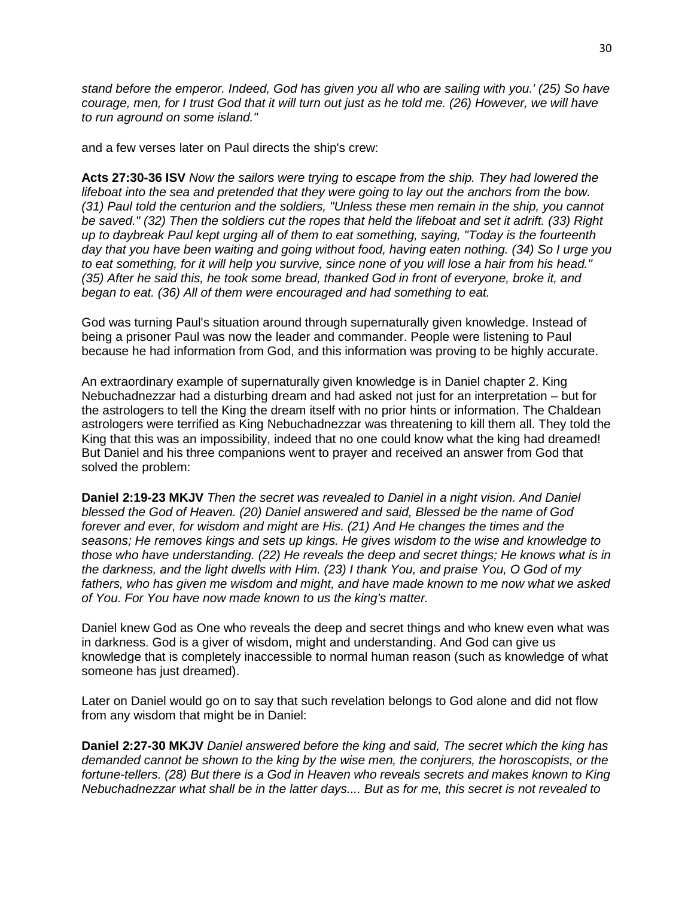*stand before the emperor. Indeed, God has given you all who are sailing with you.' (25) So have courage, men, for I trust God that it will turn out just as he told me. (26) However, we will have to run aground on some island."*

and a few verses later on Paul directs the ship's crew:

**Acts 27:30-36 ISV** *Now the sailors were trying to escape from the ship. They had lowered the lifeboat into the sea and pretended that they were going to lay out the anchors from the bow. (31) Paul told the centurion and the soldiers, "Unless these men remain in the ship, you cannot be saved." (32) Then the soldiers cut the ropes that held the lifeboat and set it adrift. (33) Right up to daybreak Paul kept urging all of them to eat something, saying, "Today is the fourteenth day that you have been waiting and going without food, having eaten nothing. (34) So I urge you to eat something, for it will help you survive, since none of you will lose a hair from his head." (35) After he said this, he took some bread, thanked God in front of everyone, broke it, and began to eat. (36) All of them were encouraged and had something to eat.*

God was turning Paul's situation around through supernaturally given knowledge. Instead of being a prisoner Paul was now the leader and commander. People were listening to Paul because he had information from God, and this information was proving to be highly accurate.

An extraordinary example of supernaturally given knowledge is in Daniel chapter 2. King Nebuchadnezzar had a disturbing dream and had asked not just for an interpretation – but for the astrologers to tell the King the dream itself with no prior hints or information. The Chaldean astrologers were terrified as King Nebuchadnezzar was threatening to kill them all. They told the King that this was an impossibility, indeed that no one could know what the king had dreamed! But Daniel and his three companions went to prayer and received an answer from God that solved the problem:

**Daniel 2:19-23 MKJV** *Then the secret was revealed to Daniel in a night vision. And Daniel blessed the God of Heaven. (20) Daniel answered and said, Blessed be the name of God forever and ever, for wisdom and might are His. (21) And He changes the times and the seasons; He removes kings and sets up kings. He gives wisdom to the wise and knowledge to those who have understanding. (22) He reveals the deep and secret things; He knows what is in the darkness, and the light dwells with Him. (23) I thank You, and praise You, O God of my fathers, who has given me wisdom and might, and have made known to me now what we asked of You. For You have now made known to us the king's matter.*

Daniel knew God as One who reveals the deep and secret things and who knew even what was in darkness. God is a giver of wisdom, might and understanding. And God can give us knowledge that is completely inaccessible to normal human reason (such as knowledge of what someone has just dreamed).

Later on Daniel would go on to say that such revelation belongs to God alone and did not flow from any wisdom that might be in Daniel:

**Daniel 2:27-30 MKJV** *Daniel answered before the king and said, The secret which the king has demanded cannot be shown to the king by the wise men, the conjurers, the horoscopists, or the fortune-tellers. (28) But there is a God in Heaven who reveals secrets and makes known to King Nebuchadnezzar what shall be in the latter days.... But as for me, this secret is not revealed to*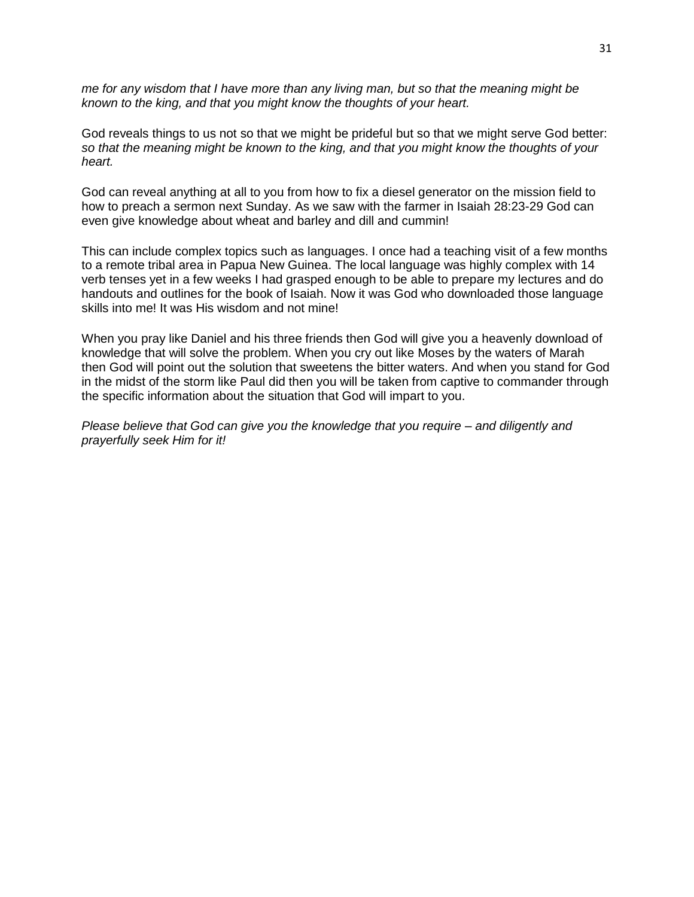*me for any wisdom that I have more than any living man, but so that the meaning might be known to the king, and that you might know the thoughts of your heart.*

God reveals things to us not so that we might be prideful but so that we might serve God better: *so that the meaning might be known to the king, and that you might know the thoughts of your heart.*

God can reveal anything at all to you from how to fix a diesel generator on the mission field to how to preach a sermon next Sunday. As we saw with the farmer in Isaiah 28:23-29 God can even give knowledge about wheat and barley and dill and cummin!

This can include complex topics such as languages. I once had a teaching visit of a few months to a remote tribal area in Papua New Guinea. The local language was highly complex with 14 verb tenses yet in a few weeks I had grasped enough to be able to prepare my lectures and do handouts and outlines for the book of Isaiah. Now it was God who downloaded those language skills into me! It was His wisdom and not mine!

When you pray like Daniel and his three friends then God will give you a heavenly download of knowledge that will solve the problem. When you cry out like Moses by the waters of Marah then God will point out the solution that sweetens the bitter waters. And when you stand for God in the midst of the storm like Paul did then you will be taken from captive to commander through the specific information about the situation that God will impart to you.

*Please believe that God can give you the knowledge that you require – and diligently and prayerfully seek Him for it!*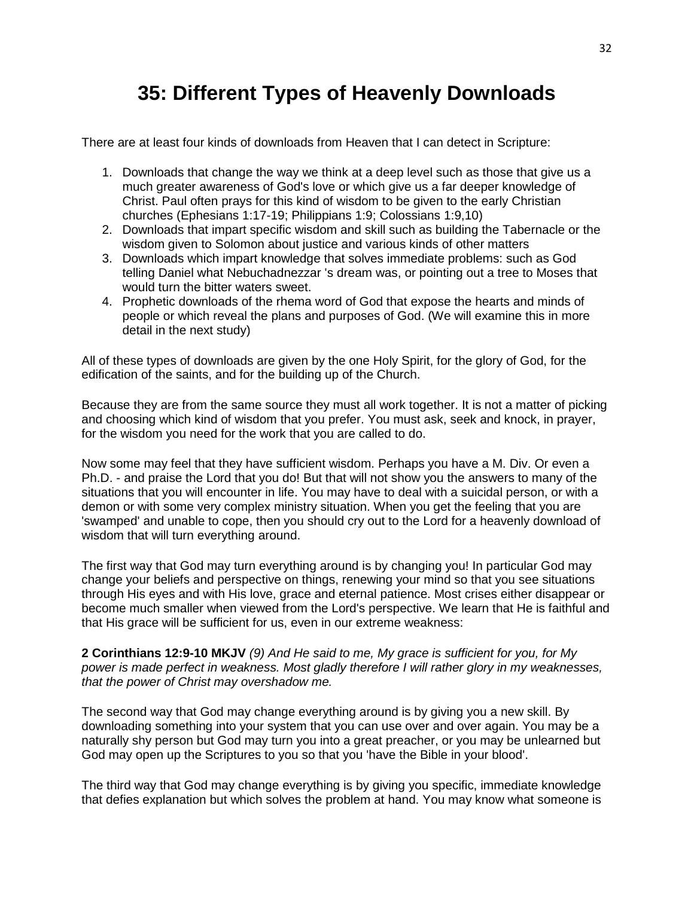## **35: Different Types of Heavenly Downloads**

There are at least four kinds of downloads from Heaven that I can detect in Scripture:

- 1. Downloads that change the way we think at a deep level such as those that give us a much greater awareness of God's love or which give us a far deeper knowledge of Christ. Paul often prays for this kind of wisdom to be given to the early Christian churches (Ephesians 1:17-19; Philippians 1:9; Colossians 1:9,10)
- 2. Downloads that impart specific wisdom and skill such as building the Tabernacle or the wisdom given to Solomon about justice and various kinds of other matters
- 3. Downloads which impart knowledge that solves immediate problems: such as God telling Daniel what Nebuchadnezzar 's dream was, or pointing out a tree to Moses that would turn the bitter waters sweet.
- 4. Prophetic downloads of the rhema word of God that expose the hearts and minds of people or which reveal the plans and purposes of God. (We will examine this in more detail in the next study)

All of these types of downloads are given by the one Holy Spirit, for the glory of God, for the edification of the saints, and for the building up of the Church.

Because they are from the same source they must all work together. It is not a matter of picking and choosing which kind of wisdom that you prefer. You must ask, seek and knock, in prayer, for the wisdom you need for the work that you are called to do.

Now some may feel that they have sufficient wisdom. Perhaps you have a M. Div. Or even a Ph.D. - and praise the Lord that you do! But that will not show you the answers to many of the situations that you will encounter in life. You may have to deal with a suicidal person, or with a demon or with some very complex ministry situation. When you get the feeling that you are 'swamped' and unable to cope, then you should cry out to the Lord for a heavenly download of wisdom that will turn everything around.

The first way that God may turn everything around is by changing you! In particular God may change your beliefs and perspective on things, renewing your mind so that you see situations through His eyes and with His love, grace and eternal patience. Most crises either disappear or become much smaller when viewed from the Lord's perspective. We learn that He is faithful and that His grace will be sufficient for us, even in our extreme weakness:

**2 Corinthians 12:9-10 MKJV** *(9) And He said to me, My grace is sufficient for you, for My power is made perfect in weakness. Most gladly therefore I will rather glory in my weaknesses, that the power of Christ may overshadow me.* 

The second way that God may change everything around is by giving you a new skill. By downloading something into your system that you can use over and over again. You may be a naturally shy person but God may turn you into a great preacher, or you may be unlearned but God may open up the Scriptures to you so that you 'have the Bible in your blood'.

The third way that God may change everything is by giving you specific, immediate knowledge that defies explanation but which solves the problem at hand. You may know what someone is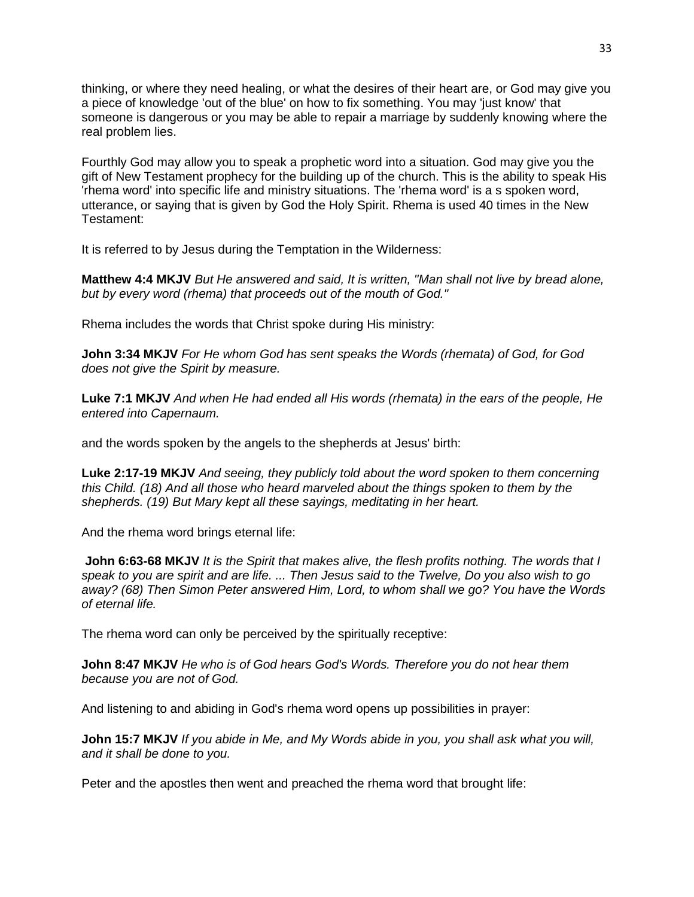thinking, or where they need healing, or what the desires of their heart are, or God may give you a piece of knowledge 'out of the blue' on how to fix something. You may 'just know' that someone is dangerous or you may be able to repair a marriage by suddenly knowing where the real problem lies.

Fourthly God may allow you to speak a prophetic word into a situation. God may give you the gift of New Testament prophecy for the building up of the church. This is the ability to speak His 'rhema word' into specific life and ministry situations. The 'rhema word' is a s spoken word, utterance, or saying that is given by God the Holy Spirit. Rhema is used 40 times in the New Testament:

It is referred to by Jesus during the Temptation in the Wilderness:

**Matthew 4:4 MKJV** *But He answered and said, It is written, "Man shall not live by bread alone, but by every word (rhema) that proceeds out of the mouth of God."*

Rhema includes the words that Christ spoke during His ministry:

**John 3:34 MKJV** *For He whom God has sent speaks the Words (rhemata) of God, for God does not give the Spirit by measure.*

**Luke 7:1 MKJV** *And when He had ended all His words (rhemata) in the ears of the people, He entered into Capernaum.*

and the words spoken by the angels to the shepherds at Jesus' birth:

**Luke 2:17-19 MKJV** *And seeing, they publicly told about the word spoken to them concerning this Child. (18) And all those who heard marveled about the things spoken to them by the shepherds. (19) But Mary kept all these sayings, meditating in her heart.*

And the rhema word brings eternal life:

**John 6:63-68 MKJV** *It is the Spirit that makes alive, the flesh profits nothing. The words that I speak to you are spirit and are life. ... Then Jesus said to the Twelve, Do you also wish to go away? (68) Then Simon Peter answered Him, Lord, to whom shall we go? You have the Words of eternal life.*

The rhema word can only be perceived by the spiritually receptive:

**John 8:47 MKJV** *He who is of God hears God's Words. Therefore you do not hear them because you are not of God.*

And listening to and abiding in God's rhema word opens up possibilities in prayer:

**John 15:7 MKJV** *If you abide in Me, and My Words abide in you, you shall ask what you will, and it shall be done to you.*

Peter and the apostles then went and preached the rhema word that brought life: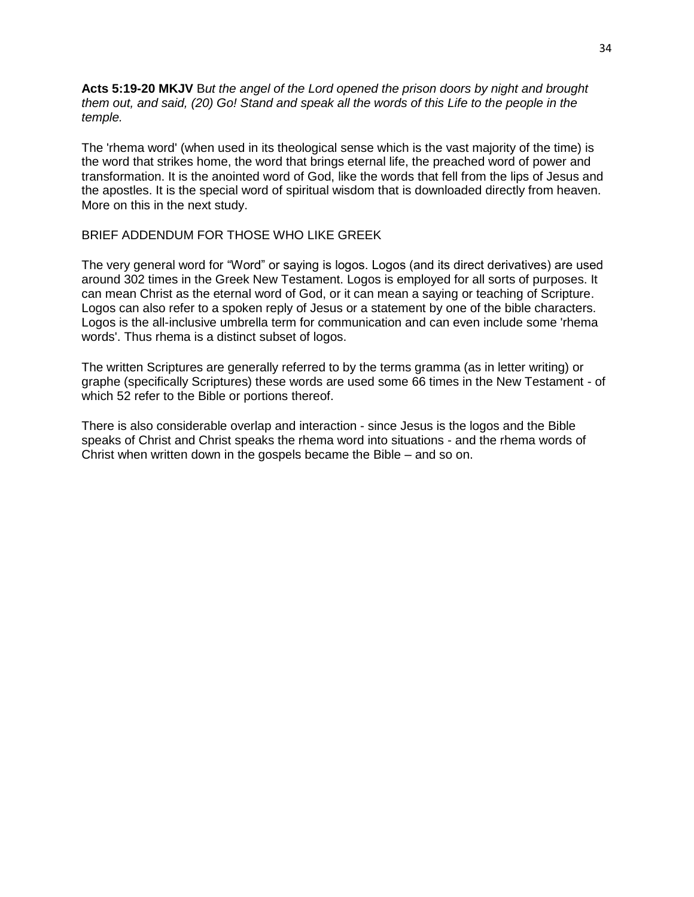**Acts 5:19-20 MKJV** B*ut the angel of the Lord opened the prison doors by night and brought them out, and said, (20) Go! Stand and speak all the words of this Life to the people in the temple.*

The 'rhema word' (when used in its theological sense which is the vast majority of the time) is the word that strikes home, the word that brings eternal life, the preached word of power and transformation. It is the anointed word of God, like the words that fell from the lips of Jesus and the apostles. It is the special word of spiritual wisdom that is downloaded directly from heaven. More on this in the next study.

#### BRIEF ADDENDUM FOR THOSE WHO LIKE GREEK

The very general word for "Word" or saying is logos. Logos (and its direct derivatives) are used around 302 times in the Greek New Testament. Logos is employed for all sorts of purposes. It can mean Christ as the eternal word of God, or it can mean a saying or teaching of Scripture. Logos can also refer to a spoken reply of Jesus or a statement by one of the bible characters. Logos is the all-inclusive umbrella term for communication and can even include some 'rhema words'. Thus rhema is a distinct subset of logos.

The written Scriptures are generally referred to by the terms gramma (as in letter writing) or graphe (specifically Scriptures) these words are used some 66 times in the New Testament - of which 52 refer to the Bible or portions thereof.

There is also considerable overlap and interaction - since Jesus is the logos and the Bible speaks of Christ and Christ speaks the rhema word into situations - and the rhema words of Christ when written down in the gospels became the Bible – and so on.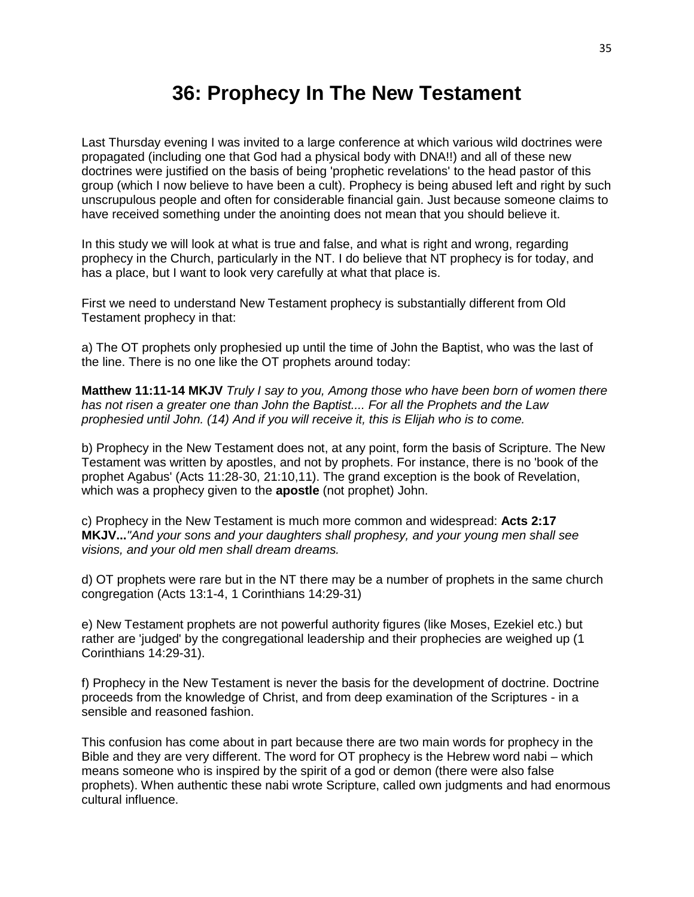#### **36: Prophecy In The New Testament**

Last Thursday evening I was invited to a large conference at which various wild doctrines were propagated (including one that God had a physical body with DNA!!) and all of these new doctrines were justified on the basis of being 'prophetic revelations' to the head pastor of this group (which I now believe to have been a cult). Prophecy is being abused left and right by such unscrupulous people and often for considerable financial gain. Just because someone claims to have received something under the anointing does not mean that you should believe it.

In this study we will look at what is true and false, and what is right and wrong, regarding prophecy in the Church, particularly in the NT. I do believe that NT prophecy is for today, and has a place, but I want to look very carefully at what that place is.

First we need to understand New Testament prophecy is substantially different from Old Testament prophecy in that:

a) The OT prophets only prophesied up until the time of John the Baptist, who was the last of the line. There is no one like the OT prophets around today:

**Matthew 11:11-14 MKJV** *Truly I say to you, Among those who have been born of women there has not risen a greater one than John the Baptist.... For all the Prophets and the Law prophesied until John. (14) And if you will receive it, this is Elijah who is to come.*

b) Prophecy in the New Testament does not, at any point, form the basis of Scripture. The New Testament was written by apostles, and not by prophets. For instance, there is no 'book of the prophet Agabus' (Acts 11:28-30, 21:10,11). The grand exception is the book of Revelation, which was a prophecy given to the **apostle** (not prophet) John.

c) Prophecy in the New Testament is much more common and widespread: **Acts 2:17 MKJV...***"And your sons and your daughters shall prophesy, and your young men shall see visions, and your old men shall dream dreams.* 

d) OT prophets were rare but in the NT there may be a number of prophets in the same church congregation (Acts 13:1-4, 1 Corinthians 14:29-31)

e) New Testament prophets are not powerful authority figures (like Moses, Ezekiel etc.) but rather are 'judged' by the congregational leadership and their prophecies are weighed up (1 Corinthians 14:29-31).

f) Prophecy in the New Testament is never the basis for the development of doctrine. Doctrine proceeds from the knowledge of Christ, and from deep examination of the Scriptures - in a sensible and reasoned fashion.

This confusion has come about in part because there are two main words for prophecy in the Bible and they are very different. The word for OT prophecy is the Hebrew word nabi – which means someone who is inspired by the spirit of a god or demon (there were also false prophets). When authentic these nabi wrote Scripture, called own judgments and had enormous cultural influence.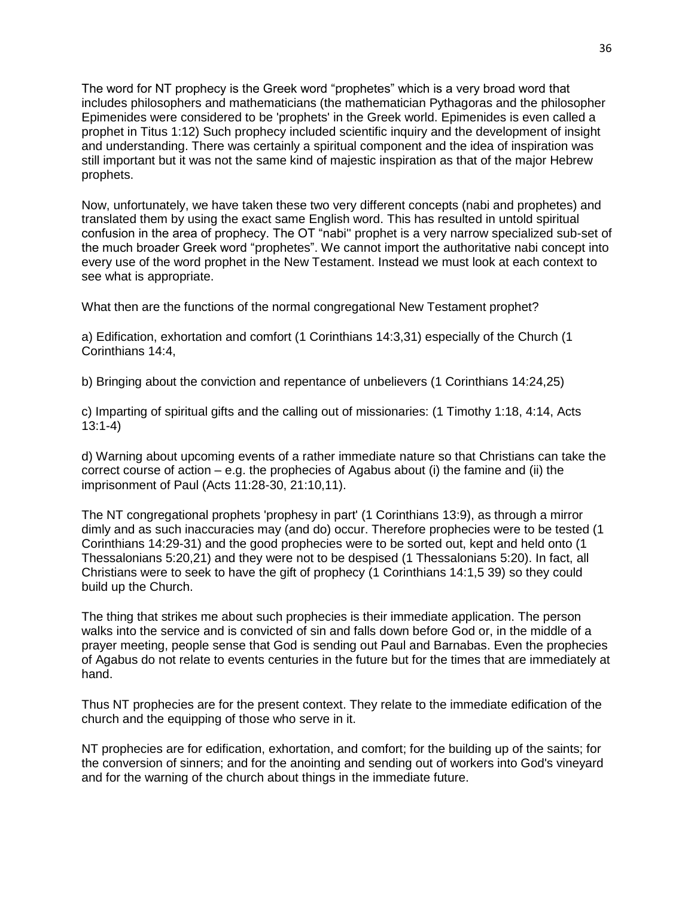The word for NT prophecy is the Greek word "prophetes" which is a very broad word that includes philosophers and mathematicians (the mathematician Pythagoras and the philosopher Epimenides were considered to be 'prophets' in the Greek world. Epimenides is even called a prophet in Titus 1:12) Such prophecy included scientific inquiry and the development of insight and understanding. There was certainly a spiritual component and the idea of inspiration was still important but it was not the same kind of majestic inspiration as that of the major Hebrew prophets.

Now, unfortunately, we have taken these two very different concepts (nabi and prophetes) and translated them by using the exact same English word. This has resulted in untold spiritual confusion in the area of prophecy. The OT "nabi'' prophet is a very narrow specialized sub-set of the much broader Greek word "prophetes". We cannot import the authoritative nabi concept into every use of the word prophet in the New Testament. Instead we must look at each context to see what is appropriate.

What then are the functions of the normal congregational New Testament prophet?

a) Edification, exhortation and comfort (1 Corinthians 14:3,31) especially of the Church (1 Corinthians 14:4,

b) Bringing about the conviction and repentance of unbelievers (1 Corinthians 14:24,25)

c) Imparting of spiritual gifts and the calling out of missionaries: (1 Timothy 1:18, 4:14, Acts 13:1-4)

d) Warning about upcoming events of a rather immediate nature so that Christians can take the correct course of action  $-e.g.$  the prophecies of Agabus about (i) the famine and (ii) the imprisonment of Paul (Acts 11:28-30, 21:10,11).

The NT congregational prophets 'prophesy in part' (1 Corinthians 13:9), as through a mirror dimly and as such inaccuracies may (and do) occur. Therefore prophecies were to be tested (1 Corinthians 14:29-31) and the good prophecies were to be sorted out, kept and held onto (1 Thessalonians 5:20,21) and they were not to be despised (1 Thessalonians 5:20). In fact, all Christians were to seek to have the gift of prophecy (1 Corinthians 14:1,5 39) so they could build up the Church.

The thing that strikes me about such prophecies is their immediate application. The person walks into the service and is convicted of sin and falls down before God or, in the middle of a prayer meeting, people sense that God is sending out Paul and Barnabas. Even the prophecies of Agabus do not relate to events centuries in the future but for the times that are immediately at hand.

Thus NT prophecies are for the present context. They relate to the immediate edification of the church and the equipping of those who serve in it.

NT prophecies are for edification, exhortation, and comfort; for the building up of the saints; for the conversion of sinners; and for the anointing and sending out of workers into God's vineyard and for the warning of the church about things in the immediate future.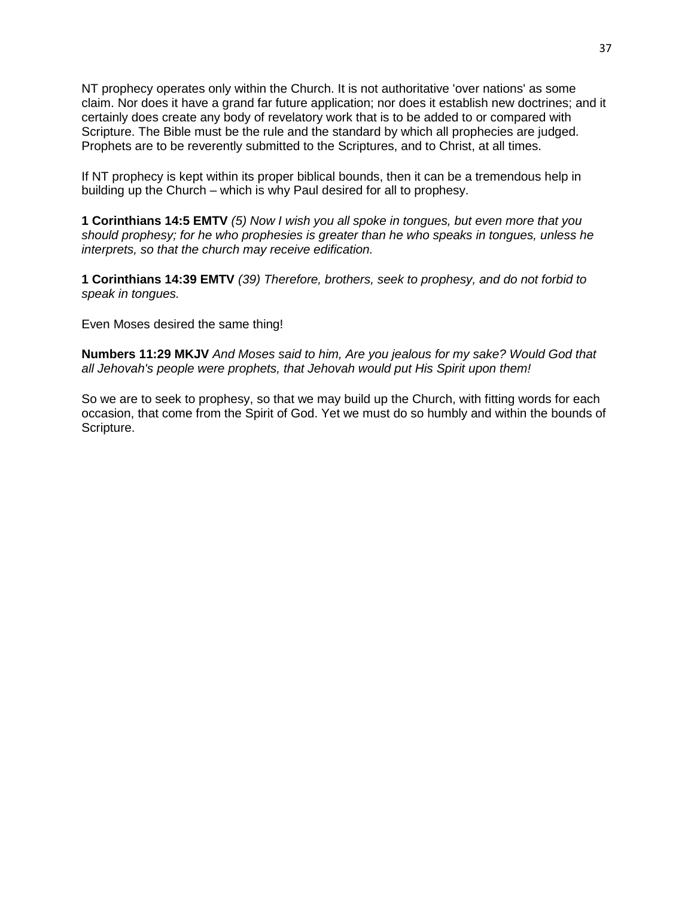NT prophecy operates only within the Church. It is not authoritative 'over nations' as some claim. Nor does it have a grand far future application; nor does it establish new doctrines; and it certainly does create any body of revelatory work that is to be added to or compared with Scripture. The Bible must be the rule and the standard by which all prophecies are judged. Prophets are to be reverently submitted to the Scriptures, and to Christ, at all times.

If NT prophecy is kept within its proper biblical bounds, then it can be a tremendous help in building up the Church – which is why Paul desired for all to prophesy.

**1 Corinthians 14:5 EMTV** *(5) Now I wish you all spoke in tongues, but even more that you should prophesy; for he who prophesies is greater than he who speaks in tongues, unless he interprets, so that the church may receive edification.*

**1 Corinthians 14:39 EMTV** *(39) Therefore, brothers, seek to prophesy, and do not forbid to speak in tongues.*

Even Moses desired the same thing!

**Numbers 11:29 MKJV** *And Moses said to him, Are you jealous for my sake? Would God that all Jehovah's people were prophets, that Jehovah would put His Spirit upon them!*

So we are to seek to prophesy, so that we may build up the Church, with fitting words for each occasion, that come from the Spirit of God. Yet we must do so humbly and within the bounds of Scripture.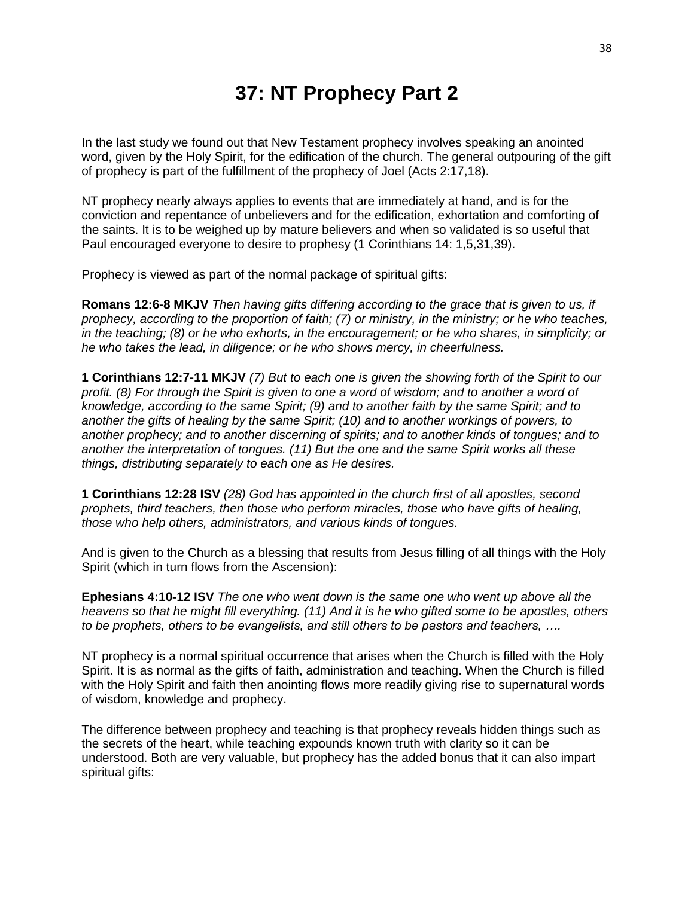### **37: NT Prophecy Part 2**

In the last study we found out that New Testament prophecy involves speaking an anointed word, given by the Holy Spirit, for the edification of the church. The general outpouring of the gift of prophecy is part of the fulfillment of the prophecy of Joel (Acts 2:17,18).

NT prophecy nearly always applies to events that are immediately at hand, and is for the conviction and repentance of unbelievers and for the edification, exhortation and comforting of the saints. It is to be weighed up by mature believers and when so validated is so useful that Paul encouraged everyone to desire to prophesy (1 Corinthians 14: 1,5,31,39).

Prophecy is viewed as part of the normal package of spiritual gifts:

**Romans 12:6-8 MKJV** *Then having gifts differing according to the grace that is given to us, if prophecy, according to the proportion of faith; (7) or ministry, in the ministry; or he who teaches, in the teaching; (8) or he who exhorts, in the encouragement; or he who shares, in simplicity; or he who takes the lead, in diligence; or he who shows mercy, in cheerfulness.*

**1 Corinthians 12:7-11 MKJV** *(7) But to each one is given the showing forth of the Spirit to our profit. (8) For through the Spirit is given to one a word of wisdom; and to another a word of knowledge, according to the same Spirit; (9) and to another faith by the same Spirit; and to another the gifts of healing by the same Spirit; (10) and to another workings of powers, to another prophecy; and to another discerning of spirits; and to another kinds of tongues; and to another the interpretation of tongues. (11) But the one and the same Spirit works all these things, distributing separately to each one as He desires.*

**1 Corinthians 12:28 ISV** *(28) God has appointed in the church first of all apostles, second prophets, third teachers, then those who perform miracles, those who have gifts of healing, those who help others, administrators, and various kinds of tongues.*

And is given to the Church as a blessing that results from Jesus filling of all things with the Holy Spirit (which in turn flows from the Ascension):

**Ephesians 4:10-12 ISV** *The one who went down is the same one who went up above all the heavens so that he might fill everything. (11) And it is he who gifted some to be apostles, others to be prophets, others to be evangelists, and still others to be pastors and teachers, ….*

NT prophecy is a normal spiritual occurrence that arises when the Church is filled with the Holy Spirit. It is as normal as the gifts of faith, administration and teaching. When the Church is filled with the Holy Spirit and faith then anointing flows more readily giving rise to supernatural words of wisdom, knowledge and prophecy.

The difference between prophecy and teaching is that prophecy reveals hidden things such as the secrets of the heart, while teaching expounds known truth with clarity so it can be understood. Both are very valuable, but prophecy has the added bonus that it can also impart spiritual gifts: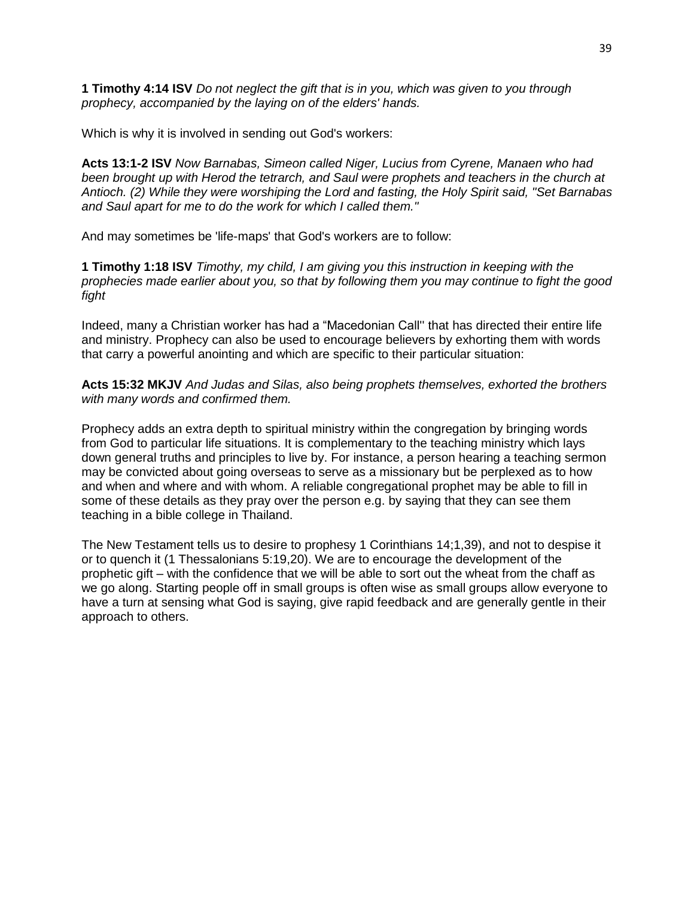**1 Timothy 4:14 ISV** *Do not neglect the gift that is in you, which was given to you through prophecy, accompanied by the laying on of the elders' hands.*

Which is why it is involved in sending out God's workers:

**Acts 13:1-2 ISV** *Now Barnabas, Simeon called Niger, Lucius from Cyrene, Manaen who had been brought up with Herod the tetrarch, and Saul were prophets and teachers in the church at Antioch. (2) While they were worshiping the Lord and fasting, the Holy Spirit said, "Set Barnabas and Saul apart for me to do the work for which I called them."* 

And may sometimes be 'life-maps' that God's workers are to follow:

**1 Timothy 1:18 ISV** *Timothy, my child, I am giving you this instruction in keeping with the prophecies made earlier about you, so that by following them you may continue to fight the good fight*

Indeed, many a Christian worker has had a "Macedonian Call'' that has directed their entire life and ministry. Prophecy can also be used to encourage believers by exhorting them with words that carry a powerful anointing and which are specific to their particular situation:

**Acts 15:32 MKJV** *And Judas and Silas, also being prophets themselves, exhorted the brothers with many words and confirmed them.*

Prophecy adds an extra depth to spiritual ministry within the congregation by bringing words from God to particular life situations. It is complementary to the teaching ministry which lays down general truths and principles to live by. For instance, a person hearing a teaching sermon may be convicted about going overseas to serve as a missionary but be perplexed as to how and when and where and with whom. A reliable congregational prophet may be able to fill in some of these details as they pray over the person e.g. by saying that they can see them teaching in a bible college in Thailand.

The New Testament tells us to desire to prophesy 1 Corinthians 14;1,39), and not to despise it or to quench it (1 Thessalonians 5:19,20). We are to encourage the development of the prophetic gift – with the confidence that we will be able to sort out the wheat from the chaff as we go along. Starting people off in small groups is often wise as small groups allow everyone to have a turn at sensing what God is saying, give rapid feedback and are generally gentle in their approach to others.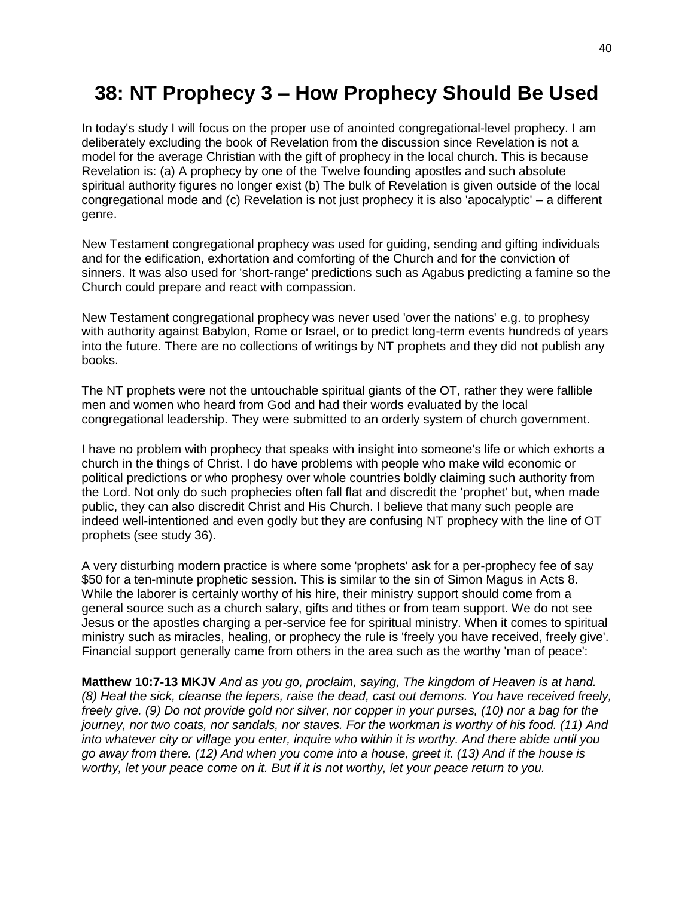## **38: NT Prophecy 3 – How Prophecy Should Be Used**

In today's study I will focus on the proper use of anointed congregational-level prophecy. I am deliberately excluding the book of Revelation from the discussion since Revelation is not a model for the average Christian with the gift of prophecy in the local church. This is because Revelation is: (a) A prophecy by one of the Twelve founding apostles and such absolute spiritual authority figures no longer exist (b) The bulk of Revelation is given outside of the local congregational mode and (c) Revelation is not just prophecy it is also 'apocalyptic' – a different genre.

New Testament congregational prophecy was used for guiding, sending and gifting individuals and for the edification, exhortation and comforting of the Church and for the conviction of sinners. It was also used for 'short-range' predictions such as Agabus predicting a famine so the Church could prepare and react with compassion.

New Testament congregational prophecy was never used 'over the nations' e.g. to prophesy with authority against Babylon, Rome or Israel, or to predict long-term events hundreds of years into the future. There are no collections of writings by NT prophets and they did not publish any books.

The NT prophets were not the untouchable spiritual giants of the OT, rather they were fallible men and women who heard from God and had their words evaluated by the local congregational leadership. They were submitted to an orderly system of church government.

I have no problem with prophecy that speaks with insight into someone's life or which exhorts a church in the things of Christ. I do have problems with people who make wild economic or political predictions or who prophesy over whole countries boldly claiming such authority from the Lord. Not only do such prophecies often fall flat and discredit the 'prophet' but, when made public, they can also discredit Christ and His Church. I believe that many such people are indeed well-intentioned and even godly but they are confusing NT prophecy with the line of OT prophets (see study 36).

A very disturbing modern practice is where some 'prophets' ask for a per-prophecy fee of say \$50 for a ten-minute prophetic session. This is similar to the sin of Simon Magus in Acts 8. While the laborer is certainly worthy of his hire, their ministry support should come from a general source such as a church salary, gifts and tithes or from team support. We do not see Jesus or the apostles charging a per-service fee for spiritual ministry. When it comes to spiritual ministry such as miracles, healing, or prophecy the rule is 'freely you have received, freely give'. Financial support generally came from others in the area such as the worthy 'man of peace':

**Matthew 10:7-13 MKJV** *And as you go, proclaim, saying, The kingdom of Heaven is at hand. (8) Heal the sick, cleanse the lepers, raise the dead, cast out demons. You have received freely, freely give. (9) Do not provide gold nor silver, nor copper in your purses, (10) nor a bag for the journey, nor two coats, nor sandals, nor staves. For the workman is worthy of his food. (11) And into whatever city or village you enter, inquire who within it is worthy. And there abide until you go away from there. (12) And when you come into a house, greet it. (13) And if the house is worthy, let your peace come on it. But if it is not worthy, let your peace return to you.*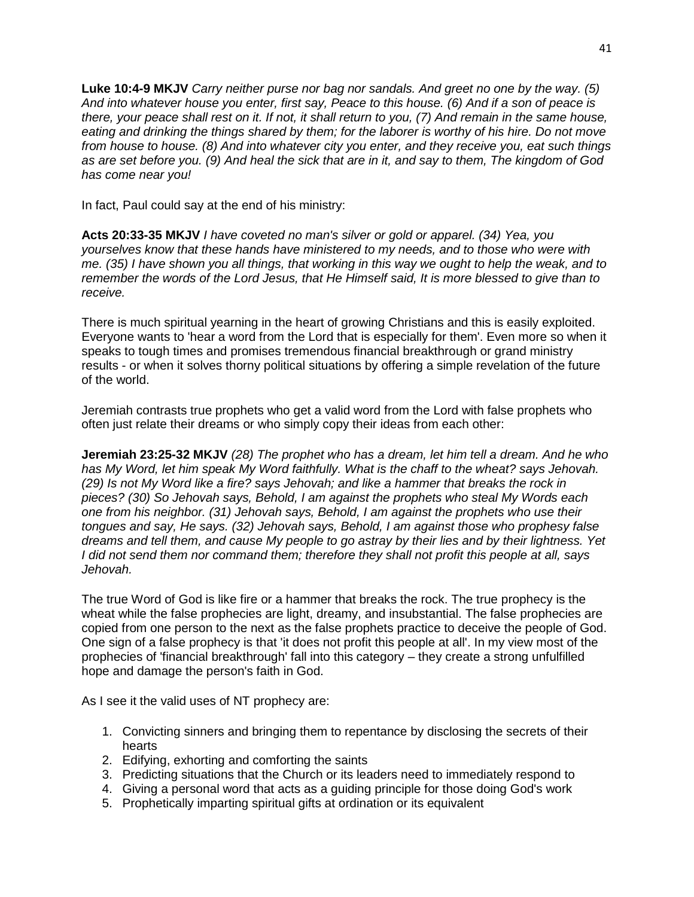**Luke 10:4-9 MKJV** *Carry neither purse nor bag nor sandals. And greet no one by the way. (5) And into whatever house you enter, first say, Peace to this house. (6) And if a son of peace is there, your peace shall rest on it. If not, it shall return to you, (7) And remain in the same house,*  eating and drinking the things shared by them; for the laborer is worthy of his hire. Do not move *from house to house. (8) And into whatever city you enter, and they receive you, eat such things as are set before you. (9) And heal the sick that are in it, and say to them, The kingdom of God has come near you!*

In fact, Paul could say at the end of his ministry:

**Acts 20:33-35 MKJV** *I have coveted no man's silver or gold or apparel. (34) Yea, you yourselves know that these hands have ministered to my needs, and to those who were with me. (35) I have shown you all things, that working in this way we ought to help the weak, and to remember the words of the Lord Jesus, that He Himself said, It is more blessed to give than to receive.*

There is much spiritual yearning in the heart of growing Christians and this is easily exploited. Everyone wants to 'hear a word from the Lord that is especially for them'. Even more so when it speaks to tough times and promises tremendous financial breakthrough or grand ministry results - or when it solves thorny political situations by offering a simple revelation of the future of the world.

Jeremiah contrasts true prophets who get a valid word from the Lord with false prophets who often just relate their dreams or who simply copy their ideas from each other:

**Jeremiah 23:25-32 MKJV** *(28) The prophet who has a dream, let him tell a dream. And he who has My Word, let him speak My Word faithfully. What is the chaff to the wheat? says Jehovah. (29) Is not My Word like a fire? says Jehovah; and like a hammer that breaks the rock in pieces? (30) So Jehovah says, Behold, I am against the prophets who steal My Words each one from his neighbor. (31) Jehovah says, Behold, I am against the prophets who use their tongues and say, He says. (32) Jehovah says, Behold, I am against those who prophesy false dreams and tell them, and cause My people to go astray by their lies and by their lightness. Yet I did not send them nor command them; therefore they shall not profit this people at all, says Jehovah.*

The true Word of God is like fire or a hammer that breaks the rock. The true prophecy is the wheat while the false prophecies are light, dreamy, and insubstantial. The false prophecies are copied from one person to the next as the false prophets practice to deceive the people of God. One sign of a false prophecy is that 'it does not profit this people at all'. In my view most of the prophecies of 'financial breakthrough' fall into this category – they create a strong unfulfilled hope and damage the person's faith in God.

As I see it the valid uses of NT prophecy are:

- 1. Convicting sinners and bringing them to repentance by disclosing the secrets of their hearts
- 2. Edifying, exhorting and comforting the saints
- 3. Predicting situations that the Church or its leaders need to immediately respond to
- 4. Giving a personal word that acts as a guiding principle for those doing God's work
- 5. Prophetically imparting spiritual gifts at ordination or its equivalent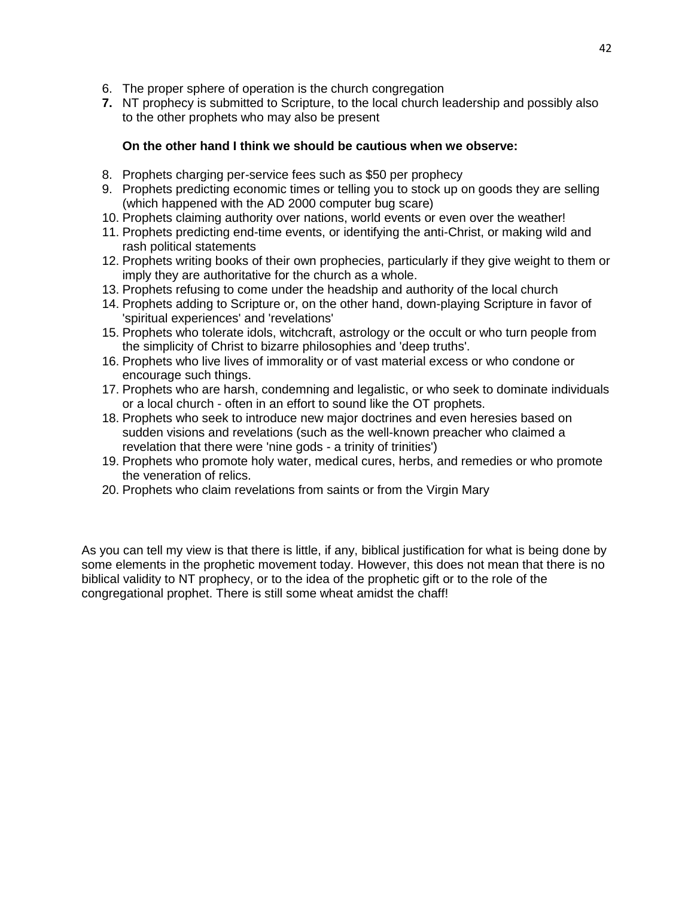- 6. The proper sphere of operation is the church congregation
- **7.** NT prophecy is submitted to Scripture, to the local church leadership and possibly also to the other prophets who may also be present

### **On the other hand I think we should be cautious when we observe:**

- 8. Prophets charging per-service fees such as \$50 per prophecy
- 9. Prophets predicting economic times or telling you to stock up on goods they are selling (which happened with the AD 2000 computer bug scare)
- 10. Prophets claiming authority over nations, world events or even over the weather!
- 11. Prophets predicting end-time events, or identifying the anti-Christ, or making wild and rash political statements
- 12. Prophets writing books of their own prophecies, particularly if they give weight to them or imply they are authoritative for the church as a whole.
- 13. Prophets refusing to come under the headship and authority of the local church
- 14. Prophets adding to Scripture or, on the other hand, down-playing Scripture in favor of 'spiritual experiences' and 'revelations'
- 15. Prophets who tolerate idols, witchcraft, astrology or the occult or who turn people from the simplicity of Christ to bizarre philosophies and 'deep truths'.
- 16. Prophets who live lives of immorality or of vast material excess or who condone or encourage such things.
- 17. Prophets who are harsh, condemning and legalistic, or who seek to dominate individuals or a local church - often in an effort to sound like the OT prophets.
- 18. Prophets who seek to introduce new major doctrines and even heresies based on sudden visions and revelations (such as the well-known preacher who claimed a revelation that there were 'nine gods - a trinity of trinities')
- 19. Prophets who promote holy water, medical cures, herbs, and remedies or who promote the veneration of relics.
- 20. Prophets who claim revelations from saints or from the Virgin Mary

As you can tell my view is that there is little, if any, biblical justification for what is being done by some elements in the prophetic movement today. However, this does not mean that there is no biblical validity to NT prophecy, or to the idea of the prophetic gift or to the role of the congregational prophet. There is still some wheat amidst the chaff!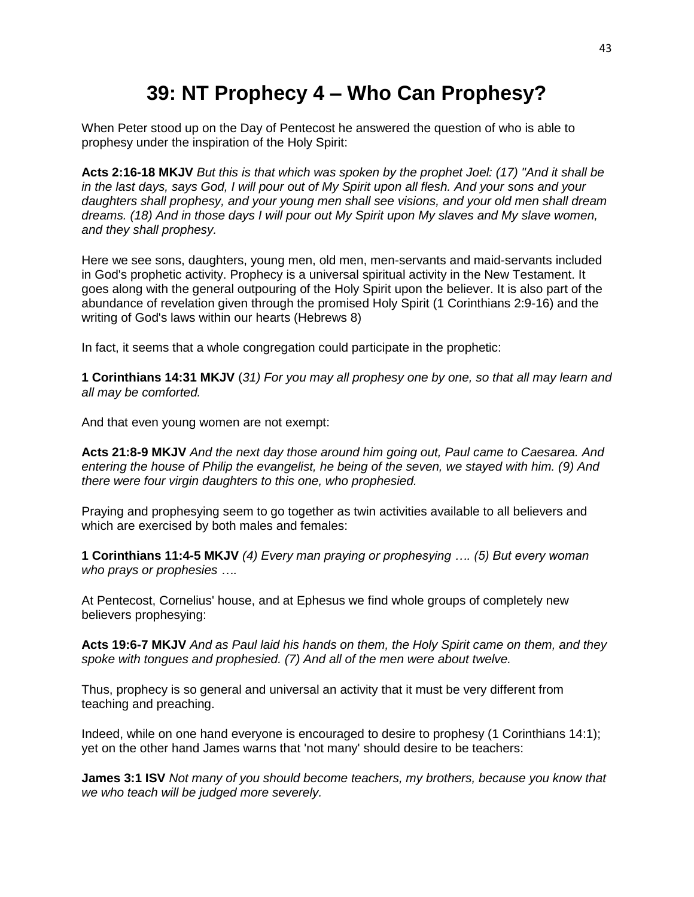## **39: NT Prophecy 4 – Who Can Prophesy?**

When Peter stood up on the Day of Pentecost he answered the question of who is able to prophesy under the inspiration of the Holy Spirit:

**Acts 2:16-18 MKJV** *But this is that which was spoken by the prophet Joel: (17) "And it shall be in the last days, says God, I will pour out of My Spirit upon all flesh. And your sons and your daughters shall prophesy, and your young men shall see visions, and your old men shall dream dreams. (18) And in those days I will pour out My Spirit upon My slaves and My slave women, and they shall prophesy.*

Here we see sons, daughters, young men, old men, men-servants and maid-servants included in God's prophetic activity. Prophecy is a universal spiritual activity in the New Testament. It goes along with the general outpouring of the Holy Spirit upon the believer. It is also part of the abundance of revelation given through the promised Holy Spirit (1 Corinthians 2:9-16) and the writing of God's laws within our hearts (Hebrews 8)

In fact, it seems that a whole congregation could participate in the prophetic:

**1 Corinthians 14:31 MKJV** (*31) For you may all prophesy one by one, so that all may learn and all may be comforted.*

And that even young women are not exempt:

**Acts 21:8-9 MKJV** *And the next day those around him going out, Paul came to Caesarea. And entering the house of Philip the evangelist, he being of the seven, we stayed with him. (9) And there were four virgin daughters to this one, who prophesied.*

Praying and prophesying seem to go together as twin activities available to all believers and which are exercised by both males and females:

**1 Corinthians 11:4-5 MKJV** *(4) Every man praying or prophesying …. (5) But every woman who prays or prophesies ….*

At Pentecost, Cornelius' house, and at Ephesus we find whole groups of completely new believers prophesying:

**Acts 19:6-7 MKJV** *And as Paul laid his hands on them, the Holy Spirit came on them, and they spoke with tongues and prophesied. (7) And all of the men were about twelve.*

Thus, prophecy is so general and universal an activity that it must be very different from teaching and preaching.

Indeed, while on one hand everyone is encouraged to desire to prophesy (1 Corinthians 14:1); yet on the other hand James warns that 'not many' should desire to be teachers:

**James 3:1 ISV** *Not many of you should become teachers, my brothers, because you know that we who teach will be judged more severely.*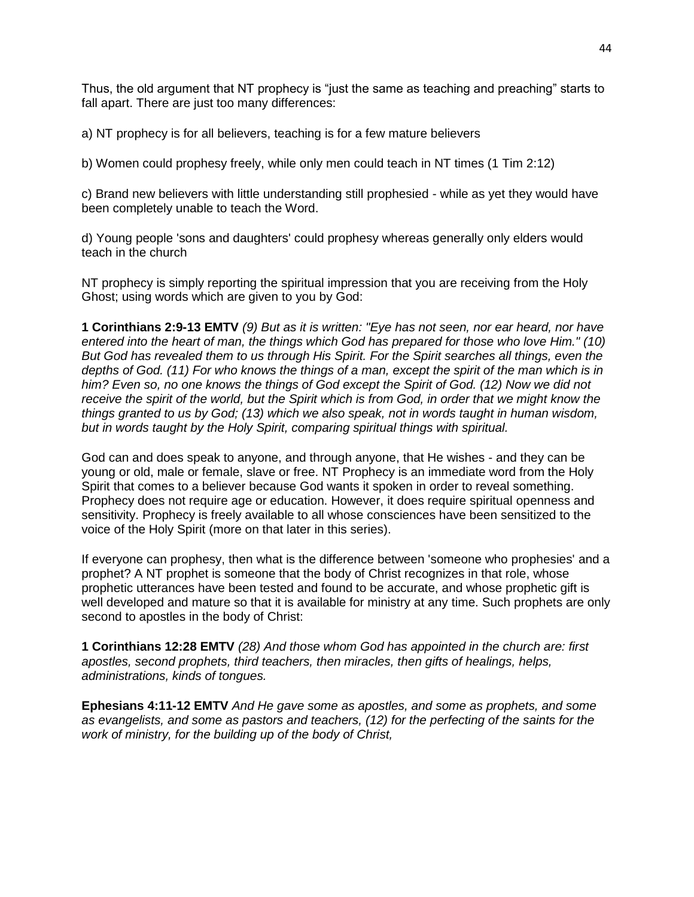Thus, the old argument that NT prophecy is "just the same as teaching and preaching" starts to fall apart. There are just too many differences:

a) NT prophecy is for all believers, teaching is for a few mature believers

b) Women could prophesy freely, while only men could teach in NT times (1 Tim 2:12)

c) Brand new believers with little understanding still prophesied - while as yet they would have been completely unable to teach the Word.

d) Young people 'sons and daughters' could prophesy whereas generally only elders would teach in the church

NT prophecy is simply reporting the spiritual impression that you are receiving from the Holy Ghost; using words which are given to you by God:

**1 Corinthians 2:9-13 EMTV** *(9) But as it is written: "Eye has not seen, nor ear heard, nor have entered into the heart of man, the things which God has prepared for those who love Him." (10) But God has revealed them to us through His Spirit. For the Spirit searches all things, even the depths of God. (11) For who knows the things of a man, except the spirit of the man which is in him? Even so, no one knows the things of God except the Spirit of God. (12) Now we did not receive the spirit of the world, but the Spirit which is from God, in order that we might know the things granted to us by God; (13) which we also speak, not in words taught in human wisdom, but in words taught by the Holy Spirit, comparing spiritual things with spiritual.*

God can and does speak to anyone, and through anyone, that He wishes - and they can be young or old, male or female, slave or free. NT Prophecy is an immediate word from the Holy Spirit that comes to a believer because God wants it spoken in order to reveal something. Prophecy does not require age or education. However, it does require spiritual openness and sensitivity. Prophecy is freely available to all whose consciences have been sensitized to the voice of the Holy Spirit (more on that later in this series).

If everyone can prophesy, then what is the difference between 'someone who prophesies' and a prophet? A NT prophet is someone that the body of Christ recognizes in that role, whose prophetic utterances have been tested and found to be accurate, and whose prophetic gift is well developed and mature so that it is available for ministry at any time. Such prophets are only second to apostles in the body of Christ:

**1 Corinthians 12:28 EMTV** *(28) And those whom God has appointed in the church are: first apostles, second prophets, third teachers, then miracles, then gifts of healings, helps, administrations, kinds of tongues.*

**Ephesians 4:11-12 EMTV** *And He gave some as apostles, and some as prophets, and some as evangelists, and some as pastors and teachers, (12) for the perfecting of the saints for the work of ministry, for the building up of the body of Christ,*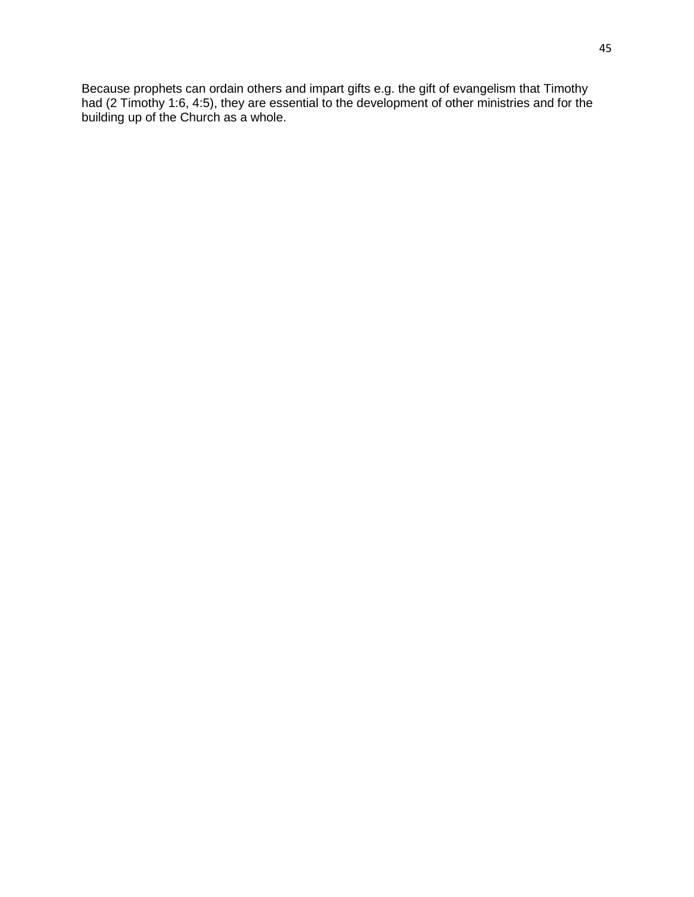Because prophets can ordain others and impart gifts e.g. the gift of evangelism that Timothy had (2 Timothy 1:6, 4:5), they are essential to the development of other ministries and for the building up of the Church as a whole.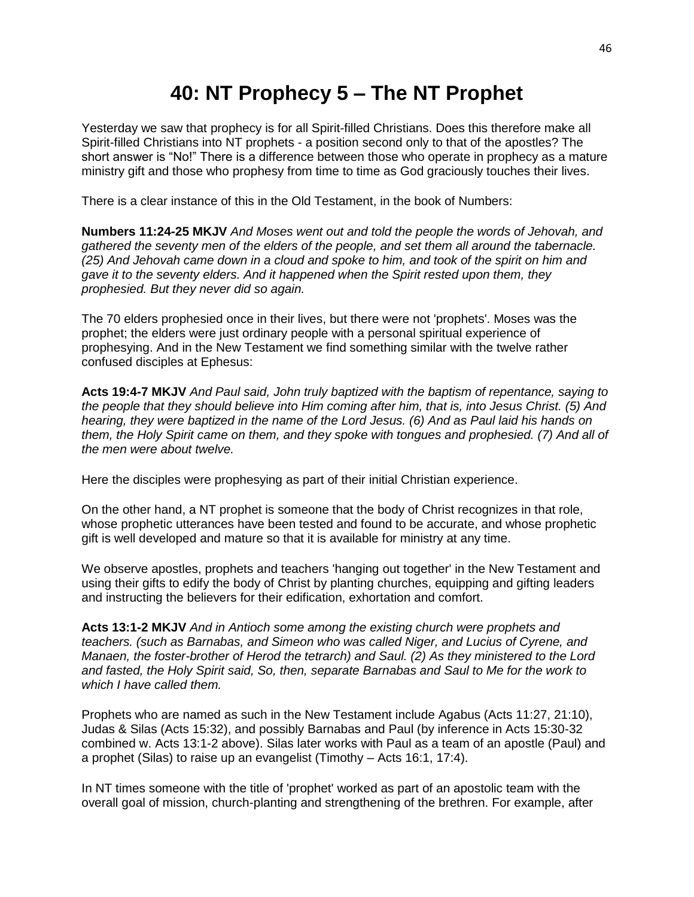## **40: NT Prophecy 5 – The NT Prophet**

Yesterday we saw that prophecy is for all Spirit-filled Christians. Does this therefore make all Spirit-filled Christians into NT prophets - a position second only to that of the apostles? The short answer is "No!" There is a difference between those who operate in prophecy as a mature ministry gift and those who prophesy from time to time as God graciously touches their lives.

There is a clear instance of this in the Old Testament, in the book of Numbers:

**Numbers 11:24-25 MKJV** *And Moses went out and told the people the words of Jehovah, and gathered the seventy men of the elders of the people, and set them all around the tabernacle. (25) And Jehovah came down in a cloud and spoke to him, and took of the spirit on him and gave it to the seventy elders. And it happened when the Spirit rested upon them, they prophesied. But they never did so again.*

The 70 elders prophesied once in their lives, but there were not 'prophets'. Moses was the prophet; the elders were just ordinary people with a personal spiritual experience of prophesying. And in the New Testament we find something similar with the twelve rather confused disciples at Ephesus:

**Acts 19:4-7 MKJV** *And Paul said, John truly baptized with the baptism of repentance, saying to the people that they should believe into Him coming after him, that is, into Jesus Christ. (5) And hearing, they were baptized in the name of the Lord Jesus. (6) And as Paul laid his hands on them, the Holy Spirit came on them, and they spoke with tongues and prophesied. (7) And all of the men were about twelve.*

Here the disciples were prophesying as part of their initial Christian experience.

On the other hand, a NT prophet is someone that the body of Christ recognizes in that role, whose prophetic utterances have been tested and found to be accurate, and whose prophetic gift is well developed and mature so that it is available for ministry at any time.

We observe apostles, prophets and teachers 'hanging out together' in the New Testament and using their gifts to edify the body of Christ by planting churches, equipping and gifting leaders and instructing the believers for their edification, exhortation and comfort.

**Acts 13:1-2 MKJV** *And in Antioch some among the existing church were prophets and teachers. (such as Barnabas, and Simeon who was called Niger, and Lucius of Cyrene, and Manaen, the foster-brother of Herod the tetrarch) and Saul. (2) As they ministered to the Lord and fasted, the Holy Spirit said, So, then, separate Barnabas and Saul to Me for the work to which I have called them.*

Prophets who are named as such in the New Testament include Agabus (Acts 11:27, 21:10), Judas & Silas (Acts 15:32), and possibly Barnabas and Paul (by inference in Acts 15:30-32 combined w. Acts 13:1-2 above). Silas later works with Paul as a team of an apostle (Paul) and a prophet (Silas) to raise up an evangelist (Timothy – Acts 16:1, 17:4).

In NT times someone with the title of 'prophet' worked as part of an apostolic team with the overall goal of mission, church-planting and strengthening of the brethren. For example, after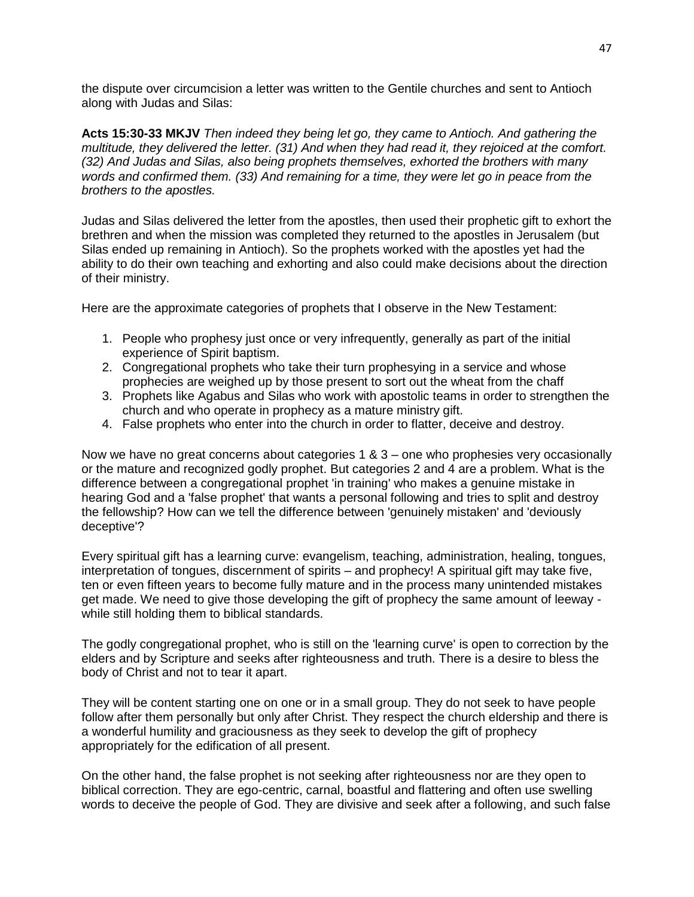the dispute over circumcision a letter was written to the Gentile churches and sent to Antioch along with Judas and Silas:

**Acts 15:30-33 MKJV** *Then indeed they being let go, they came to Antioch. And gathering the multitude, they delivered the letter. (31) And when they had read it, they rejoiced at the comfort. (32) And Judas and Silas, also being prophets themselves, exhorted the brothers with many words and confirmed them. (33) And remaining for a time, they were let go in peace from the brothers to the apostles.*

Judas and Silas delivered the letter from the apostles, then used their prophetic gift to exhort the brethren and when the mission was completed they returned to the apostles in Jerusalem (but Silas ended up remaining in Antioch). So the prophets worked with the apostles yet had the ability to do their own teaching and exhorting and also could make decisions about the direction of their ministry.

Here are the approximate categories of prophets that I observe in the New Testament:

- 1. People who prophesy just once or very infrequently, generally as part of the initial experience of Spirit baptism.
- 2. Congregational prophets who take their turn prophesying in a service and whose prophecies are weighed up by those present to sort out the wheat from the chaff
- 3. Prophets like Agabus and Silas who work with apostolic teams in order to strengthen the church and who operate in prophecy as a mature ministry gift.
- 4. False prophets who enter into the church in order to flatter, deceive and destroy.

Now we have no great concerns about categories 1 & 3 – one who prophesies very occasionally or the mature and recognized godly prophet. But categories 2 and 4 are a problem. What is the difference between a congregational prophet 'in training' who makes a genuine mistake in hearing God and a 'false prophet' that wants a personal following and tries to split and destroy the fellowship? How can we tell the difference between 'genuinely mistaken' and 'deviously deceptive'?

Every spiritual gift has a learning curve: evangelism, teaching, administration, healing, tongues, interpretation of tongues, discernment of spirits – and prophecy! A spiritual gift may take five, ten or even fifteen years to become fully mature and in the process many unintended mistakes get made. We need to give those developing the gift of prophecy the same amount of leeway while still holding them to biblical standards.

The godly congregational prophet, who is still on the 'learning curve' is open to correction by the elders and by Scripture and seeks after righteousness and truth. There is a desire to bless the body of Christ and not to tear it apart.

They will be content starting one on one or in a small group. They do not seek to have people follow after them personally but only after Christ. They respect the church eldership and there is a wonderful humility and graciousness as they seek to develop the gift of prophecy appropriately for the edification of all present.

On the other hand, the false prophet is not seeking after righteousness nor are they open to biblical correction. They are ego-centric, carnal, boastful and flattering and often use swelling words to deceive the people of God. They are divisive and seek after a following, and such false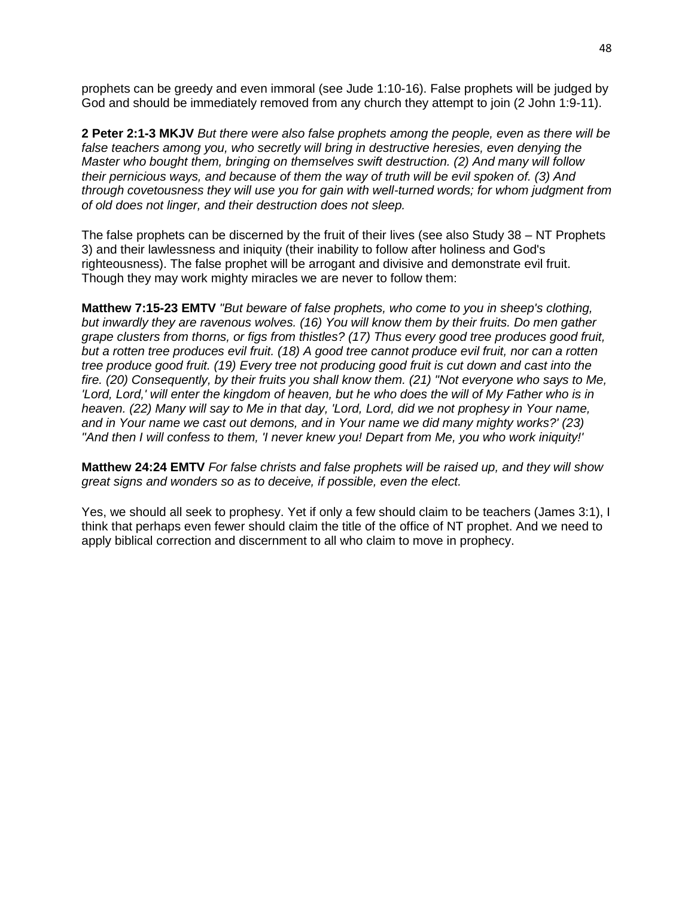prophets can be greedy and even immoral (see Jude 1:10-16). False prophets will be judged by God and should be immediately removed from any church they attempt to join (2 John 1:9-11).

**2 Peter 2:1-3 MKJV** *But there were also false prophets among the people, even as there will be false teachers among you, who secretly will bring in destructive heresies, even denying the Master who bought them, bringing on themselves swift destruction. (2) And many will follow their pernicious ways, and because of them the way of truth will be evil spoken of. (3) And through covetousness they will use you for gain with well-turned words; for whom judgment from of old does not linger, and their destruction does not sleep.*

The false prophets can be discerned by the fruit of their lives (see also Study 38 – NT Prophets 3) and their lawlessness and iniquity (their inability to follow after holiness and God's righteousness). The false prophet will be arrogant and divisive and demonstrate evil fruit. Though they may work mighty miracles we are never to follow them:

**Matthew 7:15-23 EMTV** *"But beware of false prophets, who come to you in sheep's clothing, but inwardly they are ravenous wolves. (16) You will know them by their fruits. Do men gather grape clusters from thorns, or figs from thistles? (17) Thus every good tree produces good fruit, but a rotten tree produces evil fruit. (18) A good tree cannot produce evil fruit, nor can a rotten tree produce good fruit. (19) Every tree not producing good fruit is cut down and cast into the fire. (20) Consequently, by their fruits you shall know them. (21) "Not everyone who says to Me, 'Lord, Lord,' will enter the kingdom of heaven, but he who does the will of My Father who is in heaven. (22) Many will say to Me in that day, 'Lord, Lord, did we not prophesy in Your name, and in Your name we cast out demons, and in Your name we did many mighty works?' (23) "And then I will confess to them, 'I never knew you! Depart from Me, you who work iniquity!'*

**Matthew 24:24 EMTV** *For false christs and false prophets will be raised up, and they will show great signs and wonders so as to deceive, if possible, even the elect.*

Yes, we should all seek to prophesy. Yet if only a few should claim to be teachers (James 3:1), I think that perhaps even fewer should claim the title of the office of NT prophet. And we need to apply biblical correction and discernment to all who claim to move in prophecy.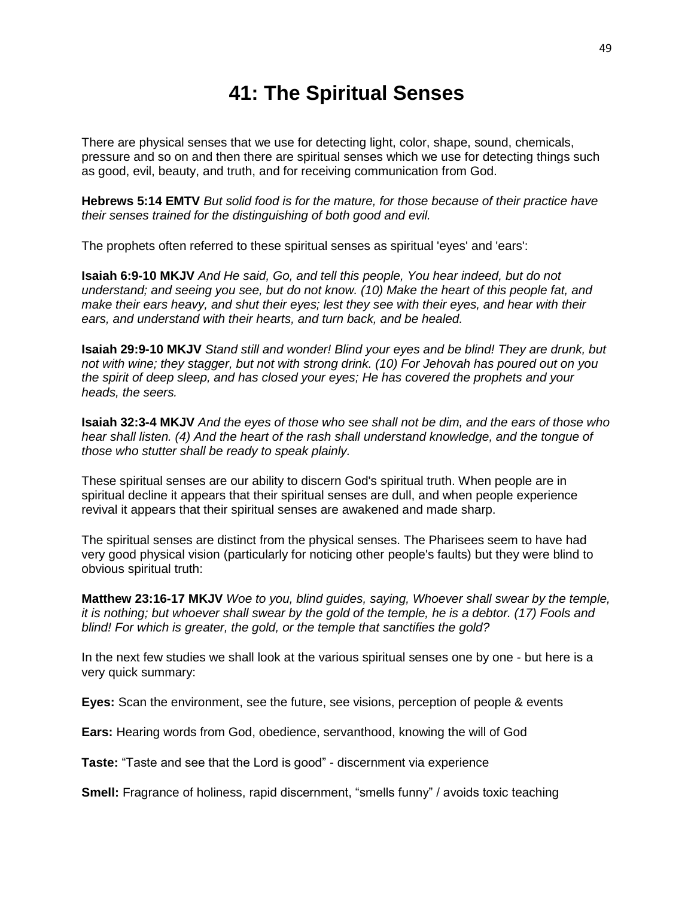### **41: The Spiritual Senses**

There are physical senses that we use for detecting light, color, shape, sound, chemicals, pressure and so on and then there are spiritual senses which we use for detecting things such as good, evil, beauty, and truth, and for receiving communication from God.

**Hebrews 5:14 EMTV** *But solid food is for the mature, for those because of their practice have their senses trained for the distinguishing of both good and evil.*

The prophets often referred to these spiritual senses as spiritual 'eyes' and 'ears':

**Isaiah 6:9-10 MKJV** *And He said, Go, and tell this people, You hear indeed, but do not understand; and seeing you see, but do not know. (10) Make the heart of this people fat, and make their ears heavy, and shut their eyes; lest they see with their eyes, and hear with their ears, and understand with their hearts, and turn back, and be healed.*

**Isaiah 29:9-10 MKJV** *Stand still and wonder! Blind your eyes and be blind! They are drunk, but not with wine; they stagger, but not with strong drink. (10) For Jehovah has poured out on you the spirit of deep sleep, and has closed your eyes; He has covered the prophets and your heads, the seers.*

**Isaiah 32:3-4 MKJV** *And the eyes of those who see shall not be dim, and the ears of those who hear shall listen. (4) And the heart of the rash shall understand knowledge, and the tongue of those who stutter shall be ready to speak plainly.*

These spiritual senses are our ability to discern God's spiritual truth. When people are in spiritual decline it appears that their spiritual senses are dull, and when people experience revival it appears that their spiritual senses are awakened and made sharp.

The spiritual senses are distinct from the physical senses. The Pharisees seem to have had very good physical vision (particularly for noticing other people's faults) but they were blind to obvious spiritual truth:

**Matthew 23:16-17 MKJV** *Woe to you, blind guides, saying, Whoever shall swear by the temple, it is nothing; but whoever shall swear by the gold of the temple, he is a debtor. (17) Fools and blind! For which is greater, the gold, or the temple that sanctifies the gold?*

In the next few studies we shall look at the various spiritual senses one by one - but here is a very quick summary:

**Eyes:** Scan the environment, see the future, see visions, perception of people & events

**Ears:** Hearing words from God, obedience, servanthood, knowing the will of God

**Taste:** "Taste and see that the Lord is good" - discernment via experience

**Smell:** Fragrance of holiness, rapid discernment, "smells funny" / avoids toxic teaching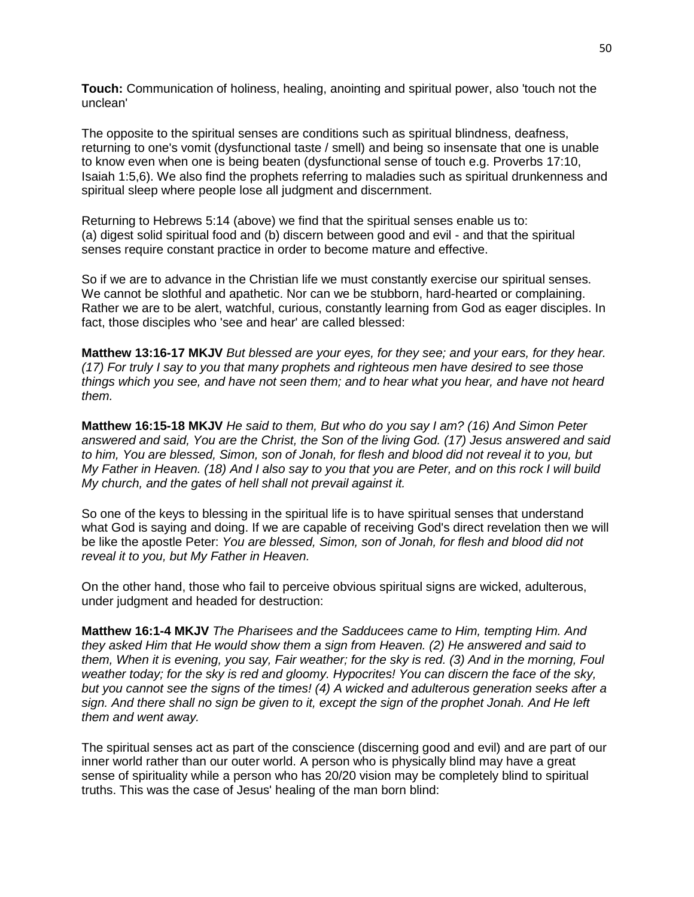**Touch:** Communication of holiness, healing, anointing and spiritual power, also 'touch not the unclean'

The opposite to the spiritual senses are conditions such as spiritual blindness, deafness, returning to one's vomit (dysfunctional taste / smell) and being so insensate that one is unable to know even when one is being beaten (dysfunctional sense of touch e.g. Proverbs 17:10, Isaiah 1:5,6). We also find the prophets referring to maladies such as spiritual drunkenness and spiritual sleep where people lose all judgment and discernment.

Returning to Hebrews 5:14 (above) we find that the spiritual senses enable us to: (a) digest solid spiritual food and (b) discern between good and evil - and that the spiritual senses require constant practice in order to become mature and effective.

So if we are to advance in the Christian life we must constantly exercise our spiritual senses. We cannot be slothful and apathetic. Nor can we be stubborn, hard-hearted or complaining. Rather we are to be alert, watchful, curious, constantly learning from God as eager disciples. In fact, those disciples who 'see and hear' are called blessed:

**Matthew 13:16-17 MKJV** *But blessed are your eyes, for they see; and your ears, for they hear. (17) For truly I say to you that many prophets and righteous men have desired to see those things which you see, and have not seen them; and to hear what you hear, and have not heard them.*

**Matthew 16:15-18 MKJV** *He said to them, But who do you say I am? (16) And Simon Peter answered and said, You are the Christ, the Son of the living God. (17) Jesus answered and said to him, You are blessed, Simon, son of Jonah, for flesh and blood did not reveal it to you, but My Father in Heaven. (18) And I also say to you that you are Peter, and on this rock I will build My church, and the gates of hell shall not prevail against it.*

So one of the keys to blessing in the spiritual life is to have spiritual senses that understand what God is saying and doing. If we are capable of receiving God's direct revelation then we will be like the apostle Peter: *You are blessed, Simon, son of Jonah, for flesh and blood did not reveal it to you, but My Father in Heaven.*

On the other hand, those who fail to perceive obvious spiritual signs are wicked, adulterous, under judgment and headed for destruction:

**Matthew 16:1-4 MKJV** *The Pharisees and the Sadducees came to Him, tempting Him. And they asked Him that He would show them a sign from Heaven. (2) He answered and said to them, When it is evening, you say, Fair weather; for the sky is red. (3) And in the morning, Foul weather today; for the sky is red and gloomy. Hypocrites! You can discern the face of the sky, but you cannot see the signs of the times! (4) A wicked and adulterous generation seeks after a sign. And there shall no sign be given to it, except the sign of the prophet Jonah. And He left them and went away.*

The spiritual senses act as part of the conscience (discerning good and evil) and are part of our inner world rather than our outer world. A person who is physically blind may have a great sense of spirituality while a person who has 20/20 vision may be completely blind to spiritual truths. This was the case of Jesus' healing of the man born blind: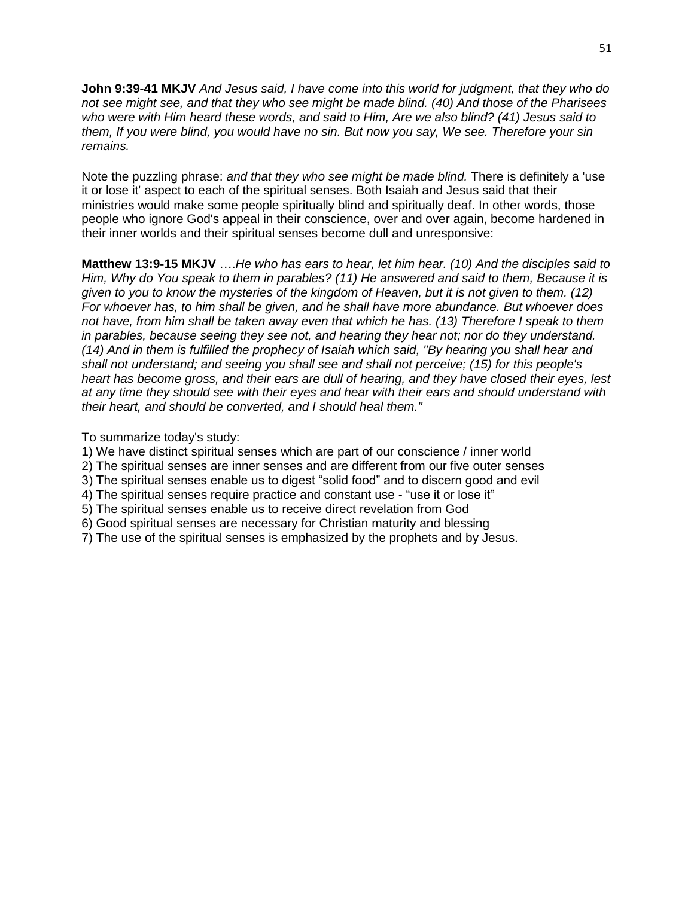**John 9:39-41 MKJV** *And Jesus said, I have come into this world for judgment, that they who do not see might see, and that they who see might be made blind. (40) And those of the Pharisees who were with Him heard these words, and said to Him, Are we also blind? (41) Jesus said to them, If you were blind, you would have no sin. But now you say, We see. Therefore your sin remains.*

Note the puzzling phrase: *and that they who see might be made blind.* There is definitely a 'use it or lose it' aspect to each of the spiritual senses. Both Isaiah and Jesus said that their ministries would make some people spiritually blind and spiritually deaf. In other words, those people who ignore God's appeal in their conscience, over and over again, become hardened in their inner worlds and their spiritual senses become dull and unresponsive:

**Matthew 13:9-15 MKJV** ….*He who has ears to hear, let him hear. (10) And the disciples said to Him, Why do You speak to them in parables? (11) He answered and said to them, Because it is given to you to know the mysteries of the kingdom of Heaven, but it is not given to them. (12) For whoever has, to him shall be given, and he shall have more abundance. But whoever does not have, from him shall be taken away even that which he has. (13) Therefore I speak to them in parables, because seeing they see not, and hearing they hear not; nor do they understand. (14) And in them is fulfilled the prophecy of Isaiah which said, "By hearing you shall hear and shall not understand; and seeing you shall see and shall not perceive; (15) for this people's heart has become gross, and their ears are dull of hearing, and they have closed their eyes, lest at any time they should see with their eyes and hear with their ears and should understand with their heart, and should be converted, and I should heal them."*

#### To summarize today's study:

1) We have distinct spiritual senses which are part of our conscience / inner world

- 2) The spiritual senses are inner senses and are different from our five outer senses
- 3) The spiritual senses enable us to digest "solid food" and to discern good and evil
- 4) The spiritual senses require practice and constant use "use it or lose it"
- 5) The spiritual senses enable us to receive direct revelation from God
- 6) Good spiritual senses are necessary for Christian maturity and blessing
- 7) The use of the spiritual senses is emphasized by the prophets and by Jesus.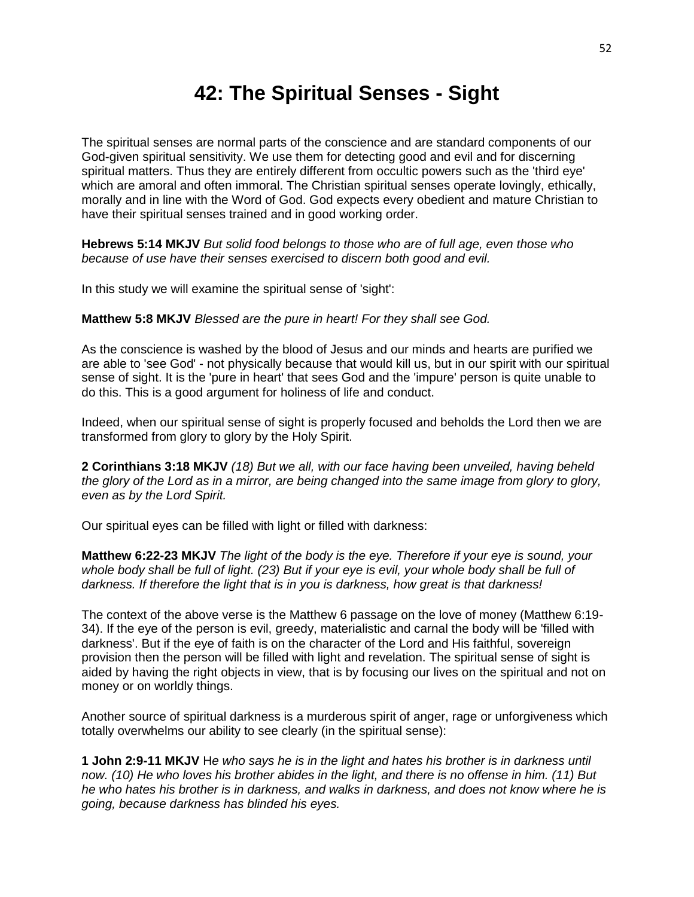### **42: The Spiritual Senses - Sight**

The spiritual senses are normal parts of the conscience and are standard components of our God-given spiritual sensitivity. We use them for detecting good and evil and for discerning spiritual matters. Thus they are entirely different from occultic powers such as the 'third eye' which are amoral and often immoral. The Christian spiritual senses operate lovingly, ethically, morally and in line with the Word of God. God expects every obedient and mature Christian to have their spiritual senses trained and in good working order.

**Hebrews 5:14 MKJV** *But solid food belongs to those who are of full age, even those who because of use have their senses exercised to discern both good and evil.*

In this study we will examine the spiritual sense of 'sight':

**Matthew 5:8 MKJV** *Blessed are the pure in heart! For they shall see God.*

As the conscience is washed by the blood of Jesus and our minds and hearts are purified we are able to 'see God' - not physically because that would kill us, but in our spirit with our spiritual sense of sight. It is the 'pure in heart' that sees God and the 'impure' person is quite unable to do this. This is a good argument for holiness of life and conduct.

Indeed, when our spiritual sense of sight is properly focused and beholds the Lord then we are transformed from glory to glory by the Holy Spirit.

**2 Corinthians 3:18 MKJV** *(18) But we all, with our face having been unveiled, having beheld the glory of the Lord as in a mirror, are being changed into the same image from glory to glory, even as by the Lord Spirit.*

Our spiritual eyes can be filled with light or filled with darkness:

**Matthew 6:22-23 MKJV** *The light of the body is the eye. Therefore if your eye is sound, your whole body shall be full of light. (23) But if your eye is evil, your whole body shall be full of darkness. If therefore the light that is in you is darkness, how great is that darkness!*

The context of the above verse is the Matthew 6 passage on the love of money (Matthew 6:19- 34). If the eye of the person is evil, greedy, materialistic and carnal the body will be 'filled with darkness'. But if the eye of faith is on the character of the Lord and His faithful, sovereign provision then the person will be filled with light and revelation. The spiritual sense of sight is aided by having the right objects in view, that is by focusing our lives on the spiritual and not on money or on worldly things.

Another source of spiritual darkness is a murderous spirit of anger, rage or unforgiveness which totally overwhelms our ability to see clearly (in the spiritual sense):

**1 John 2:9-11 MKJV** H*e who says he is in the light and hates his brother is in darkness until now. (10) He who loves his brother abides in the light, and there is no offense in him. (11) But he who hates his brother is in darkness, and walks in darkness, and does not know where he is going, because darkness has blinded his eyes.*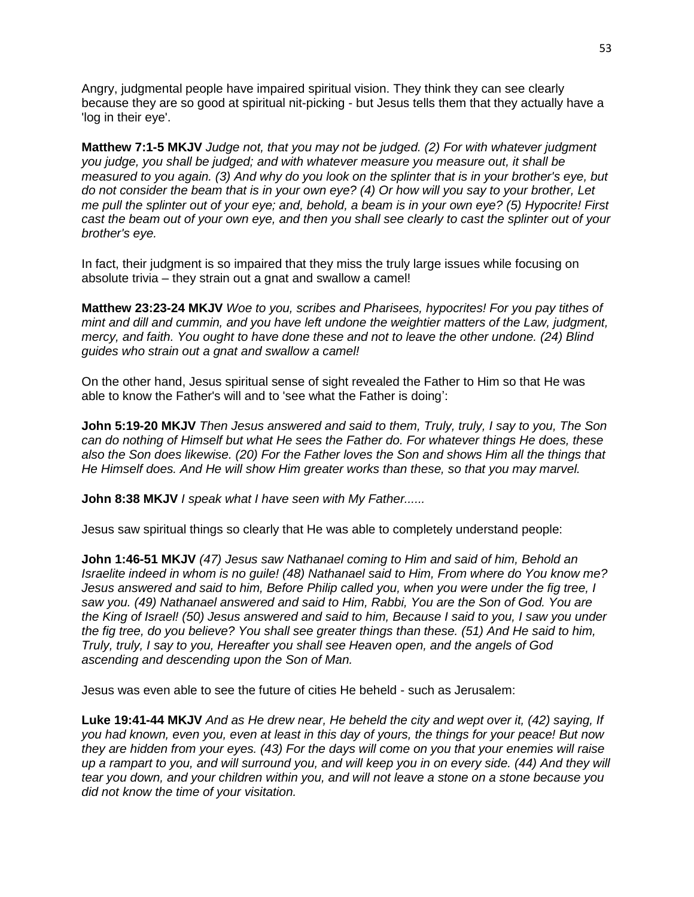Angry, judgmental people have impaired spiritual vision. They think they can see clearly because they are so good at spiritual nit-picking - but Jesus tells them that they actually have a 'log in their eye'.

**Matthew 7:1-5 MKJV** *Judge not, that you may not be judged. (2) For with whatever judgment you judge, you shall be judged; and with whatever measure you measure out, it shall be measured to you again. (3) And why do you look on the splinter that is in your brother's eye, but do not consider the beam that is in your own eye? (4) Or how will you say to your brother, Let me pull the splinter out of your eye; and, behold, a beam is in your own eye? (5) Hypocrite! First cast the beam out of your own eye, and then you shall see clearly to cast the splinter out of your brother's eye.*

In fact, their judgment is so impaired that they miss the truly large issues while focusing on absolute trivia – they strain out a gnat and swallow a camel!

**Matthew 23:23-24 MKJV** *Woe to you, scribes and Pharisees, hypocrites! For you pay tithes of mint and dill and cummin, and you have left undone the weightier matters of the Law, judgment, mercy, and faith. You ought to have done these and not to leave the other undone. (24) Blind guides who strain out a gnat and swallow a camel!*

On the other hand, Jesus spiritual sense of sight revealed the Father to Him so that He was able to know the Father's will and to 'see what the Father is doing':

**John 5:19-20 MKJV** *Then Jesus answered and said to them, Truly, truly, I say to you, The Son can do nothing of Himself but what He sees the Father do. For whatever things He does, these also the Son does likewise. (20) For the Father loves the Son and shows Him all the things that He Himself does. And He will show Him greater works than these, so that you may marvel.*

**John 8:38 MKJV** *I speak what I have seen with My Father......*

Jesus saw spiritual things so clearly that He was able to completely understand people:

**John 1:46-51 MKJV** *(47) Jesus saw Nathanael coming to Him and said of him, Behold an Israelite indeed in whom is no guile! (48) Nathanael said to Him, From where do You know me? Jesus answered and said to him, Before Philip called you, when you were under the fig tree, I saw you. (49) Nathanael answered and said to Him, Rabbi, You are the Son of God. You are the King of Israel! (50) Jesus answered and said to him, Because I said to you, I saw you under the fig tree, do you believe? You shall see greater things than these. (51) And He said to him, Truly, truly, I say to you, Hereafter you shall see Heaven open, and the angels of God ascending and descending upon the Son of Man.*

Jesus was even able to see the future of cities He beheld - such as Jerusalem:

**Luke 19:41-44 MKJV** *And as He drew near, He beheld the city and wept over it, (42) saying, If you had known, even you, even at least in this day of yours, the things for your peace! But now they are hidden from your eyes. (43) For the days will come on you that your enemies will raise*  up a rampart to you, and will surround you, and will keep you in on every side. (44) And they will *tear you down, and your children within you, and will not leave a stone on a stone because you did not know the time of your visitation.*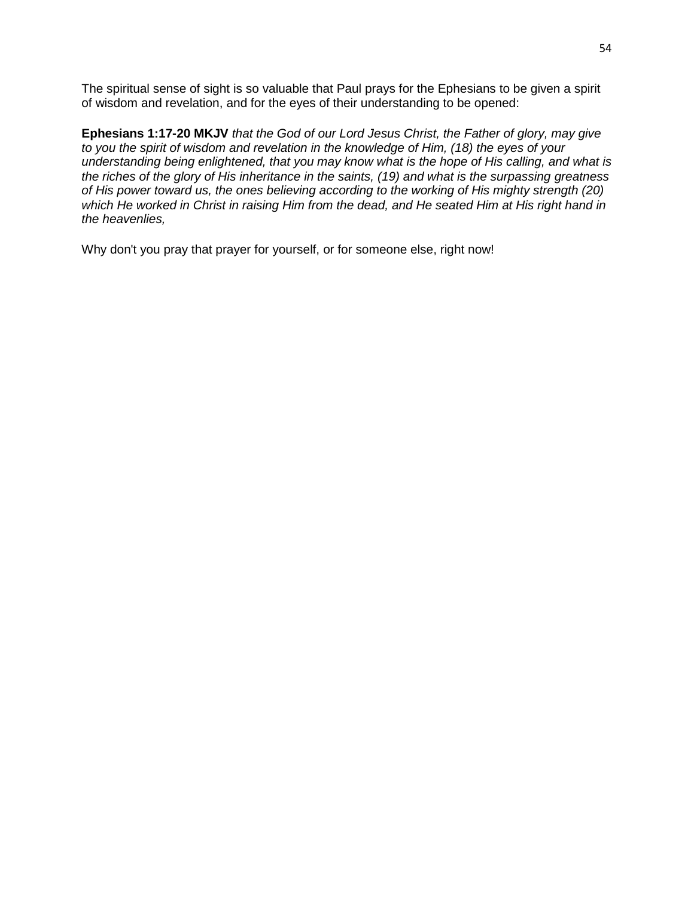The spiritual sense of sight is so valuable that Paul prays for the Ephesians to be given a spirit of wisdom and revelation, and for the eyes of their understanding to be opened:

**Ephesians 1:17-20 MKJV** *that the God of our Lord Jesus Christ, the Father of glory, may give to you the spirit of wisdom and revelation in the knowledge of Him, (18) the eyes of your understanding being enlightened, that you may know what is the hope of His calling, and what is the riches of the glory of His inheritance in the saints, (19) and what is the surpassing greatness of His power toward us, the ones believing according to the working of His mighty strength (20) which He worked in Christ in raising Him from the dead, and He seated Him at His right hand in the heavenlies,*

Why don't you pray that prayer for yourself, or for someone else, right now!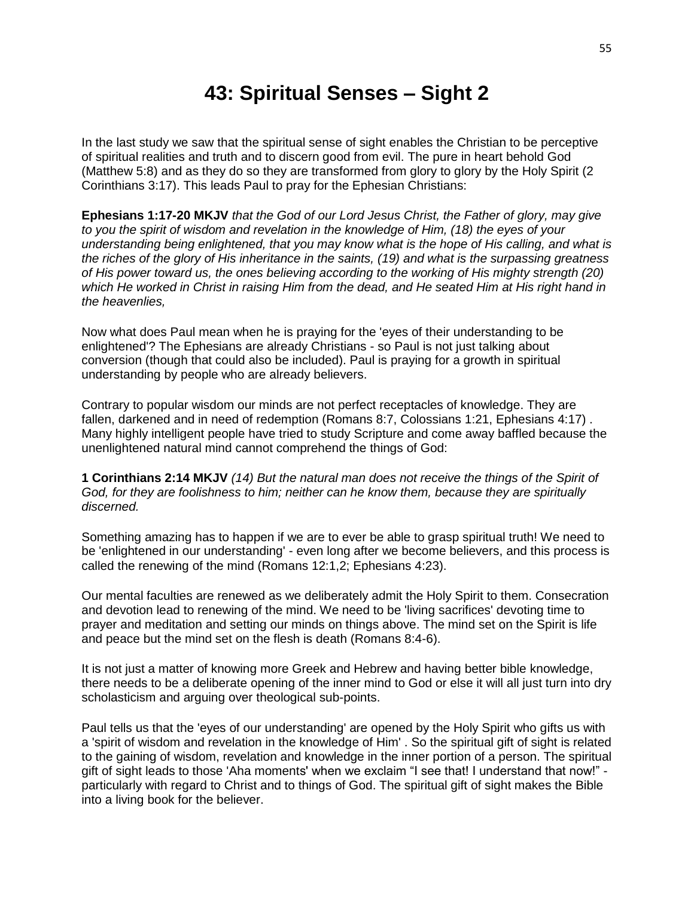## **43: Spiritual Senses – Sight 2**

In the last study we saw that the spiritual sense of sight enables the Christian to be perceptive of spiritual realities and truth and to discern good from evil. The pure in heart behold God (Matthew 5:8) and as they do so they are transformed from glory to glory by the Holy Spirit (2 Corinthians 3:17). This leads Paul to pray for the Ephesian Christians:

**Ephesians 1:17-20 MKJV** *that the God of our Lord Jesus Christ, the Father of glory, may give to you the spirit of wisdom and revelation in the knowledge of Him, (18) the eyes of your understanding being enlightened, that you may know what is the hope of His calling, and what is the riches of the glory of His inheritance in the saints, (19) and what is the surpassing greatness of His power toward us, the ones believing according to the working of His mighty strength (20) which He worked in Christ in raising Him from the dead, and He seated Him at His right hand in the heavenlies,*

Now what does Paul mean when he is praying for the 'eyes of their understanding to be enlightened'? The Ephesians are already Christians - so Paul is not just talking about conversion (though that could also be included). Paul is praying for a growth in spiritual understanding by people who are already believers.

Contrary to popular wisdom our minds are not perfect receptacles of knowledge. They are fallen, darkened and in need of redemption (Romans 8:7, Colossians 1:21, Ephesians 4:17) . Many highly intelligent people have tried to study Scripture and come away baffled because the unenlightened natural mind cannot comprehend the things of God:

**1 Corinthians 2:14 MKJV** *(14) But the natural man does not receive the things of the Spirit of God, for they are foolishness to him; neither can he know them, because they are spiritually discerned.*

Something amazing has to happen if we are to ever be able to grasp spiritual truth! We need to be 'enlightened in our understanding' - even long after we become believers, and this process is called the renewing of the mind (Romans 12:1,2; Ephesians 4:23).

Our mental faculties are renewed as we deliberately admit the Holy Spirit to them. Consecration and devotion lead to renewing of the mind. We need to be 'living sacrifices' devoting time to prayer and meditation and setting our minds on things above. The mind set on the Spirit is life and peace but the mind set on the flesh is death (Romans 8:4-6).

It is not just a matter of knowing more Greek and Hebrew and having better bible knowledge, there needs to be a deliberate opening of the inner mind to God or else it will all just turn into dry scholasticism and arguing over theological sub-points.

Paul tells us that the 'eyes of our understanding' are opened by the Holy Spirit who gifts us with a 'spirit of wisdom and revelation in the knowledge of Him' . So the spiritual gift of sight is related to the gaining of wisdom, revelation and knowledge in the inner portion of a person. The spiritual gift of sight leads to those 'Aha moments' when we exclaim "I see that! I understand that now!" particularly with regard to Christ and to things of God. The spiritual gift of sight makes the Bible into a living book for the believer.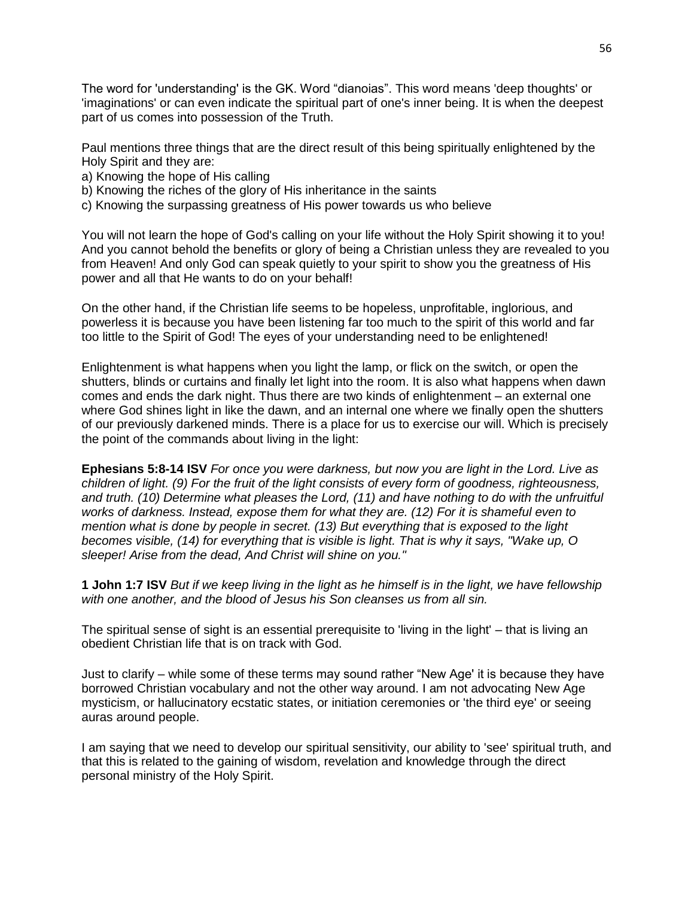The word for 'understanding' is the GK. Word "dianoias". This word means 'deep thoughts' or 'imaginations' or can even indicate the spiritual part of one's inner being. It is when the deepest part of us comes into possession of the Truth.

Paul mentions three things that are the direct result of this being spiritually enlightened by the Holy Spirit and they are:

- a) Knowing the hope of His calling
- b) Knowing the riches of the glory of His inheritance in the saints
- c) Knowing the surpassing greatness of His power towards us who believe

You will not learn the hope of God's calling on your life without the Holy Spirit showing it to you! And you cannot behold the benefits or glory of being a Christian unless they are revealed to you from Heaven! And only God can speak quietly to your spirit to show you the greatness of His power and all that He wants to do on your behalf!

On the other hand, if the Christian life seems to be hopeless, unprofitable, inglorious, and powerless it is because you have been listening far too much to the spirit of this world and far too little to the Spirit of God! The eyes of your understanding need to be enlightened!

Enlightenment is what happens when you light the lamp, or flick on the switch, or open the shutters, blinds or curtains and finally let light into the room. It is also what happens when dawn comes and ends the dark night. Thus there are two kinds of enlightenment – an external one where God shines light in like the dawn, and an internal one where we finally open the shutters of our previously darkened minds. There is a place for us to exercise our will. Which is precisely the point of the commands about living in the light:

**Ephesians 5:8-14 ISV** *For once you were darkness, but now you are light in the Lord. Live as children of light. (9) For the fruit of the light consists of every form of goodness, righteousness, and truth. (10) Determine what pleases the Lord, (11) and have nothing to do with the unfruitful works of darkness. Instead, expose them for what they are. (12) For it is shameful even to mention what is done by people in secret. (13) But everything that is exposed to the light becomes visible, (14) for everything that is visible is light. That is why it says, "Wake up, O sleeper! Arise from the dead, And Christ will shine on you.''*

**1 John 1:7 ISV** *But if we keep living in the light as he himself is in the light, we have fellowship with one another, and the blood of Jesus his Son cleanses us from all sin.*

The spiritual sense of sight is an essential prerequisite to 'living in the light' – that is living an obedient Christian life that is on track with God.

Just to clarify – while some of these terms may sound rather "New Age' it is because they have borrowed Christian vocabulary and not the other way around. I am not advocating New Age mysticism, or hallucinatory ecstatic states, or initiation ceremonies or 'the third eye' or seeing auras around people.

I am saying that we need to develop our spiritual sensitivity, our ability to 'see' spiritual truth, and that this is related to the gaining of wisdom, revelation and knowledge through the direct personal ministry of the Holy Spirit.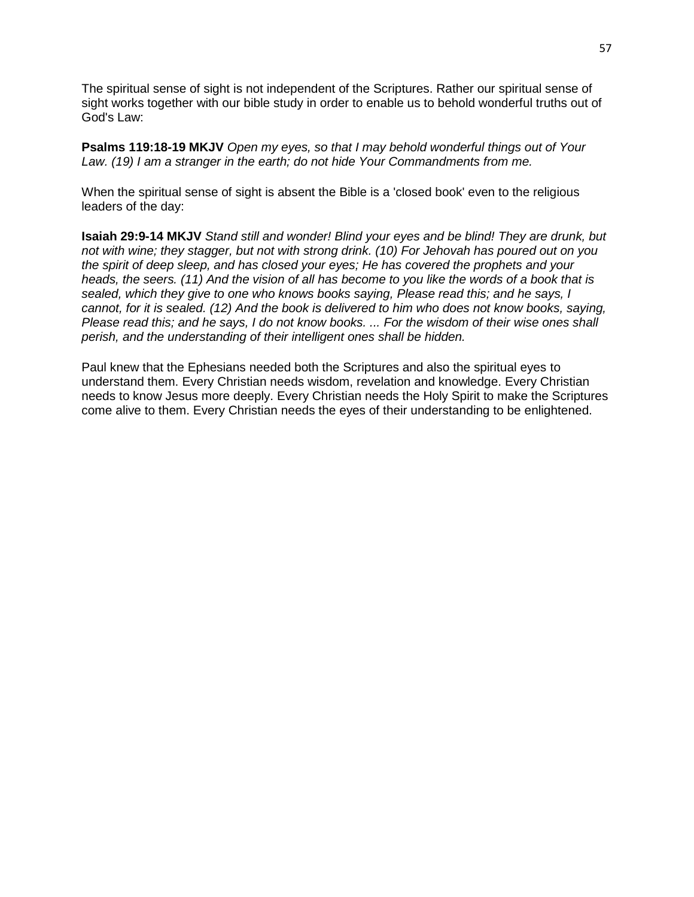The spiritual sense of sight is not independent of the Scriptures. Rather our spiritual sense of sight works together with our bible study in order to enable us to behold wonderful truths out of God's Law:

**Psalms 119:18-19 MKJV** *Open my eyes, so that I may behold wonderful things out of Your Law. (19) I am a stranger in the earth; do not hide Your Commandments from me.*

When the spiritual sense of sight is absent the Bible is a 'closed book' even to the religious leaders of the day:

**Isaiah 29:9-14 MKJV** *Stand still and wonder! Blind your eyes and be blind! They are drunk, but not with wine; they stagger, but not with strong drink. (10) For Jehovah has poured out on you the spirit of deep sleep, and has closed your eyes; He has covered the prophets and your heads, the seers. (11) And the vision of all has become to you like the words of a book that is sealed, which they give to one who knows books saying, Please read this; and he says, I cannot, for it is sealed. (12) And the book is delivered to him who does not know books, saying, Please read this; and he says, I do not know books. ... For the wisdom of their wise ones shall perish, and the understanding of their intelligent ones shall be hidden.*

Paul knew that the Ephesians needed both the Scriptures and also the spiritual eyes to understand them. Every Christian needs wisdom, revelation and knowledge. Every Christian needs to know Jesus more deeply. Every Christian needs the Holy Spirit to make the Scriptures come alive to them. Every Christian needs the eyes of their understanding to be enlightened.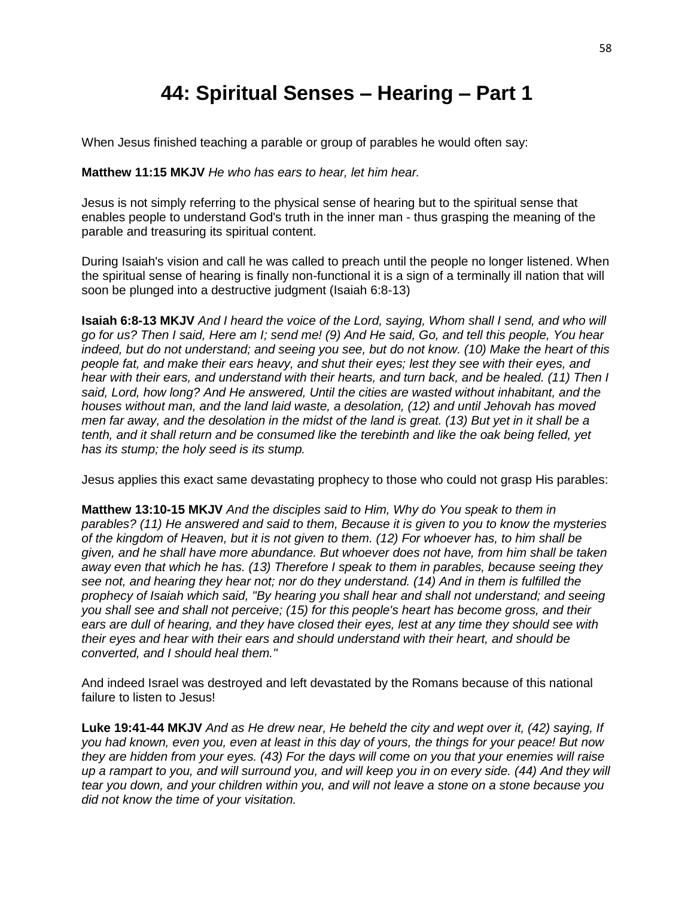# **44: Spiritual Senses – Hearing – Part 1**

When Jesus finished teaching a parable or group of parables he would often say:

#### **Matthew 11:15 MKJV** *He who has ears to hear, let him hear.*

Jesus is not simply referring to the physical sense of hearing but to the spiritual sense that enables people to understand God's truth in the inner man - thus grasping the meaning of the parable and treasuring its spiritual content.

During Isaiah's vision and call he was called to preach until the people no longer listened. When the spiritual sense of hearing is finally non-functional it is a sign of a terminally ill nation that will soon be plunged into a destructive judgment (Isaiah 6:8-13)

**Isaiah 6:8-13 MKJV** *And I heard the voice of the Lord, saying, Whom shall I send, and who will go for us? Then I said, Here am I; send me! (9) And He said, Go, and tell this people, You hear indeed, but do not understand; and seeing you see, but do not know. (10) Make the heart of this people fat, and make their ears heavy, and shut their eyes; lest they see with their eyes, and hear with their ears, and understand with their hearts, and turn back, and be healed. (11) Then I said, Lord, how long? And He answered, Until the cities are wasted without inhabitant, and the houses without man, and the land laid waste, a desolation, (12) and until Jehovah has moved men far away, and the desolation in the midst of the land is great. (13) But yet in it shall be a tenth, and it shall return and be consumed like the terebinth and like the oak being felled, yet has its stump; the holy seed is its stump.*

Jesus applies this exact same devastating prophecy to those who could not grasp His parables:

**Matthew 13:10-15 MKJV** *And the disciples said to Him, Why do You speak to them in parables? (11) He answered and said to them, Because it is given to you to know the mysteries of the kingdom of Heaven, but it is not given to them. (12) For whoever has, to him shall be given, and he shall have more abundance. But whoever does not have, from him shall be taken away even that which he has. (13) Therefore I speak to them in parables, because seeing they see not, and hearing they hear not; nor do they understand. (14) And in them is fulfilled the prophecy of Isaiah which said, "By hearing you shall hear and shall not understand; and seeing you shall see and shall not perceive; (15) for this people's heart has become gross, and their ears are dull of hearing, and they have closed their eyes, lest at any time they should see with their eyes and hear with their ears and should understand with their heart, and should be converted, and I should heal them."*

And indeed Israel was destroyed and left devastated by the Romans because of this national failure to listen to Jesus!

**Luke 19:41-44 MKJV** *And as He drew near, He beheld the city and wept over it, (42) saying, If you had known, even you, even at least in this day of yours, the things for your peace! But now they are hidden from your eyes. (43) For the days will come on you that your enemies will raise up a rampart to you, and will surround you, and will keep you in on every side. (44) And they will tear you down, and your children within you, and will not leave a stone on a stone because you did not know the time of your visitation.*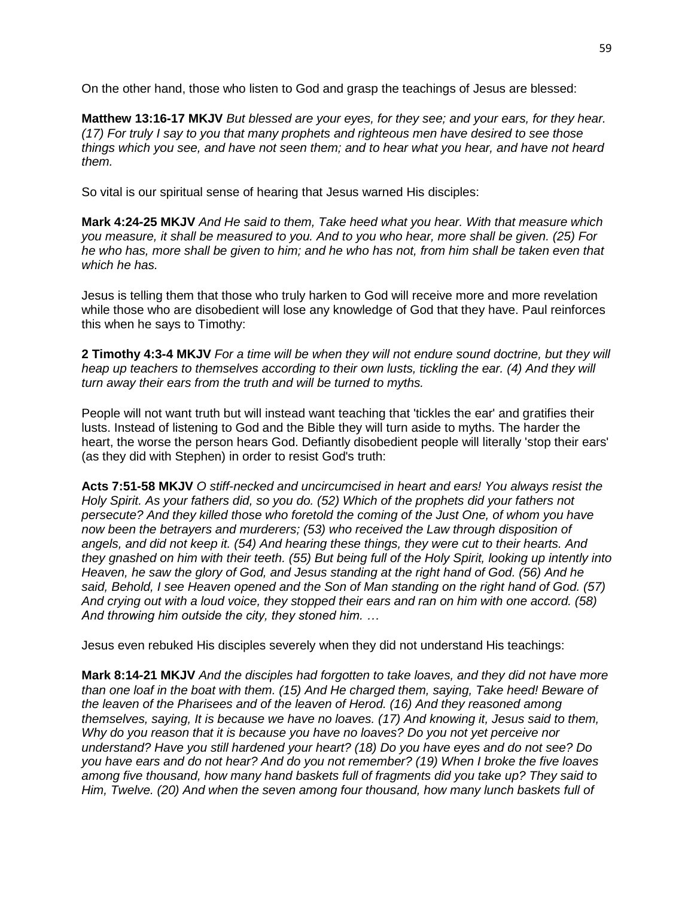On the other hand, those who listen to God and grasp the teachings of Jesus are blessed:

**Matthew 13:16-17 MKJV** *But blessed are your eyes, for they see; and your ears, for they hear. (17) For truly I say to you that many prophets and righteous men have desired to see those things which you see, and have not seen them; and to hear what you hear, and have not heard them.*

So vital is our spiritual sense of hearing that Jesus warned His disciples:

**Mark 4:24-25 MKJV** *And He said to them, Take heed what you hear. With that measure which you measure, it shall be measured to you. And to you who hear, more shall be given. (25) For he who has, more shall be given to him; and he who has not, from him shall be taken even that which he has.*

Jesus is telling them that those who truly harken to God will receive more and more revelation while those who are disobedient will lose any knowledge of God that they have. Paul reinforces this when he says to Timothy:

**2 Timothy 4:3-4 MKJV** *For a time will be when they will not endure sound doctrine, but they will heap up teachers to themselves according to their own lusts, tickling the ear. (4) And they will turn away their ears from the truth and will be turned to myths.*

People will not want truth but will instead want teaching that 'tickles the ear' and gratifies their lusts. Instead of listening to God and the Bible they will turn aside to myths. The harder the heart, the worse the person hears God. Defiantly disobedient people will literally 'stop their ears' (as they did with Stephen) in order to resist God's truth:

**Acts 7:51-58 MKJV** *O stiff-necked and uncircumcised in heart and ears! You always resist the Holy Spirit. As your fathers did, so you do. (52) Which of the prophets did your fathers not persecute? And they killed those who foretold the coming of the Just One, of whom you have now been the betrayers and murderers; (53) who received the Law through disposition of angels, and did not keep it. (54) And hearing these things, they were cut to their hearts. And they gnashed on him with their teeth. (55) But being full of the Holy Spirit, looking up intently into Heaven, he saw the glory of God, and Jesus standing at the right hand of God. (56) And he said, Behold, I see Heaven opened and the Son of Man standing on the right hand of God. (57) And crying out with a loud voice, they stopped their ears and ran on him with one accord. (58) And throwing him outside the city, they stoned him. …*

Jesus even rebuked His disciples severely when they did not understand His teachings:

**Mark 8:14-21 MKJV** *And the disciples had forgotten to take loaves, and they did not have more than one loaf in the boat with them. (15) And He charged them, saying, Take heed! Beware of the leaven of the Pharisees and of the leaven of Herod. (16) And they reasoned among themselves, saying, It is because we have no loaves. (17) And knowing it, Jesus said to them, Why do you reason that it is because you have no loaves? Do you not yet perceive nor understand? Have you still hardened your heart? (18) Do you have eyes and do not see? Do you have ears and do not hear? And do you not remember? (19) When I broke the five loaves among five thousand, how many hand baskets full of fragments did you take up? They said to Him, Twelve. (20) And when the seven among four thousand, how many lunch baskets full of*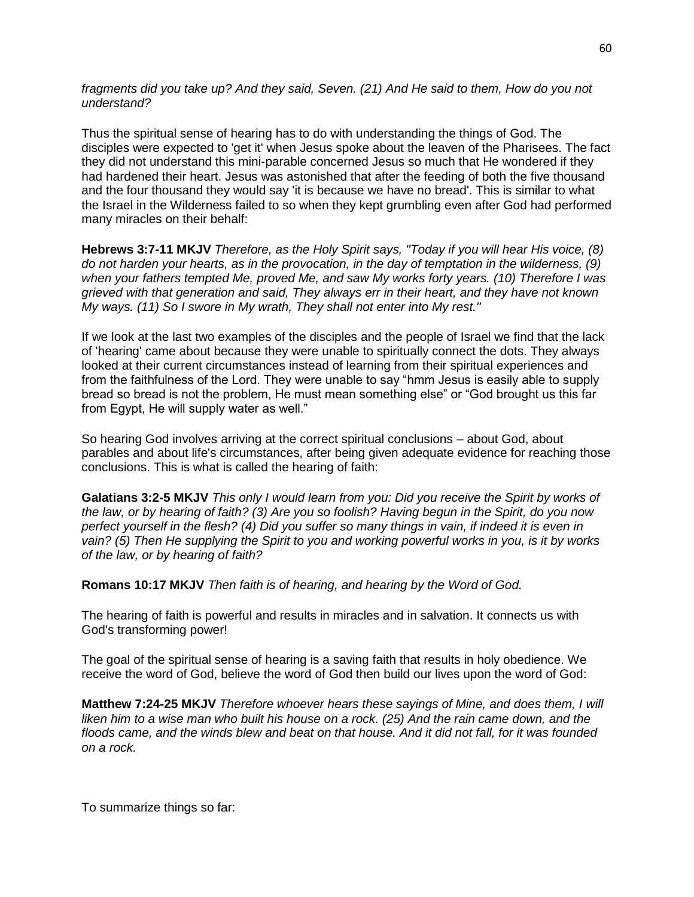*fragments did you take up? And they said, Seven. (21) And He said to them, How do you not understand?*

Thus the spiritual sense of hearing has to do with understanding the things of God. The disciples were expected to 'get it' when Jesus spoke about the leaven of the Pharisees. The fact they did not understand this mini-parable concerned Jesus so much that He wondered if they had hardened their heart. Jesus was astonished that after the feeding of both the five thousand and the four thousand they would say 'it is because we have no bread'. This is similar to what the Israel in the Wilderness failed to so when they kept grumbling even after God had performed many miracles on their behalf:

**Hebrews 3:7-11 MKJV** *Therefore, as the Holy Spirit says, "Today if you will hear His voice, (8) do not harden your hearts, as in the provocation, in the day of temptation in the wilderness, (9) when your fathers tempted Me, proved Me, and saw My works forty years. (10) Therefore I was grieved with that generation and said, They always err in their heart, and they have not known My ways. (11) So I swore in My wrath, They shall not enter into My rest."*

If we look at the last two examples of the disciples and the people of Israel we find that the lack of 'hearing' came about because they were unable to spiritually connect the dots. They always looked at their current circumstances instead of learning from their spiritual experiences and from the faithfulness of the Lord. They were unable to say "hmm Jesus is easily able to supply bread so bread is not the problem, He must mean something else" or "God brought us this far from Egypt, He will supply water as well."

So hearing God involves arriving at the correct spiritual conclusions – about God, about parables and about life's circumstances, after being given adequate evidence for reaching those conclusions. This is what is called the hearing of faith:

**Galatians 3:2-5 MKJV** *This only I would learn from you: Did you receive the Spirit by works of the law, or by hearing of faith? (3) Are you so foolish? Having begun in the Spirit, do you now perfect yourself in the flesh? (4) Did you suffer so many things in vain, if indeed it is even in vain? (5) Then He supplying the Spirit to you and working powerful works in you, is it by works of the law, or by hearing of faith?*

**Romans 10:17 MKJV** *Then faith is of hearing, and hearing by the Word of God.*

The hearing of faith is powerful and results in miracles and in salvation. It connects us with God's transforming power!

The goal of the spiritual sense of hearing is a saving faith that results in holy obedience. We receive the word of God, believe the word of God then build our lives upon the word of God:

**Matthew 7:24-25 MKJV** *Therefore whoever hears these sayings of Mine, and does them, I will liken him to a wise man who built his house on a rock. (25) And the rain came down, and the floods came, and the winds blew and beat on that house. And it did not fall, for it was founded on a rock.*

To summarize things so far: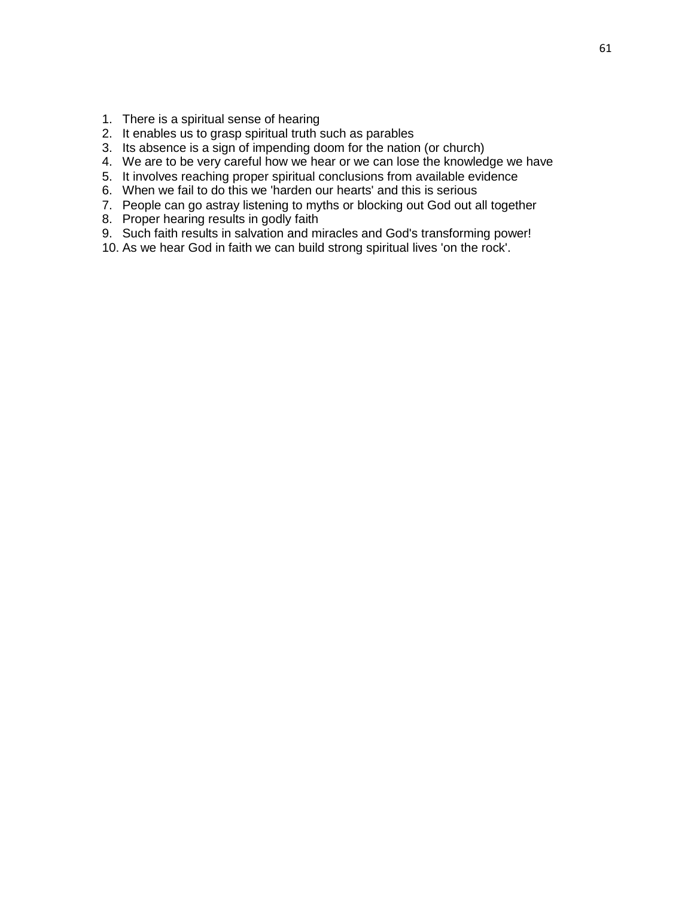- 1. There is a spiritual sense of hearing
- 2. It enables us to grasp spiritual truth such as parables
- 3. Its absence is a sign of impending doom for the nation (or church)
- 4. We are to be very careful how we hear or we can lose the knowledge we have
- 5. It involves reaching proper spiritual conclusions from available evidence
- 6. When we fail to do this we 'harden our hearts' and this is serious
- 7. People can go astray listening to myths or blocking out God out all together
- 8. Proper hearing results in godly faith
- 9. Such faith results in salvation and miracles and God's transforming power!
- 10. As we hear God in faith we can build strong spiritual lives 'on the rock'.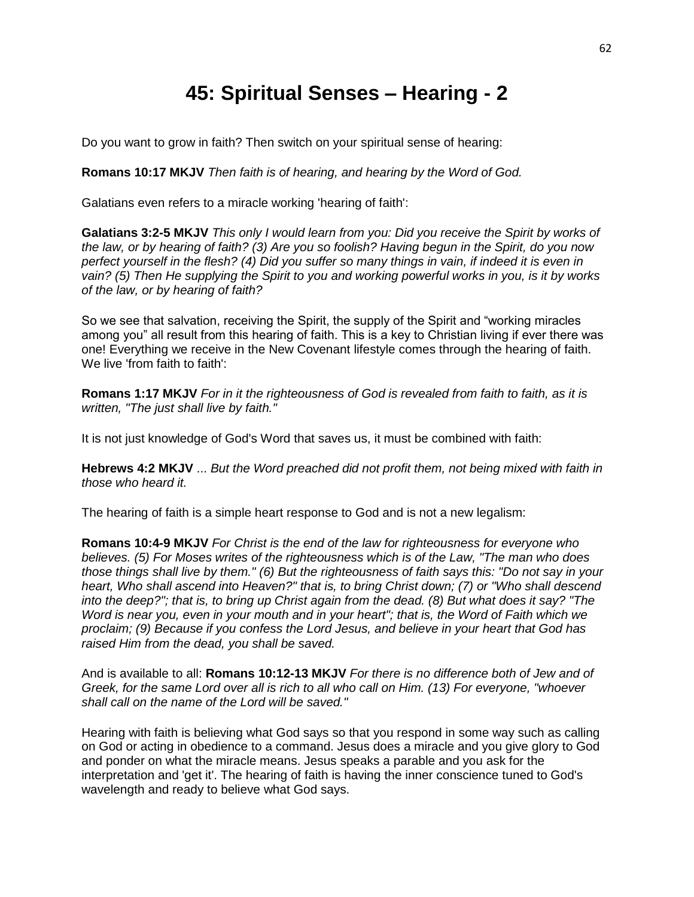## **45: Spiritual Senses – Hearing - 2**

Do you want to grow in faith? Then switch on your spiritual sense of hearing:

**Romans 10:17 MKJV** *Then faith is of hearing, and hearing by the Word of God.*

Galatians even refers to a miracle working 'hearing of faith':

**Galatians 3:2-5 MKJV** *This only I would learn from you: Did you receive the Spirit by works of the law, or by hearing of faith? (3) Are you so foolish? Having begun in the Spirit, do you now perfect yourself in the flesh? (4) Did you suffer so many things in vain, if indeed it is even in vain? (5) Then He supplying the Spirit to you and working powerful works in you, is it by works of the law, or by hearing of faith?*

So we see that salvation, receiving the Spirit, the supply of the Spirit and "working miracles among you" all result from this hearing of faith. This is a key to Christian living if ever there was one! Everything we receive in the New Covenant lifestyle comes through the hearing of faith. We live 'from faith to faith':

**Romans 1:17 MKJV** *For in it the righteousness of God is revealed from faith to faith, as it is written, "The just shall live by faith."*

It is not just knowledge of God's Word that saves us, it must be combined with faith:

**Hebrews 4:2 MKJV** ... *But the Word preached did not profit them, not being mixed with faith in those who heard it.*

The hearing of faith is a simple heart response to God and is not a new legalism:

**Romans 10:4-9 MKJV** *For Christ is the end of the law for righteousness for everyone who believes. (5) For Moses writes of the righteousness which is of the Law, "The man who does those things shall live by them." (6) But the righteousness of faith says this: "Do not say in your heart, Who shall ascend into Heaven?" that is, to bring Christ down; (7) or "Who shall descend into the deep?"; that is, to bring up Christ again from the dead. (8) But what does it say? "The Word is near you, even in your mouth and in your heart"; that is, the Word of Faith which we proclaim; (9) Because if you confess the Lord Jesus, and believe in your heart that God has raised Him from the dead, you shall be saved.*

And is available to all: **Romans 10:12-13 MKJV** *For there is no difference both of Jew and of Greek, for the same Lord over all is rich to all who call on Him. (13) For everyone, "whoever shall call on the name of the Lord will be saved."*

Hearing with faith is believing what God says so that you respond in some way such as calling on God or acting in obedience to a command. Jesus does a miracle and you give glory to God and ponder on what the miracle means. Jesus speaks a parable and you ask for the interpretation and 'get it'. The hearing of faith is having the inner conscience tuned to God's wavelength and ready to believe what God says.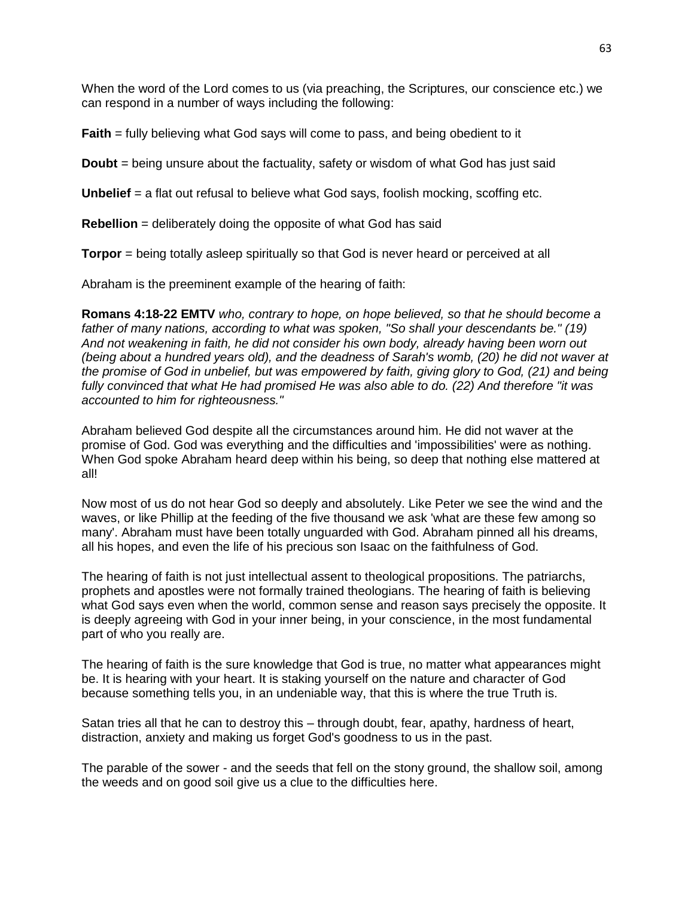When the word of the Lord comes to us (via preaching, the Scriptures, our conscience etc.) we can respond in a number of ways including the following:

**Faith** = fully believing what God says will come to pass, and being obedient to it

**Doubt** = being unsure about the factuality, safety or wisdom of what God has just said

**Unbelief** = a flat out refusal to believe what God says, foolish mocking, scoffing etc.

**Rebellion** = deliberately doing the opposite of what God has said

**Torpor** = being totally asleep spiritually so that God is never heard or perceived at all

Abraham is the preeminent example of the hearing of faith:

**Romans 4:18-22 EMTV** *who, contrary to hope, on hope believed, so that he should become a father of many nations, according to what was spoken, "So shall your descendants be." (19) And not weakening in faith, he did not consider his own body, already having been worn out (being about a hundred years old), and the deadness of Sarah's womb, (20) he did not waver at the promise of God in unbelief, but was empowered by faith, giving glory to God, (21) and being fully convinced that what He had promised He was also able to do. (22) And therefore "it was accounted to him for righteousness."*

Abraham believed God despite all the circumstances around him. He did not waver at the promise of God. God was everything and the difficulties and 'impossibilities' were as nothing. When God spoke Abraham heard deep within his being, so deep that nothing else mattered at all!

Now most of us do not hear God so deeply and absolutely. Like Peter we see the wind and the waves, or like Phillip at the feeding of the five thousand we ask 'what are these few among so many'. Abraham must have been totally unguarded with God. Abraham pinned all his dreams, all his hopes, and even the life of his precious son Isaac on the faithfulness of God.

The hearing of faith is not just intellectual assent to theological propositions. The patriarchs, prophets and apostles were not formally trained theologians. The hearing of faith is believing what God says even when the world, common sense and reason says precisely the opposite. It is deeply agreeing with God in your inner being, in your conscience, in the most fundamental part of who you really are.

The hearing of faith is the sure knowledge that God is true, no matter what appearances might be. It is hearing with your heart. It is staking yourself on the nature and character of God because something tells you, in an undeniable way, that this is where the true Truth is.

Satan tries all that he can to destroy this – through doubt, fear, apathy, hardness of heart, distraction, anxiety and making us forget God's goodness to us in the past.

The parable of the sower - and the seeds that fell on the stony ground, the shallow soil, among the weeds and on good soil give us a clue to the difficulties here.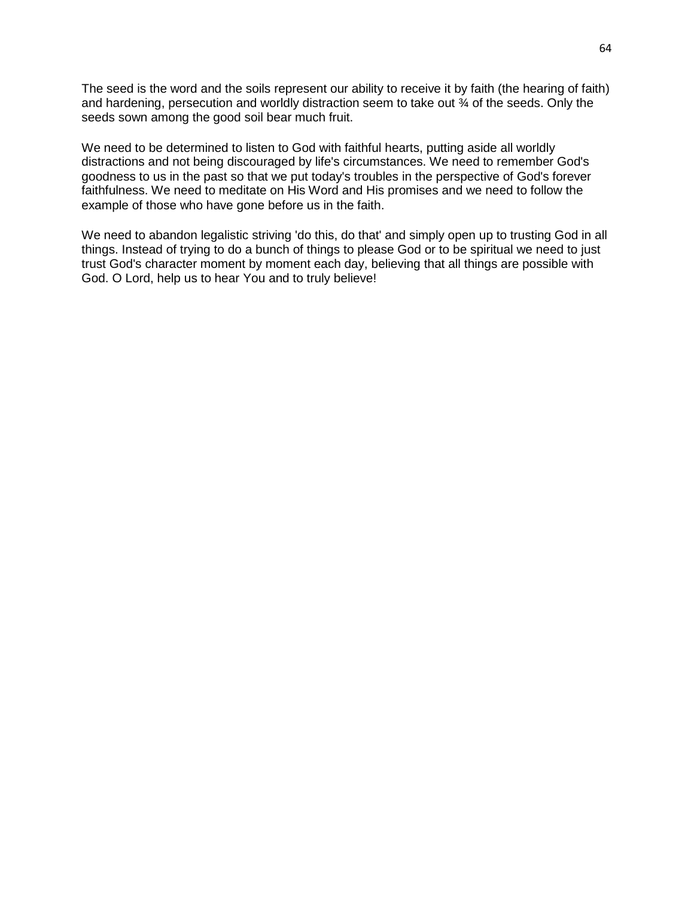The seed is the word and the soils represent our ability to receive it by faith (the hearing of faith) and hardening, persecution and worldly distraction seem to take out ¾ of the seeds. Only the seeds sown among the good soil bear much fruit.

We need to be determined to listen to God with faithful hearts, putting aside all worldly distractions and not being discouraged by life's circumstances. We need to remember God's goodness to us in the past so that we put today's troubles in the perspective of God's forever faithfulness. We need to meditate on His Word and His promises and we need to follow the example of those who have gone before us in the faith.

We need to abandon legalistic striving 'do this, do that' and simply open up to trusting God in all things. Instead of trying to do a bunch of things to please God or to be spiritual we need to just trust God's character moment by moment each day, believing that all things are possible with God. O Lord, help us to hear You and to truly believe!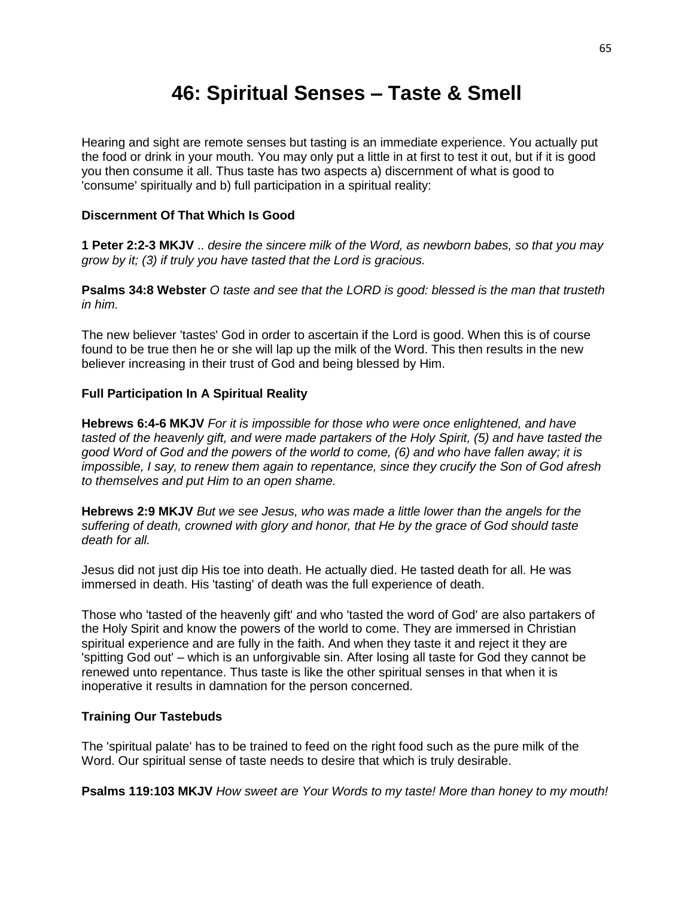### **46: Spiritual Senses – Taste & Smell**

Hearing and sight are remote senses but tasting is an immediate experience. You actually put the food or drink in your mouth. You may only put a little in at first to test it out, but if it is good you then consume it all. Thus taste has two aspects a) discernment of what is good to 'consume' spiritually and b) full participation in a spiritual reality:

#### **Discernment Of That Which Is Good**

**1 Peter 2:2-3 MKJV** .. *desire the sincere milk of the Word, as newborn babes, so that you may grow by it; (3) if truly you have tasted that the Lord is gracious.*

**Psalms 34:8 Webster** *O taste and see that the LORD is good: blessed is the man that trusteth in him.*

The new believer 'tastes' God in order to ascertain if the Lord is good. When this is of course found to be true then he or she will lap up the milk of the Word. This then results in the new believer increasing in their trust of God and being blessed by Him.

#### **Full Participation In A Spiritual Reality**

**Hebrews 6:4-6 MKJV** *For it is impossible for those who were once enlightened, and have tasted of the heavenly gift, and were made partakers of the Holy Spirit, (5) and have tasted the good Word of God and the powers of the world to come, (6) and who have fallen away; it is impossible, I say, to renew them again to repentance, since they crucify the Son of God afresh to themselves and put Him to an open shame.*

**Hebrews 2:9 MKJV** *But we see Jesus, who was made a little lower than the angels for the suffering of death, crowned with glory and honor, that He by the grace of God should taste death for all.*

Jesus did not just dip His toe into death. He actually died. He tasted death for all. He was immersed in death. His 'tasting' of death was the full experience of death.

Those who 'tasted of the heavenly gift' and who 'tasted the word of God' are also partakers of the Holy Spirit and know the powers of the world to come. They are immersed in Christian spiritual experience and are fully in the faith. And when they taste it and reject it they are 'spitting God out' – which is an unforgivable sin. After losing all taste for God they cannot be renewed unto repentance. Thus taste is like the other spiritual senses in that when it is inoperative it results in damnation for the person concerned.

#### **Training Our Tastebuds**

The 'spiritual palate' has to be trained to feed on the right food such as the pure milk of the Word. Our spiritual sense of taste needs to desire that which is truly desirable.

**Psalms 119:103 MKJV** *How sweet are Your Words to my taste! More than honey to my mouth!*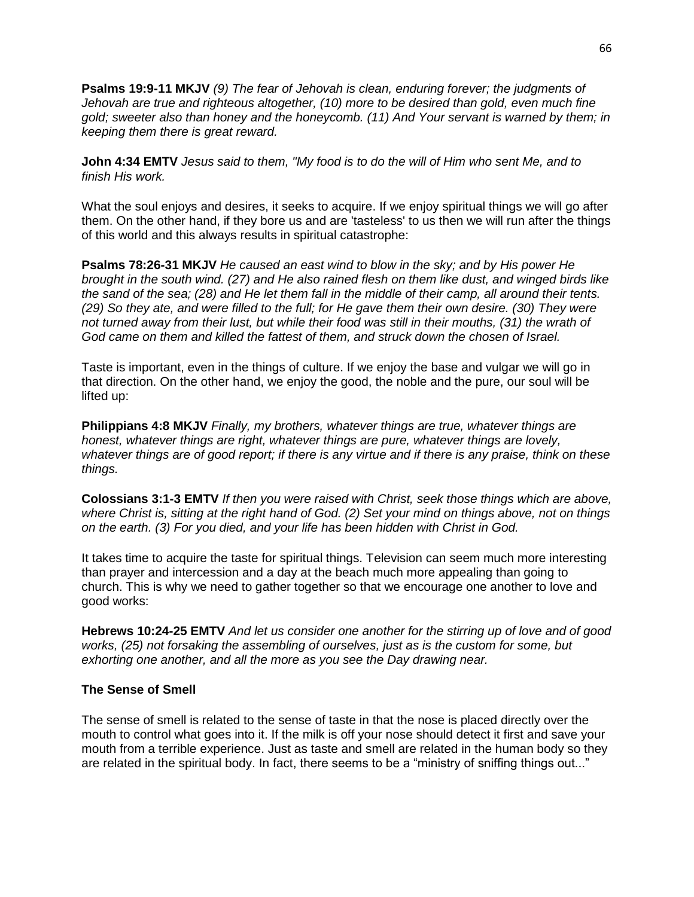**Psalms 19:9-11 MKJV** *(9) The fear of Jehovah is clean, enduring forever; the judgments of Jehovah are true and righteous altogether, (10) more to be desired than gold, even much fine gold; sweeter also than honey and the honeycomb. (11) And Your servant is warned by them; in keeping them there is great reward.*

**John 4:34 EMTV** *Jesus said to them, "My food is to do the will of Him who sent Me, and to finish His work.*

What the soul enjoys and desires, it seeks to acquire. If we enjoy spiritual things we will go after them. On the other hand, if they bore us and are 'tasteless' to us then we will run after the things of this world and this always results in spiritual catastrophe:

**Psalms 78:26-31 MKJV** *He caused an east wind to blow in the sky; and by His power He brought in the south wind. (27) and He also rained flesh on them like dust, and winged birds like the sand of the sea; (28) and He let them fall in the middle of their camp, all around their tents. (29) So they ate, and were filled to the full; for He gave them their own desire. (30) They were*  not turned away from their lust, but while their food was still in their mouths, (31) the wrath of *God came on them and killed the fattest of them, and struck down the chosen of Israel.*

Taste is important, even in the things of culture. If we enjoy the base and vulgar we will go in that direction. On the other hand, we enjoy the good, the noble and the pure, our soul will be lifted up:

**Philippians 4:8 MKJV** *Finally, my brothers, whatever things are true, whatever things are honest, whatever things are right, whatever things are pure, whatever things are lovely, whatever things are of good report; if there is any virtue and if there is any praise, think on these things.*

**Colossians 3:1-3 EMTV** *If then you were raised with Christ, seek those things which are above, where Christ is, sitting at the right hand of God. (2) Set your mind on things above, not on things on the earth. (3) For you died, and your life has been hidden with Christ in God.*

It takes time to acquire the taste for spiritual things. Television can seem much more interesting than prayer and intercession and a day at the beach much more appealing than going to church. This is why we need to gather together so that we encourage one another to love and good works:

**Hebrews 10:24-25 EMTV** *And let us consider one another for the stirring up of love and of good works, (25) not forsaking the assembling of ourselves, just as is the custom for some, but exhorting one another, and all the more as you see the Day drawing near.*

#### **The Sense of Smell**

The sense of smell is related to the sense of taste in that the nose is placed directly over the mouth to control what goes into it. If the milk is off your nose should detect it first and save your mouth from a terrible experience. Just as taste and smell are related in the human body so they are related in the spiritual body. In fact, there seems to be a "ministry of sniffing things out..."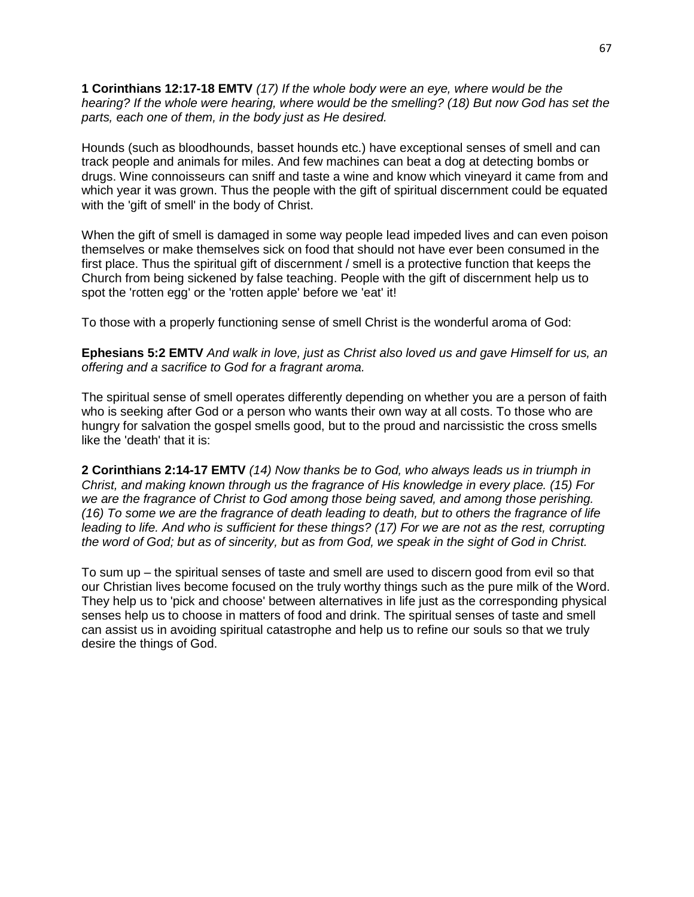**1 Corinthians 12:17-18 EMTV** *(17) If the whole body were an eye, where would be the hearing? If the whole were hearing, where would be the smelling? (18) But now God has set the parts, each one of them, in the body just as He desired.*

Hounds (such as bloodhounds, basset hounds etc.) have exceptional senses of smell and can track people and animals for miles. And few machines can beat a dog at detecting bombs or drugs. Wine connoisseurs can sniff and taste a wine and know which vineyard it came from and which year it was grown. Thus the people with the gift of spiritual discernment could be equated with the 'gift of smell' in the body of Christ.

When the gift of smell is damaged in some way people lead impeded lives and can even poison themselves or make themselves sick on food that should not have ever been consumed in the first place. Thus the spiritual gift of discernment / smell is a protective function that keeps the Church from being sickened by false teaching. People with the gift of discernment help us to spot the 'rotten egg' or the 'rotten apple' before we 'eat' it!

To those with a properly functioning sense of smell Christ is the wonderful aroma of God:

**Ephesians 5:2 EMTV** *And walk in love, just as Christ also loved us and gave Himself for us, an offering and a sacrifice to God for a fragrant aroma.*

The spiritual sense of smell operates differently depending on whether you are a person of faith who is seeking after God or a person who wants their own way at all costs. To those who are hungry for salvation the gospel smells good, but to the proud and narcissistic the cross smells like the 'death' that it is:

**2 Corinthians 2:14-17 EMTV** *(14) Now thanks be to God, who always leads us in triumph in Christ, and making known through us the fragrance of His knowledge in every place. (15) For we are the fragrance of Christ to God among those being saved, and among those perishing. (16) To some we are the fragrance of death leading to death, but to others the fragrance of life leading to life. And who is sufficient for these things? (17) For we are not as the rest, corrupting the word of God; but as of sincerity, but as from God, we speak in the sight of God in Christ.*

To sum up – the spiritual senses of taste and smell are used to discern good from evil so that our Christian lives become focused on the truly worthy things such as the pure milk of the Word. They help us to 'pick and choose' between alternatives in life just as the corresponding physical senses help us to choose in matters of food and drink. The spiritual senses of taste and smell can assist us in avoiding spiritual catastrophe and help us to refine our souls so that we truly desire the things of God.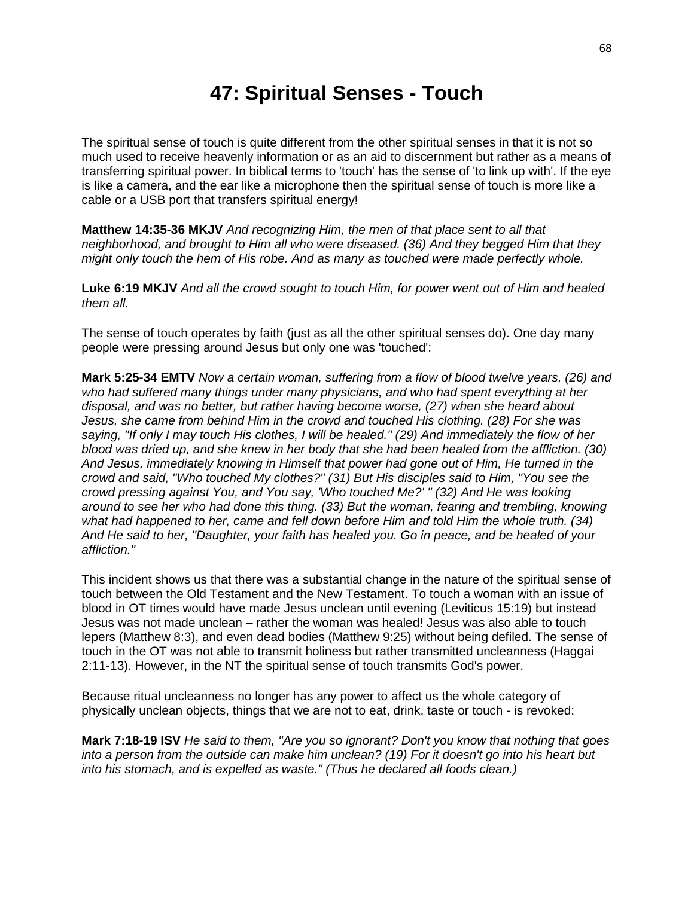### **47: Spiritual Senses - Touch**

The spiritual sense of touch is quite different from the other spiritual senses in that it is not so much used to receive heavenly information or as an aid to discernment but rather as a means of transferring spiritual power. In biblical terms to 'touch' has the sense of 'to link up with'. If the eye is like a camera, and the ear like a microphone then the spiritual sense of touch is more like a cable or a USB port that transfers spiritual energy!

**Matthew 14:35-36 MKJV** *And recognizing Him, the men of that place sent to all that neighborhood, and brought to Him all who were diseased. (36) And they begged Him that they might only touch the hem of His robe. And as many as touched were made perfectly whole.*

**Luke 6:19 MKJV** *And all the crowd sought to touch Him, for power went out of Him and healed them all.*

The sense of touch operates by faith (just as all the other spiritual senses do). One day many people were pressing around Jesus but only one was 'touched':

**Mark 5:25-34 EMTV** *Now a certain woman, suffering from a flow of blood twelve years, (26) and who had suffered many things under many physicians, and who had spent everything at her disposal, and was no better, but rather having become worse, (27) when she heard about Jesus, she came from behind Him in the crowd and touched His clothing. (28) For she was saying, "If only I may touch His clothes, I will be healed." (29) And immediately the flow of her blood was dried up, and she knew in her body that she had been healed from the affliction. (30) And Jesus, immediately knowing in Himself that power had gone out of Him, He turned in the crowd and said, "Who touched My clothes?" (31) But His disciples said to Him, "You see the crowd pressing against You, and You say, 'Who touched Me?' " (32) And He was looking around to see her who had done this thing. (33) But the woman, fearing and trembling, knowing what had happened to her, came and fell down before Him and told Him the whole truth. (34) And He said to her, "Daughter, your faith has healed you. Go in peace, and be healed of your affliction."*

This incident shows us that there was a substantial change in the nature of the spiritual sense of touch between the Old Testament and the New Testament. To touch a woman with an issue of blood in OT times would have made Jesus unclean until evening (Leviticus 15:19) but instead Jesus was not made unclean – rather the woman was healed! Jesus was also able to touch lepers (Matthew 8:3), and even dead bodies (Matthew 9:25) without being defiled. The sense of touch in the OT was not able to transmit holiness but rather transmitted uncleanness (Haggai 2:11-13). However, in the NT the spiritual sense of touch transmits God's power.

Because ritual uncleanness no longer has any power to affect us the whole category of physically unclean objects, things that we are not to eat, drink, taste or touch - is revoked:

**Mark 7:18-19 ISV** *He said to them, "Are you so ignorant? Don't you know that nothing that goes into a person from the outside can make him unclean? (19) For it doesn't go into his heart but into his stomach, and is expelled as waste." (Thus he declared all foods clean.)*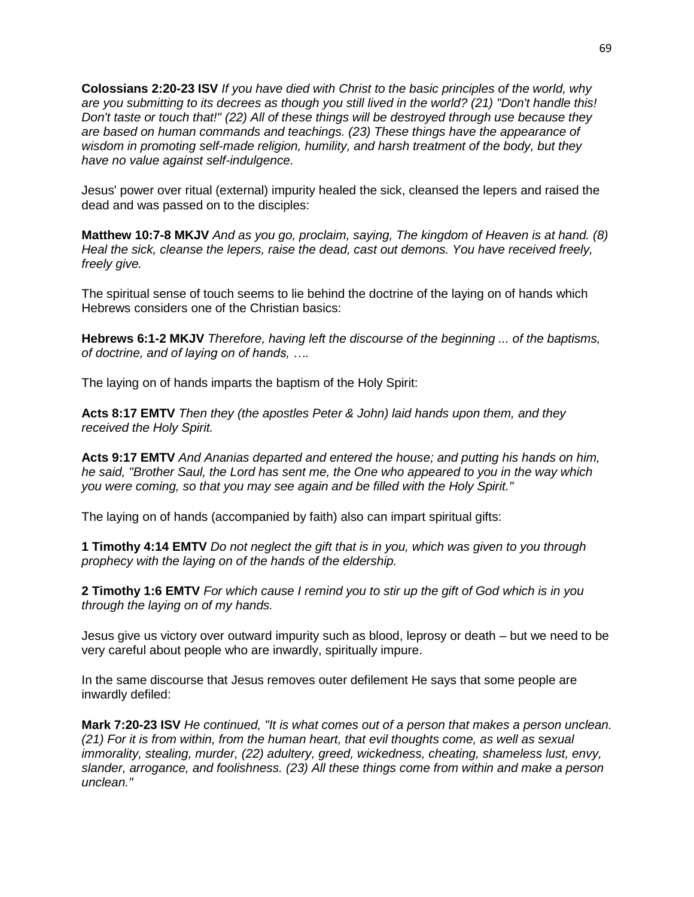**Colossians 2:20-23 ISV** *If you have died with Christ to the basic principles of the world, why are you submitting to its decrees as though you still lived in the world? (21) "Don't handle this! Don't taste or touch that!" (22) All of these things will be destroyed through use because they are based on human commands and teachings. (23) These things have the appearance of wisdom in promoting self-made religion, humility, and harsh treatment of the body, but they have no value against self-indulgence.*

Jesus' power over ritual (external) impurity healed the sick, cleansed the lepers and raised the dead and was passed on to the disciples:

**Matthew 10:7-8 MKJV** *And as you go, proclaim, saying, The kingdom of Heaven is at hand. (8) Heal the sick, cleanse the lepers, raise the dead, cast out demons. You have received freely, freely give.*

The spiritual sense of touch seems to lie behind the doctrine of the laying on of hands which Hebrews considers one of the Christian basics:

**Hebrews 6:1-2 MKJV** *Therefore, having left the discourse of the beginning ... of the baptisms, of doctrine, and of laying on of hands, ….*

The laying on of hands imparts the baptism of the Holy Spirit:

**Acts 8:17 EMTV** *Then they (the apostles Peter & John) laid hands upon them, and they received the Holy Spirit.*

**Acts 9:17 EMTV** *And Ananias departed and entered the house; and putting his hands on him, he said, "Brother Saul, the Lord has sent me, the One who appeared to you in the way which you were coming, so that you may see again and be filled with the Holy Spirit."*

The laying on of hands (accompanied by faith) also can impart spiritual gifts:

**1 Timothy 4:14 EMTV** *Do not neglect the gift that is in you, which was given to you through prophecy with the laying on of the hands of the eldership.*

**2 Timothy 1:6 EMTV** *For which cause I remind you to stir up the gift of God which is in you through the laying on of my hands.*

Jesus give us victory over outward impurity such as blood, leprosy or death – but we need to be very careful about people who are inwardly, spiritually impure.

In the same discourse that Jesus removes outer defilement He says that some people are inwardly defiled:

**Mark 7:20-23 ISV** *He continued, "It is what comes out of a person that makes a person unclean. (21) For it is from within, from the human heart, that evil thoughts come, as well as sexual immorality, stealing, murder, (22) adultery, greed, wickedness, cheating, shameless lust, envy, slander, arrogance, and foolishness. (23) All these things come from within and make a person unclean."*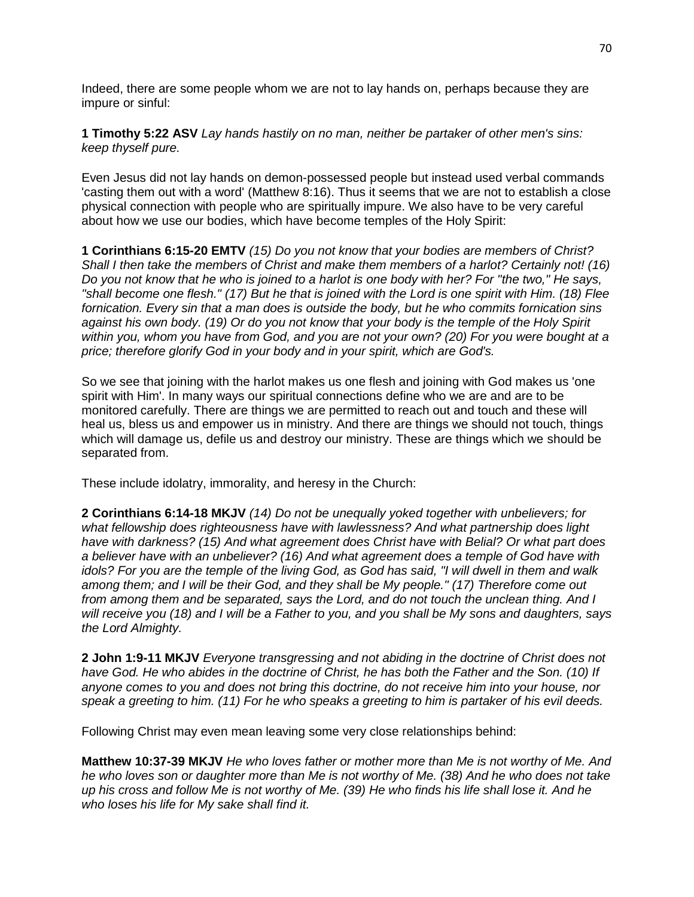Indeed, there are some people whom we are not to lay hands on, perhaps because they are impure or sinful:

**1 Timothy 5:22 ASV** *Lay hands hastily on no man, neither be partaker of other men's sins: keep thyself pure.*

Even Jesus did not lay hands on demon-possessed people but instead used verbal commands 'casting them out with a word' (Matthew 8:16). Thus it seems that we are not to establish a close physical connection with people who are spiritually impure. We also have to be very careful about how we use our bodies, which have become temples of the Holy Spirit:

**1 Corinthians 6:15-20 EMTV** *(15) Do you not know that your bodies are members of Christ? Shall I then take the members of Christ and make them members of a harlot? Certainly not! (16) Do you not know that he who is joined to a harlot is one body with her? For "the two," He says, "shall become one flesh." (17) But he that is joined with the Lord is one spirit with Him. (18) Flee fornication. Every sin that a man does is outside the body, but he who commits fornication sins against his own body. (19) Or do you not know that your body is the temple of the Holy Spirit within you, whom you have from God, and you are not your own? (20) For you were bought at a price; therefore glorify God in your body and in your spirit, which are God's.*

So we see that joining with the harlot makes us one flesh and joining with God makes us 'one spirit with Him'. In many ways our spiritual connections define who we are and are to be monitored carefully. There are things we are permitted to reach out and touch and these will heal us, bless us and empower us in ministry. And there are things we should not touch, things which will damage us, defile us and destroy our ministry. These are things which we should be separated from.

These include idolatry, immorality, and heresy in the Church:

**2 Corinthians 6:14-18 MKJV** *(14) Do not be unequally yoked together with unbelievers; for what fellowship does righteousness have with lawlessness? And what partnership does light have with darkness? (15) And what agreement does Christ have with Belial? Or what part does a believer have with an unbeliever? (16) And what agreement does a temple of God have with idols? For you are the temple of the living God, as God has said, "I will dwell in them and walk among them; and I will be their God, and they shall be My people." (17) Therefore come out from among them and be separated, says the Lord, and do not touch the unclean thing. And I will receive you (18) and I will be a Father to you, and you shall be My sons and daughters, says the Lord Almighty.*

**2 John 1:9-11 MKJV** *Everyone transgressing and not abiding in the doctrine of Christ does not have God. He who abides in the doctrine of Christ, he has both the Father and the Son. (10) If anyone comes to you and does not bring this doctrine, do not receive him into your house, nor speak a greeting to him. (11) For he who speaks a greeting to him is partaker of his evil deeds.*

Following Christ may even mean leaving some very close relationships behind:

**Matthew 10:37-39 MKJV** *He who loves father or mother more than Me is not worthy of Me. And he who loves son or daughter more than Me is not worthy of Me. (38) And he who does not take up his cross and follow Me is not worthy of Me. (39) He who finds his life shall lose it. And he who loses his life for My sake shall find it.*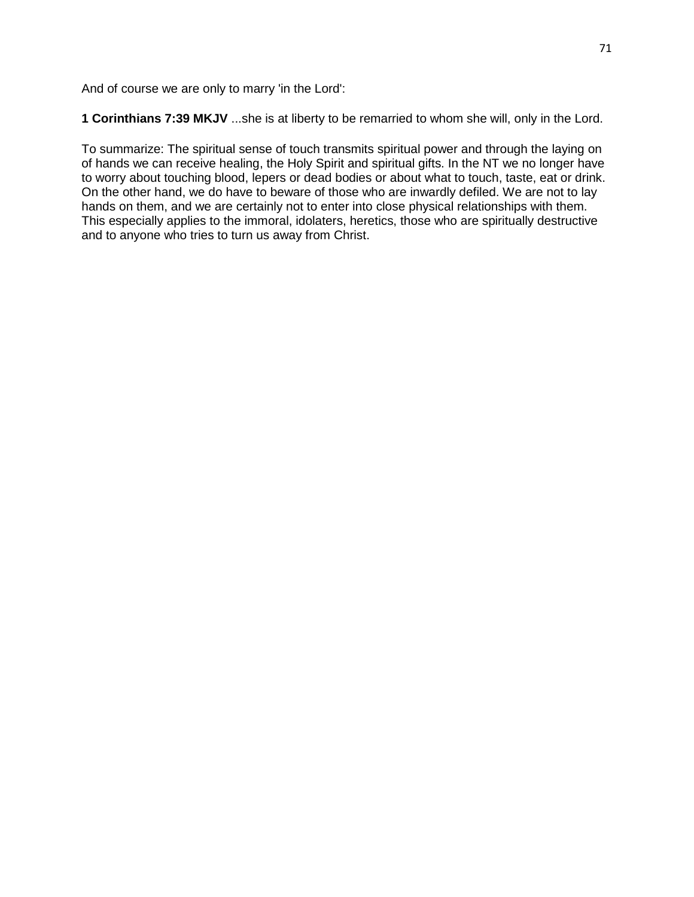And of course we are only to marry 'in the Lord':

**1 Corinthians 7:39 MKJV** ...she is at liberty to be remarried to whom she will, only in the Lord.

To summarize: The spiritual sense of touch transmits spiritual power and through the laying on of hands we can receive healing, the Holy Spirit and spiritual gifts. In the NT we no longer have to worry about touching blood, lepers or dead bodies or about what to touch, taste, eat or drink. On the other hand, we do have to beware of those who are inwardly defiled. We are not to lay hands on them, and we are certainly not to enter into close physical relationships with them. This especially applies to the immoral, idolaters, heretics, those who are spiritually destructive and to anyone who tries to turn us away from Christ.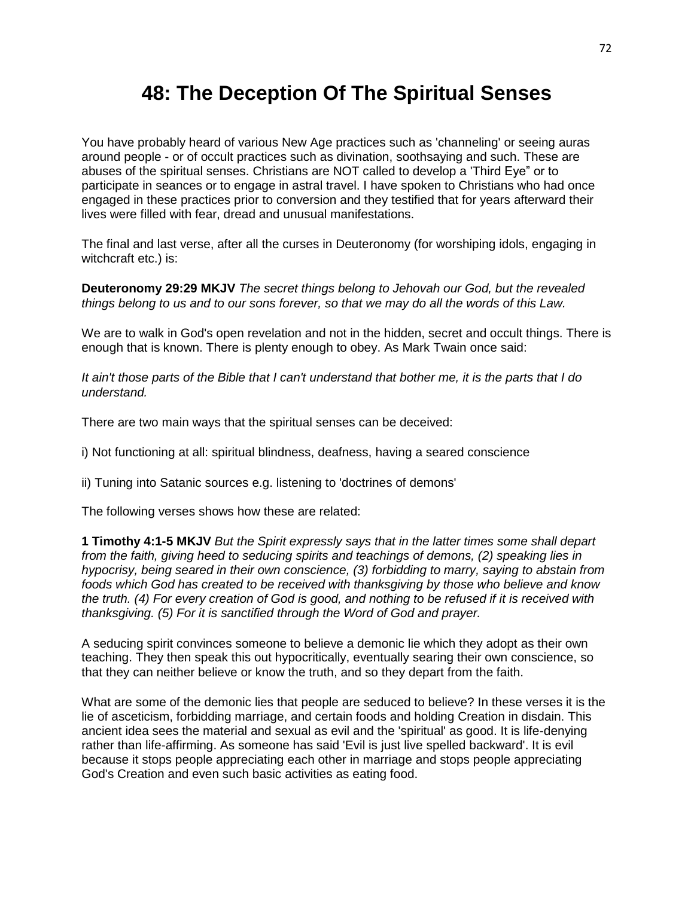## **48: The Deception Of The Spiritual Senses**

You have probably heard of various New Age practices such as 'channeling' or seeing auras around people - or of occult practices such as divination, soothsaying and such. These are abuses of the spiritual senses. Christians are NOT called to develop a 'Third Eye" or to participate in seances or to engage in astral travel. I have spoken to Christians who had once engaged in these practices prior to conversion and they testified that for years afterward their lives were filled with fear, dread and unusual manifestations.

The final and last verse, after all the curses in Deuteronomy (for worshiping idols, engaging in witchcraft etc.) is:

**Deuteronomy 29:29 MKJV** *The secret things belong to Jehovah our God, but the revealed things belong to us and to our sons forever, so that we may do all the words of this Law.*

We are to walk in God's open revelation and not in the hidden, secret and occult things. There is enough that is known. There is plenty enough to obey. As Mark Twain once said:

*It ain't those parts of the Bible that I can't understand that bother me, it is the parts that I do understand.* 

There are two main ways that the spiritual senses can be deceived:

i) Not functioning at all: spiritual blindness, deafness, having a seared conscience

ii) Tuning into Satanic sources e.g. listening to 'doctrines of demons'

The following verses shows how these are related:

**1 Timothy 4:1-5 MKJV** *But the Spirit expressly says that in the latter times some shall depart from the faith, giving heed to seducing spirits and teachings of demons, (2) speaking lies in hypocrisy, being seared in their own conscience, (3) forbidding to marry, saying to abstain from foods which God has created to be received with thanksgiving by those who believe and know the truth. (4) For every creation of God is good, and nothing to be refused if it is received with thanksgiving. (5) For it is sanctified through the Word of God and prayer.*

A seducing spirit convinces someone to believe a demonic lie which they adopt as their own teaching. They then speak this out hypocritically, eventually searing their own conscience, so that they can neither believe or know the truth, and so they depart from the faith.

What are some of the demonic lies that people are seduced to believe? In these verses it is the lie of asceticism, forbidding marriage, and certain foods and holding Creation in disdain. This ancient idea sees the material and sexual as evil and the 'spiritual' as good. It is life-denying rather than life-affirming. As someone has said 'Evil is just live spelled backward'. It is evil because it stops people appreciating each other in marriage and stops people appreciating God's Creation and even such basic activities as eating food.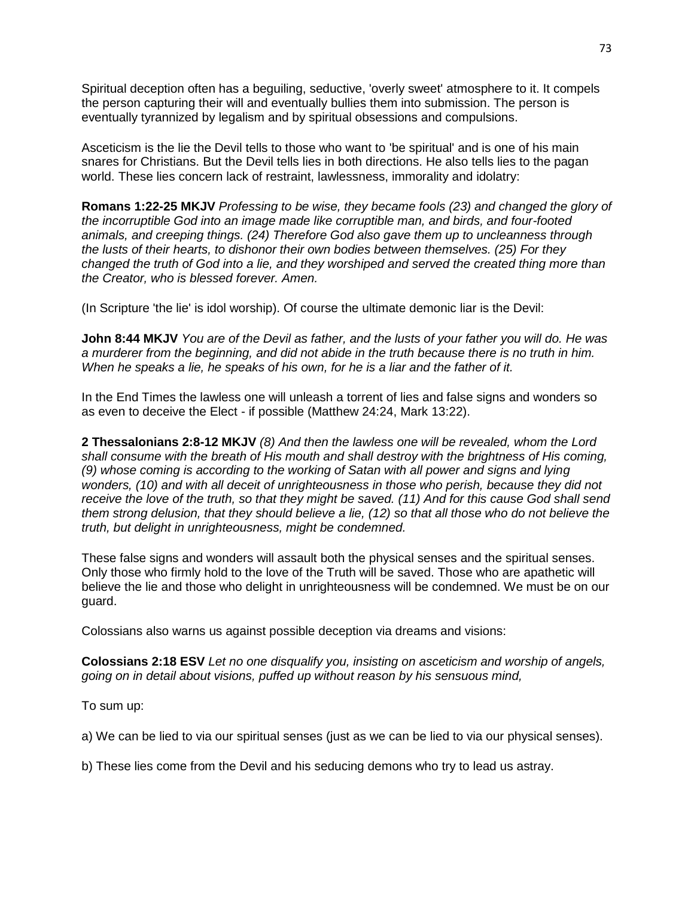Spiritual deception often has a beguiling, seductive, 'overly sweet' atmosphere to it. It compels the person capturing their will and eventually bullies them into submission. The person is eventually tyrannized by legalism and by spiritual obsessions and compulsions.

Asceticism is the lie the Devil tells to those who want to 'be spiritual' and is one of his main snares for Christians. But the Devil tells lies in both directions. He also tells lies to the pagan world. These lies concern lack of restraint, lawlessness, immorality and idolatry:

**Romans 1:22-25 MKJV** *Professing to be wise, they became fools (23) and changed the glory of the incorruptible God into an image made like corruptible man, and birds, and four-footed animals, and creeping things. (24) Therefore God also gave them up to uncleanness through the lusts of their hearts, to dishonor their own bodies between themselves. (25) For they changed the truth of God into a lie, and they worshiped and served the created thing more than the Creator, who is blessed forever. Amen.*

(In Scripture 'the lie' is idol worship). Of course the ultimate demonic liar is the Devil:

**John 8:44 MKJV** *You are of the Devil as father, and the lusts of your father you will do. He was a murderer from the beginning, and did not abide in the truth because there is no truth in him. When he speaks a lie, he speaks of his own, for he is a liar and the father of it.*

In the End Times the lawless one will unleash a torrent of lies and false signs and wonders so as even to deceive the Elect - if possible (Matthew 24:24, Mark 13:22).

**2 Thessalonians 2:8-12 MKJV** *(8) And then the lawless one will be revealed, whom the Lord shall consume with the breath of His mouth and shall destroy with the brightness of His coming, (9) whose coming is according to the working of Satan with all power and signs and lying wonders, (10) and with all deceit of unrighteousness in those who perish, because they did not receive the love of the truth, so that they might be saved. (11) And for this cause God shall send them strong delusion, that they should believe a lie, (12) so that all those who do not believe the truth, but delight in unrighteousness, might be condemned.*

These false signs and wonders will assault both the physical senses and the spiritual senses. Only those who firmly hold to the love of the Truth will be saved. Those who are apathetic will believe the lie and those who delight in unrighteousness will be condemned. We must be on our guard.

Colossians also warns us against possible deception via dreams and visions:

**Colossians 2:18 ESV** *Let no one disqualify you, insisting on asceticism and worship of angels, going on in detail about visions, puffed up without reason by his sensuous mind,*

To sum up:

a) We can be lied to via our spiritual senses (just as we can be lied to via our physical senses).

b) These lies come from the Devil and his seducing demons who try to lead us astray.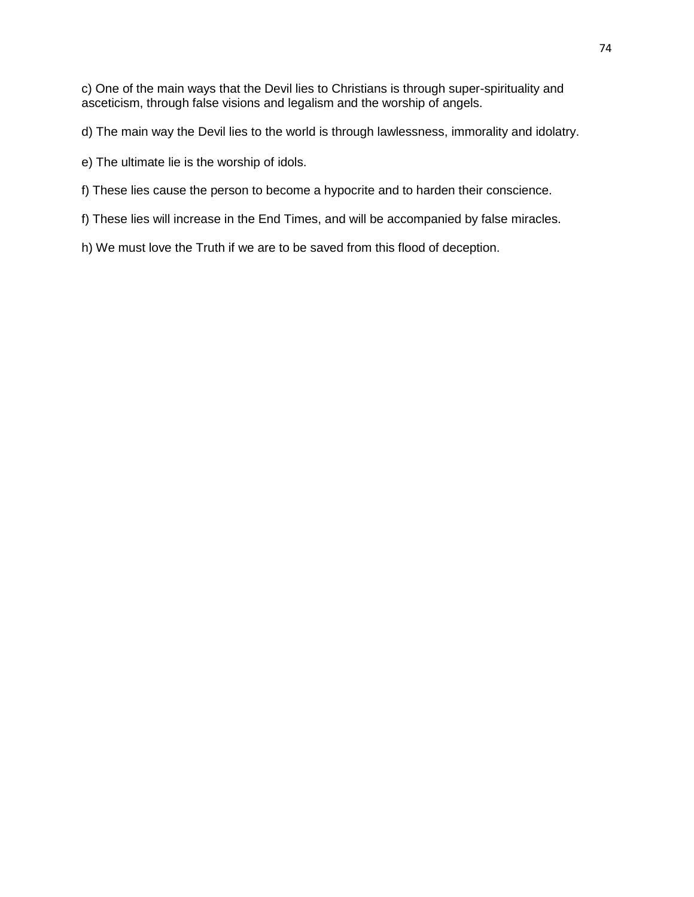c) One of the main ways that the Devil lies to Christians is through super-spirituality and asceticism, through false visions and legalism and the worship of angels.

d) The main way the Devil lies to the world is through lawlessness, immorality and idolatry.

- e) The ultimate lie is the worship of idols.
- f) These lies cause the person to become a hypocrite and to harden their conscience.
- f) These lies will increase in the End Times, and will be accompanied by false miracles.
- h) We must love the Truth if we are to be saved from this flood of deception.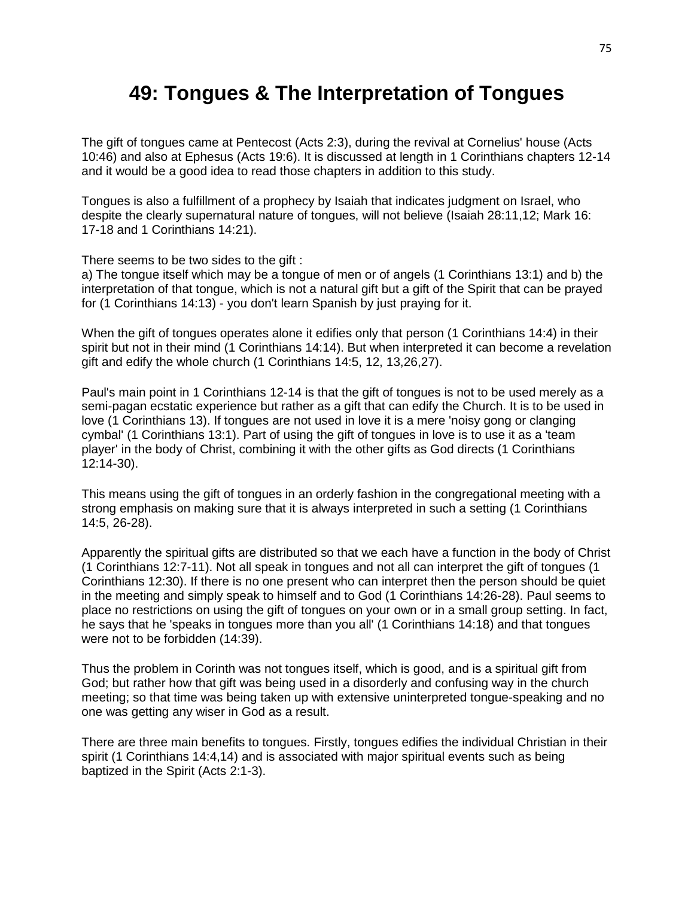## **49: Tongues & The Interpretation of Tongues**

The gift of tongues came at Pentecost (Acts 2:3), during the revival at Cornelius' house (Acts 10:46) and also at Ephesus (Acts 19:6). It is discussed at length in 1 Corinthians chapters 12-14 and it would be a good idea to read those chapters in addition to this study.

Tongues is also a fulfillment of a prophecy by Isaiah that indicates judgment on Israel, who despite the clearly supernatural nature of tongues, will not believe (Isaiah 28:11,12; Mark 16: 17-18 and 1 Corinthians 14:21).

There seems to be two sides to the gift :

a) The tongue itself which may be a tongue of men or of angels (1 Corinthians 13:1) and b) the interpretation of that tongue, which is not a natural gift but a gift of the Spirit that can be prayed for (1 Corinthians 14:13) - you don't learn Spanish by just praying for it.

When the gift of tongues operates alone it edifies only that person (1 Corinthians 14:4) in their spirit but not in their mind (1 Corinthians 14:14). But when interpreted it can become a revelation gift and edify the whole church (1 Corinthians 14:5, 12, 13,26,27).

Paul's main point in 1 Corinthians 12-14 is that the gift of tongues is not to be used merely as a semi-pagan ecstatic experience but rather as a gift that can edify the Church. It is to be used in love (1 Corinthians 13). If tongues are not used in love it is a mere 'noisy gong or clanging cymbal' (1 Corinthians 13:1). Part of using the gift of tongues in love is to use it as a 'team player' in the body of Christ, combining it with the other gifts as God directs (1 Corinthians 12:14-30).

This means using the gift of tongues in an orderly fashion in the congregational meeting with a strong emphasis on making sure that it is always interpreted in such a setting (1 Corinthians 14:5, 26-28).

Apparently the spiritual gifts are distributed so that we each have a function in the body of Christ (1 Corinthians 12:7-11). Not all speak in tongues and not all can interpret the gift of tongues (1 Corinthians 12:30). If there is no one present who can interpret then the person should be quiet in the meeting and simply speak to himself and to God (1 Corinthians 14:26-28). Paul seems to place no restrictions on using the gift of tongues on your own or in a small group setting. In fact, he says that he 'speaks in tongues more than you all' (1 Corinthians 14:18) and that tongues were not to be forbidden (14:39).

Thus the problem in Corinth was not tongues itself, which is good, and is a spiritual gift from God; but rather how that gift was being used in a disorderly and confusing way in the church meeting; so that time was being taken up with extensive uninterpreted tongue-speaking and no one was getting any wiser in God as a result.

There are three main benefits to tongues. Firstly, tongues edifies the individual Christian in their spirit (1 Corinthians 14:4,14) and is associated with major spiritual events such as being baptized in the Spirit (Acts 2:1-3).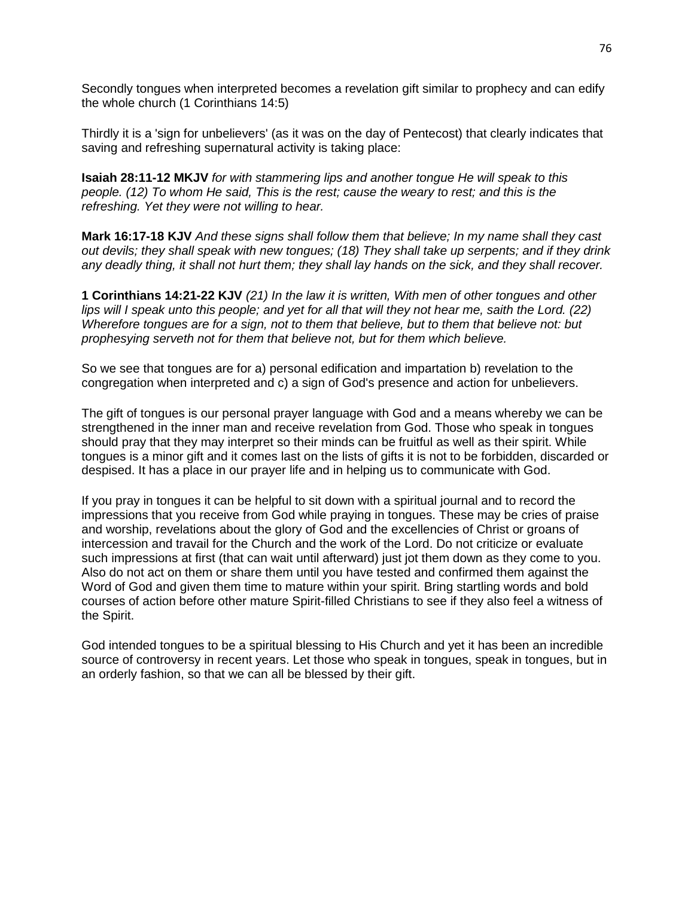Secondly tongues when interpreted becomes a revelation gift similar to prophecy and can edify the whole church (1 Corinthians 14:5)

Thirdly it is a 'sign for unbelievers' (as it was on the day of Pentecost) that clearly indicates that saving and refreshing supernatural activity is taking place:

**Isaiah 28:11-12 MKJV** *for with stammering lips and another tongue He will speak to this people. (12) To whom He said, This is the rest; cause the weary to rest; and this is the refreshing. Yet they were not willing to hear.*

**Mark 16:17-18 KJV** *And these signs shall follow them that believe; In my name shall they cast out devils; they shall speak with new tongues; (18) They shall take up serpents; and if they drink any deadly thing, it shall not hurt them; they shall lay hands on the sick, and they shall recover.*

**1 Corinthians 14:21-22 KJV** *(21) In the law it is written, With men of other tongues and other lips will I speak unto this people; and yet for all that will they not hear me, saith the Lord. (22) Wherefore tongues are for a sign, not to them that believe, but to them that believe not: but prophesying serveth not for them that believe not, but for them which believe.*

So we see that tongues are for a) personal edification and impartation b) revelation to the congregation when interpreted and c) a sign of God's presence and action for unbelievers.

The gift of tongues is our personal prayer language with God and a means whereby we can be strengthened in the inner man and receive revelation from God. Those who speak in tongues should pray that they may interpret so their minds can be fruitful as well as their spirit. While tongues is a minor gift and it comes last on the lists of gifts it is not to be forbidden, discarded or despised. It has a place in our prayer life and in helping us to communicate with God.

If you pray in tongues it can be helpful to sit down with a spiritual journal and to record the impressions that you receive from God while praying in tongues. These may be cries of praise and worship, revelations about the glory of God and the excellencies of Christ or groans of intercession and travail for the Church and the work of the Lord. Do not criticize or evaluate such impressions at first (that can wait until afterward) just jot them down as they come to you. Also do not act on them or share them until you have tested and confirmed them against the Word of God and given them time to mature within your spirit. Bring startling words and bold courses of action before other mature Spirit-filled Christians to see if they also feel a witness of the Spirit.

God intended tongues to be a spiritual blessing to His Church and yet it has been an incredible source of controversy in recent years. Let those who speak in tongues, speak in tongues, but in an orderly fashion, so that we can all be blessed by their gift.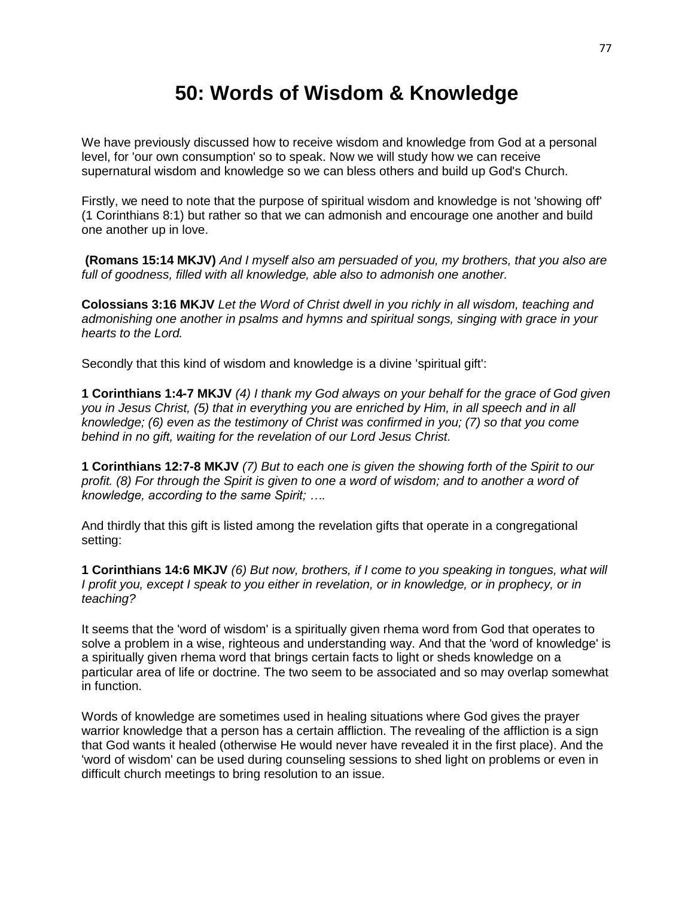## **50: Words of Wisdom & Knowledge**

We have previously discussed how to receive wisdom and knowledge from God at a personal level, for 'our own consumption' so to speak. Now we will study how we can receive supernatural wisdom and knowledge so we can bless others and build up God's Church.

Firstly, we need to note that the purpose of spiritual wisdom and knowledge is not 'showing off' (1 Corinthians 8:1) but rather so that we can admonish and encourage one another and build one another up in love.

**(Romans 15:14 MKJV)** *And I myself also am persuaded of you, my brothers, that you also are full of goodness, filled with all knowledge, able also to admonish one another.*

**Colossians 3:16 MKJV** *Let the Word of Christ dwell in you richly in all wisdom, teaching and admonishing one another in psalms and hymns and spiritual songs, singing with grace in your hearts to the Lord.*

Secondly that this kind of wisdom and knowledge is a divine 'spiritual gift':

**1 Corinthians 1:4-7 MKJV** *(4) I thank my God always on your behalf for the grace of God given you in Jesus Christ, (5) that in everything you are enriched by Him, in all speech and in all knowledge; (6) even as the testimony of Christ was confirmed in you; (7) so that you come behind in no gift, waiting for the revelation of our Lord Jesus Christ.*

**1 Corinthians 12:7-8 MKJV** *(7) But to each one is given the showing forth of the Spirit to our profit. (8) For through the Spirit is given to one a word of wisdom; and to another a word of knowledge, according to the same Spirit; ….*

And thirdly that this gift is listed among the revelation gifts that operate in a congregational setting:

**1 Corinthians 14:6 MKJV** *(6) But now, brothers, if I come to you speaking in tongues, what will I profit you, except I speak to you either in revelation, or in knowledge, or in prophecy, or in teaching?*

It seems that the 'word of wisdom' is a spiritually given rhema word from God that operates to solve a problem in a wise, righteous and understanding way. And that the 'word of knowledge' is a spiritually given rhema word that brings certain facts to light or sheds knowledge on a particular area of life or doctrine. The two seem to be associated and so may overlap somewhat in function.

Words of knowledge are sometimes used in healing situations where God gives the prayer warrior knowledge that a person has a certain affliction. The revealing of the affliction is a sign that God wants it healed (otherwise He would never have revealed it in the first place). And the 'word of wisdom' can be used during counseling sessions to shed light on problems or even in difficult church meetings to bring resolution to an issue.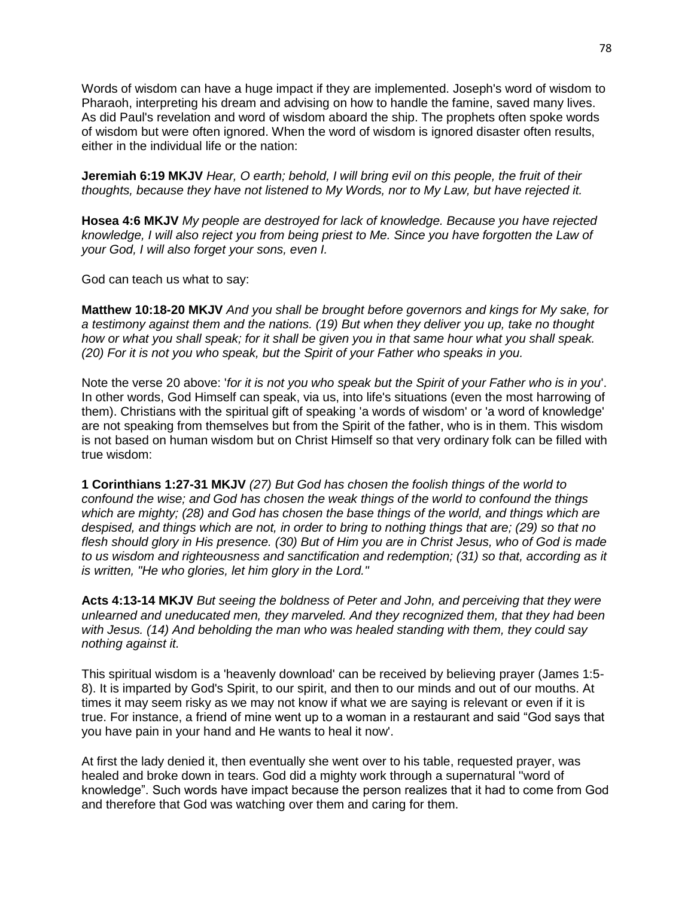Words of wisdom can have a huge impact if they are implemented. Joseph's word of wisdom to Pharaoh, interpreting his dream and advising on how to handle the famine, saved many lives. As did Paul's revelation and word of wisdom aboard the ship. The prophets often spoke words of wisdom but were often ignored. When the word of wisdom is ignored disaster often results, either in the individual life or the nation:

**Jeremiah 6:19 MKJV** *Hear, O earth; behold, I will bring evil on this people, the fruit of their thoughts, because they have not listened to My Words, nor to My Law, but have rejected it.*

**Hosea 4:6 MKJV** *My people are destroyed for lack of knowledge. Because you have rejected knowledge, I will also reject you from being priest to Me. Since you have forgotten the Law of your God, I will also forget your sons, even I.*

God can teach us what to say:

**Matthew 10:18-20 MKJV** *And you shall be brought before governors and kings for My sake, for a testimony against them and the nations. (19) But when they deliver you up, take no thought how or what you shall speak; for it shall be given you in that same hour what you shall speak. (20) For it is not you who speak, but the Spirit of your Father who speaks in you.*

Note the verse 20 above: '*for it is not you who speak but the Spirit of your Father who is in you*'. In other words, God Himself can speak, via us, into life's situations (even the most harrowing of them). Christians with the spiritual gift of speaking 'a words of wisdom' or 'a word of knowledge' are not speaking from themselves but from the Spirit of the father, who is in them. This wisdom is not based on human wisdom but on Christ Himself so that very ordinary folk can be filled with true wisdom:

**1 Corinthians 1:27-31 MKJV** *(27) But God has chosen the foolish things of the world to confound the wise; and God has chosen the weak things of the world to confound the things which are mighty; (28) and God has chosen the base things of the world, and things which are despised, and things which are not, in order to bring to nothing things that are; (29) so that no flesh should glory in His presence. (30) But of Him you are in Christ Jesus, who of God is made to us wisdom and righteousness and sanctification and redemption; (31) so that, according as it is written, "He who glories, let him glory in the Lord."*

**Acts 4:13-14 MKJV** *But seeing the boldness of Peter and John, and perceiving that they were unlearned and uneducated men, they marveled. And they recognized them, that they had been with Jesus. (14) And beholding the man who was healed standing with them, they could say nothing against it.*

This spiritual wisdom is a 'heavenly download' can be received by believing prayer (James 1:5- 8). It is imparted by God's Spirit, to our spirit, and then to our minds and out of our mouths. At times it may seem risky as we may not know if what we are saying is relevant or even if it is true. For instance, a friend of mine went up to a woman in a restaurant and said "God says that you have pain in your hand and He wants to heal it now'.

At first the lady denied it, then eventually she went over to his table, requested prayer, was healed and broke down in tears. God did a mighty work through a supernatural ''word of knowledge". Such words have impact because the person realizes that it had to come from God and therefore that God was watching over them and caring for them.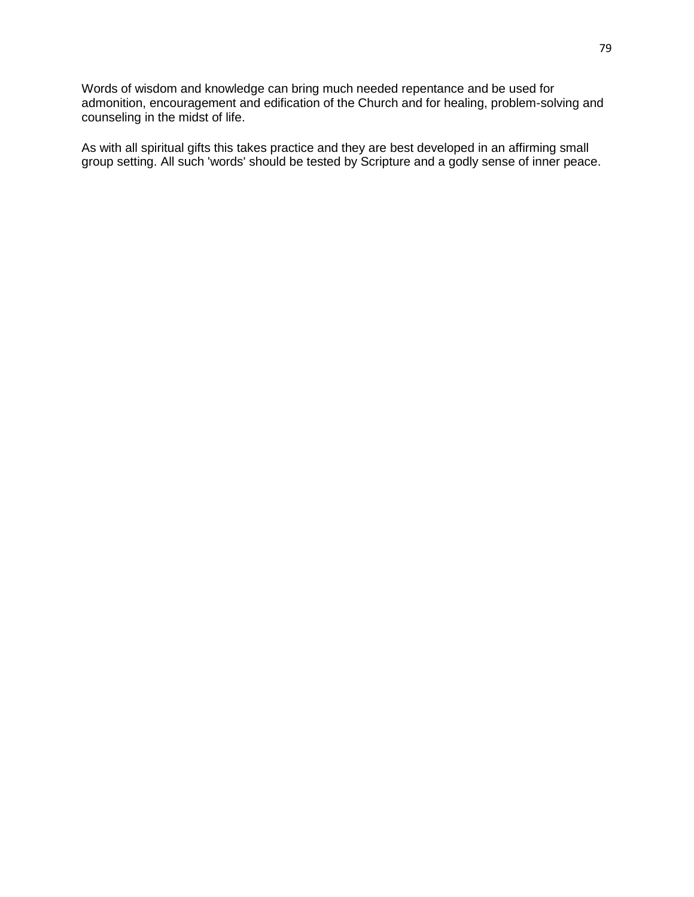Words of wisdom and knowledge can bring much needed repentance and be used for admonition, encouragement and edification of the Church and for healing, problem-solving and counseling in the midst of life.

As with all spiritual gifts this takes practice and they are best developed in an affirming small group setting. All such 'words' should be tested by Scripture and a godly sense of inner peace.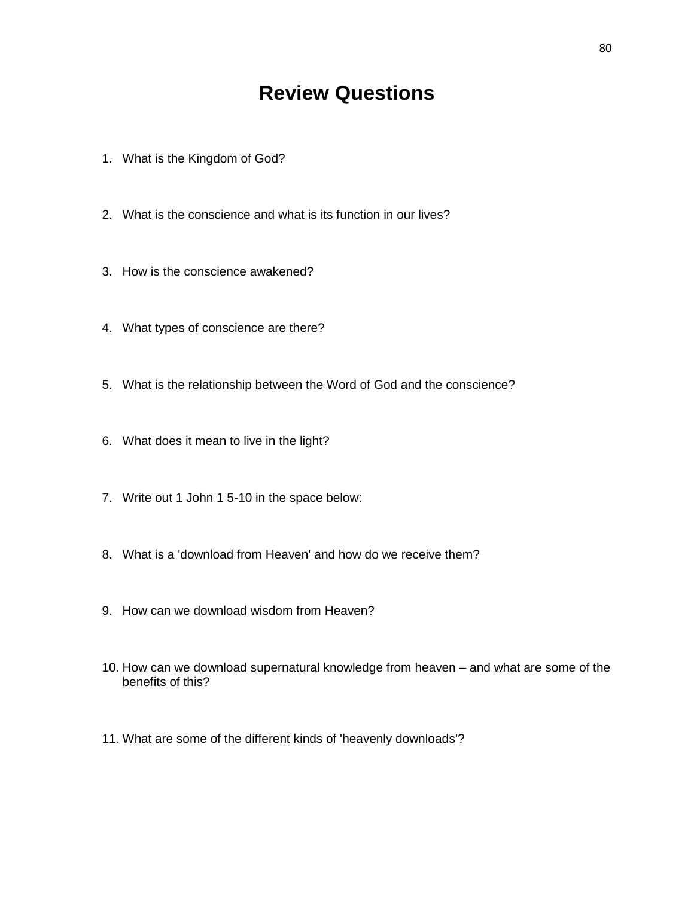## **Review Questions**

- 1. What is the Kingdom of God?
- 2. What is the conscience and what is its function in our lives?
- 3. How is the conscience awakened?
- 4. What types of conscience are there?
- 5. What is the relationship between the Word of God and the conscience?
- 6. What does it mean to live in the light?
- 7. Write out 1 John 1 5-10 in the space below:
- 8. What is a 'download from Heaven' and how do we receive them?
- 9. How can we download wisdom from Heaven?
- 10. How can we download supernatural knowledge from heaven and what are some of the benefits of this?
- 11. What are some of the different kinds of 'heavenly downloads'?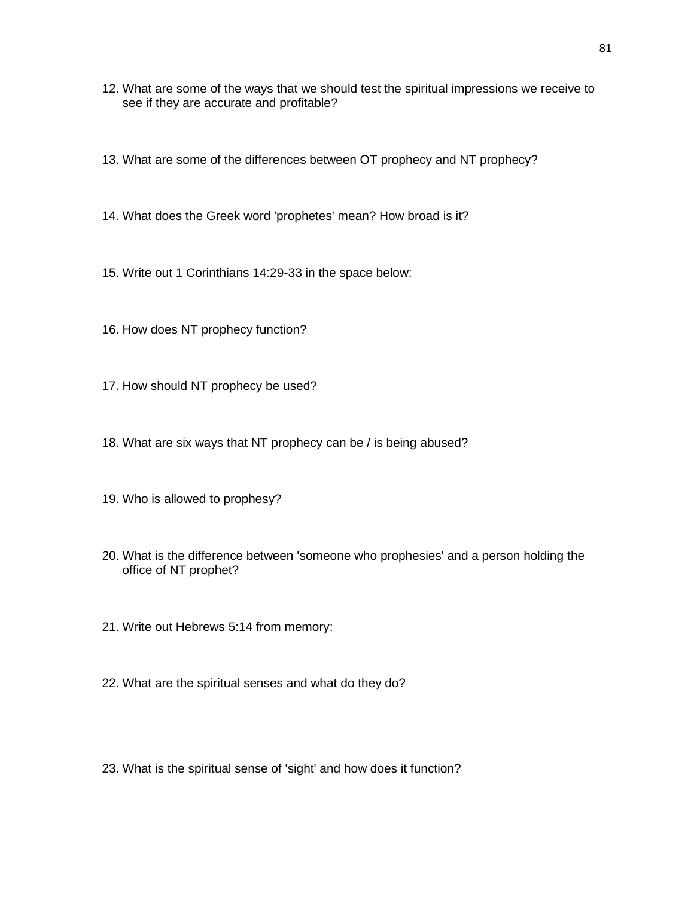- 12. What are some of the ways that we should test the spiritual impressions we receive to see if they are accurate and profitable?
- 13. What are some of the differences between OT prophecy and NT prophecy?
- 14. What does the Greek word 'prophetes' mean? How broad is it?
- 15. Write out 1 Corinthians 14:29-33 in the space below:
- 16. How does NT prophecy function?
- 17. How should NT prophecy be used?
- 18. What are six ways that NT prophecy can be / is being abused?
- 19. Who is allowed to prophesy?
- 20. What is the difference between 'someone who prophesies' and a person holding the office of NT prophet?
- 21. Write out Hebrews 5:14 from memory:
- 22. What are the spiritual senses and what do they do?
- 23. What is the spiritual sense of 'sight' and how does it function?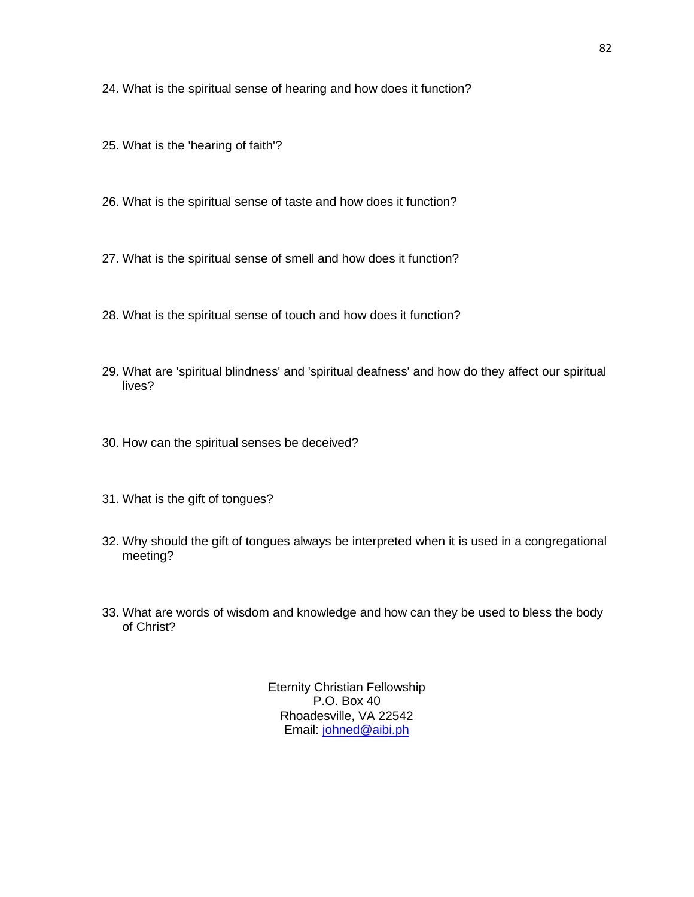24. What is the spiritual sense of hearing and how does it function?

- 25. What is the 'hearing of faith'?
- 26. What is the spiritual sense of taste and how does it function?
- 27. What is the spiritual sense of smell and how does it function?
- 28. What is the spiritual sense of touch and how does it function?
- 29. What are 'spiritual blindness' and 'spiritual deafness' and how do they affect our spiritual lives?
- 30. How can the spiritual senses be deceived?
- 31. What is the gift of tongues?
- 32. Why should the gift of tongues always be interpreted when it is used in a congregational meeting?
- 33. What are words of wisdom and knowledge and how can they be used to bless the body of Christ?

Eternity Christian Fellowship P.O. Box 40 Rhoadesville, VA 22542 Email: [johned@aibi.ph](mailto:johned@aibi.ph)